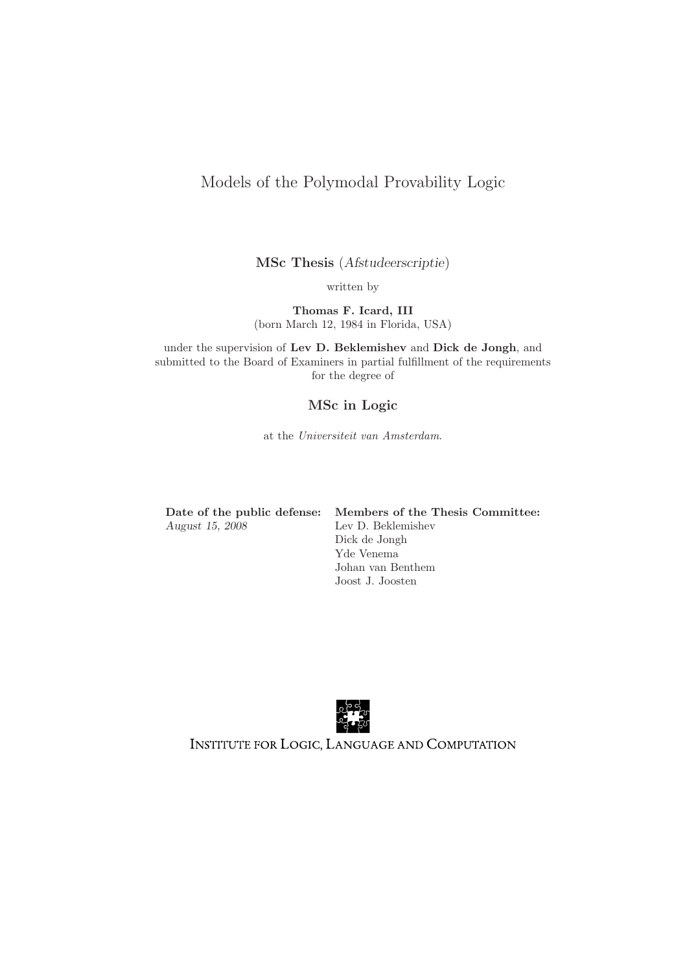# Models of the Polymodal Provability Logic

MSc Thesis (Afstudeerscriptie)

written by

Thomas F. Icard, III (born March 12, 1984 in Florida, USA)

under the supervision of Lev D. Beklemishev and Dick de Jongh, and submitted to the Board of Examiners in partial fulfillment of the requirements for the degree of

## MSc in Logic

at the Universiteit van Amsterdam.

| Date of the public defense: |
|-----------------------------|
| August 15, 2008             |

Members of the Thesis Committee: Lev D. Beklemishev Dick de Jongh Yde Venema Johan van Benthem Joost J. Joosten



INSTITUTE FOR LOGIC, LANGUAGE AND COMPUTATION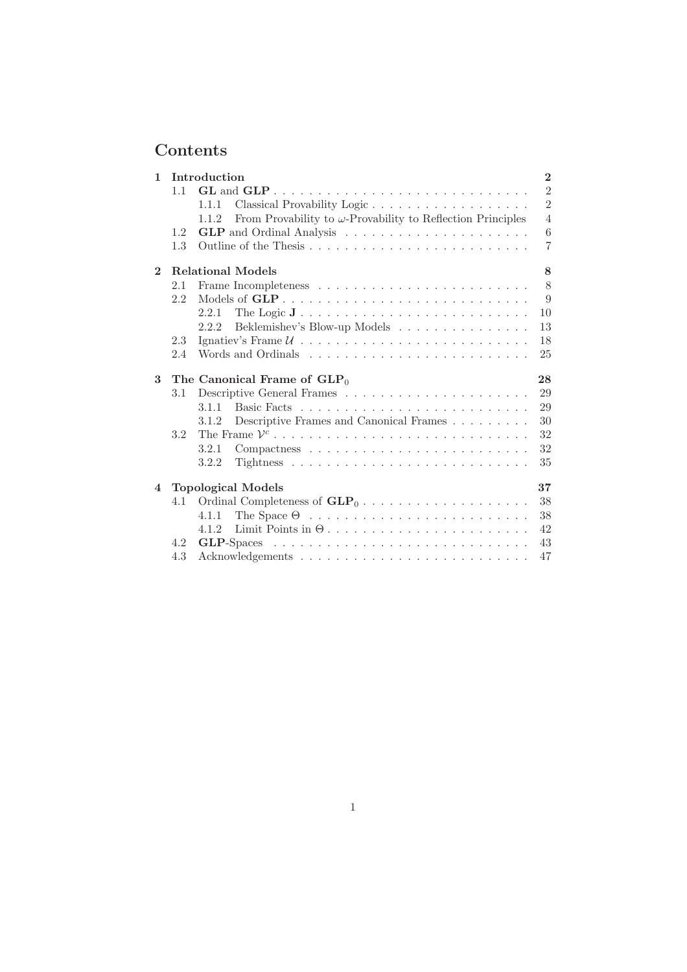# Contents

| $\mathbf{1}$   | Introduction |                                                                                    |                |
|----------------|--------------|------------------------------------------------------------------------------------|----------------|
|                | 1.1          |                                                                                    | $\overline{2}$ |
|                |              | 1.1.1                                                                              | $\overline{2}$ |
|                |              | From Provability to $\omega$ -Provability to Reflection Principles<br>1.1.2        | $\overline{4}$ |
|                | 1.2          |                                                                                    | 6              |
|                | 1.3          |                                                                                    | 7              |
| $\overline{2}$ |              | <b>Relational Models</b>                                                           | 8              |
|                | 2.1          |                                                                                    | 8              |
|                | 2.2          |                                                                                    | 9              |
|                |              | 2.2.1                                                                              | 10             |
|                |              | Beklemishev's Blow-up Models<br>2.2.2                                              | 13             |
|                | 2.3          | Ignatiev's Frame $U \dots \dots \dots \dots \dots \dots \dots \dots \dots \dots$   | 18             |
|                | 2.4          |                                                                                    | 25             |
|                |              |                                                                                    |                |
| 3              |              | The Canonical Frame of $GLP_0$                                                     | 28             |
|                | 3.1          |                                                                                    | 29             |
|                |              | 3.1.1                                                                              | 29             |
|                |              | 3.1.2                                                                              | 30             |
|                | 3.2          | Descriptive Frames and Canonical Frames                                            | 32             |
|                |              | 3.2.1                                                                              | 32             |
|                |              | 3.2.2                                                                              | 35             |
| $\overline{4}$ |              |                                                                                    | 37             |
|                | 4.1          | <b>Topological Models</b>                                                          | 38             |
|                |              | 4.1.1                                                                              | 38             |
|                |              | 4.1.2                                                                              | 42             |
|                | 4.2          | $GLP-Spaces \ldots \ldots \ldots \ldots \ldots \ldots \ldots \ldots \ldots \ldots$ | 43             |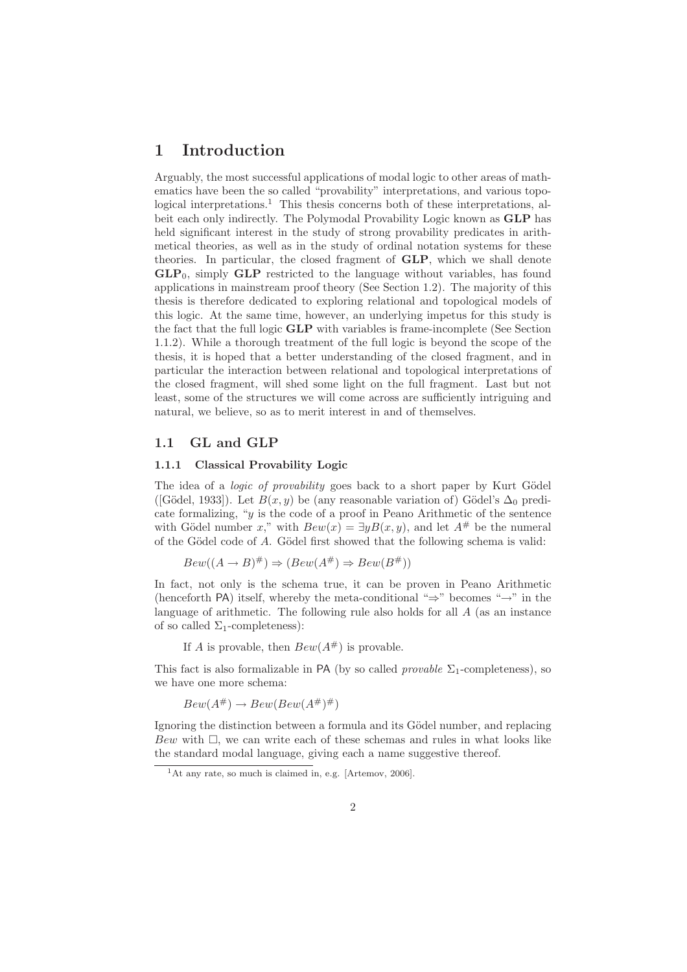# 1 Introduction

Arguably, the most successful applications of modal logic to other areas of mathematics have been the so called "provability" interpretations, and various topological interpretations.<sup>1</sup> This thesis concerns both of these interpretations, albeit each only indirectly. The Polymodal Provability Logic known as GLP has held significant interest in the study of strong provability predicates in arithmetical theories, as well as in the study of ordinal notation systems for these theories. In particular, the closed fragment of GLP, which we shall denote  $GLP<sub>0</sub>$ , simply  $GLP$  restricted to the language without variables, has found applications in mainstream proof theory (See Section 1.2). The majority of this thesis is therefore dedicated to exploring relational and topological models of this logic. At the same time, however, an underlying impetus for this study is the fact that the full logic GLP with variables is frame-incomplete (See Section 1.1.2). While a thorough treatment of the full logic is beyond the scope of the thesis, it is hoped that a better understanding of the closed fragment, and in particular the interaction between relational and topological interpretations of the closed fragment, will shed some light on the full fragment. Last but not least, some of the structures we will come across are sufficiently intriguing and natural, we believe, so as to merit interest in and of themselves.

## 1.1 GL and GLP

#### 1.1.1 Classical Provability Logic

The idea of a *logic of provability* goes back to a short paper by Kurt Gödel ([Gödel, 1933]). Let  $B(x, y)$  be (any reasonable variation of) Gödel's  $\Delta_0$  predicate formalizing, "y is the code of a proof in Peano Arithmetic of the sentence with Gödel number x," with  $Bew(x) = \exists y B(x, y)$ , and let  $A^{\#}$  be the numeral of the Gödel code of  $A$ . Gödel first showed that the following schema is valid:

$$
Bew((A \to B)^{\#}) \Rightarrow (Bew(A^{\#}) \Rightarrow Bew(B^{\#}))
$$

In fact, not only is the schema true, it can be proven in Peano Arithmetic (henceforth PA) itself, whereby the meta-conditional "⇒" becomes "→" in the language of arithmetic. The following rule also holds for all A (as an instance of so called  $\Sigma_1$ -completeness):

If A is provable, then  $Bew(A^{\#})$  is provable.

This fact is also formalizable in PA (by so called *provable*  $\Sigma_1$ -completeness), so we have one more schema:

 $Bew(A^{\#}) \rightarrow Bew(Bew(A^{\#})^{\#})$ 

Ignoring the distinction between a formula and its Gödel number, and replacing  $Bew$  with  $\Box$ , we can write each of these schemas and rules in what looks like the standard modal language, giving each a name suggestive thereof.

<sup>1</sup>At any rate, so much is claimed in, e.g. [Artemov, 2006].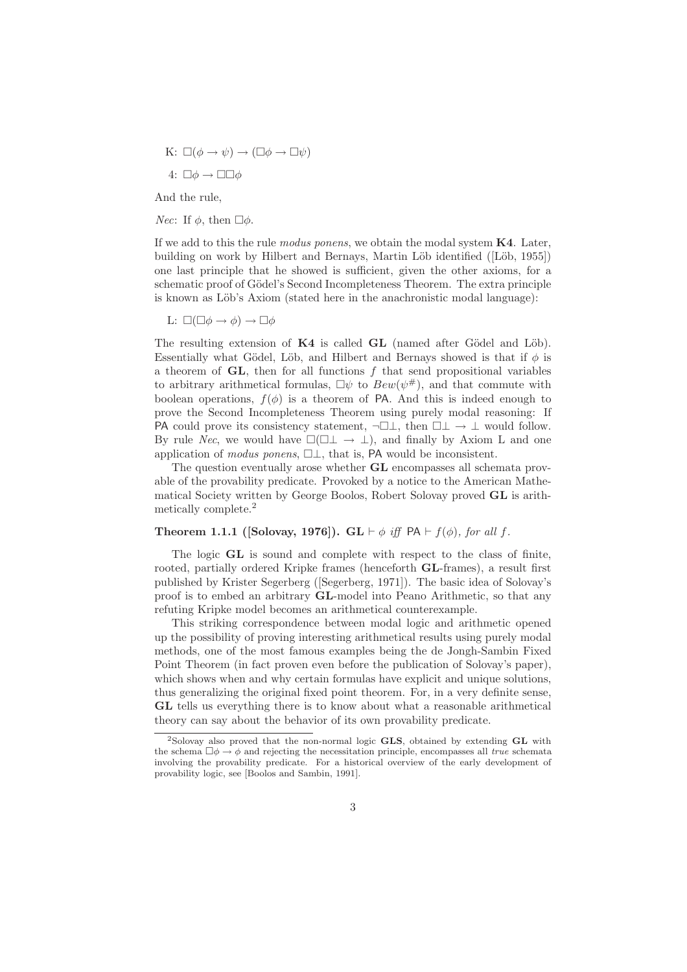K:  $\square(\phi \to \psi) \to (\square \phi \to \square \psi)$ 4:  $\square \phi \rightarrow \square \square \phi$ 

And the rule,

*Nec*: If  $\phi$ , then  $\Box \phi$ .

If we add to this the rule *modus ponens*, we obtain the modal system  $K4$ . Later, building on work by Hilbert and Bernays, Martin Löb identified ([Löb, 1955]) one last principle that he showed is sufficient, given the other axioms, for a schematic proof of Gödel's Second Incompleteness Theorem. The extra principle is known as Löb's Axiom (stated here in the anachronistic modal language):

L:  $\square(\square \phi \rightarrow \phi) \rightarrow \square \phi$ 

The resulting extension of  $K4$  is called  $GL$  (named after Gödel and Löb). Essentially what Gödel, Löb, and Hilbert and Bernays showed is that if  $\phi$  is a theorem of  $GL$ , then for all functions  $f$  that send propositional variables to arbitrary arithmetical formulas,  $\Box \psi$  to  $Bew(\psi^{\#})$ , and that commute with boolean operations,  $f(\phi)$  is a theorem of PA. And this is indeed enough to prove the Second Incompleteness Theorem using purely modal reasoning: If PA could prove its consistency statement,  $\neg \Box \bot$ , then  $\Box \bot \rightarrow \bot$  would follow. By rule Nec, we would have  $\Box(\Box \bot \rightarrow \bot)$ , and finally by Axiom L and one application of modus ponens,  $\Box \bot$ , that is, PA would be inconsistent.

The question eventually arose whether GL encompasses all schemata provable of the provability predicate. Provoked by a notice to the American Mathematical Society written by George Boolos, Robert Solovay proved GL is arithmetically complete.<sup>2</sup>

### Theorem 1.1.1 ([Solovay, 1976]). GL  $\vdash \phi$  iff PA  $\vdash f(\phi)$ , for all f.

The logic GL is sound and complete with respect to the class of finite, rooted, partially ordered Kripke frames (henceforth GL-frames), a result first published by Krister Segerberg ([Segerberg, 1971]). The basic idea of Solovay's proof is to embed an arbitrary GL-model into Peano Arithmetic, so that any refuting Kripke model becomes an arithmetical counterexample.

This striking correspondence between modal logic and arithmetic opened up the possibility of proving interesting arithmetical results using purely modal methods, one of the most famous examples being the de Jongh-Sambin Fixed Point Theorem (in fact proven even before the publication of Solovay's paper), which shows when and why certain formulas have explicit and unique solutions, thus generalizing the original fixed point theorem. For, in a very definite sense, GL tells us everything there is to know about what a reasonable arithmetical theory can say about the behavior of its own provability predicate.

<sup>&</sup>lt;sup>2</sup>Solovay also proved that the non-normal logic GLS, obtained by extending GL with the schema  $\Box \phi \rightarrow \phi$  and rejecting the necessitation principle, encompasses all *true* schemata involving the provability predicate. For a historical overview of the early development of provability logic, see [Boolos and Sambin, 1991].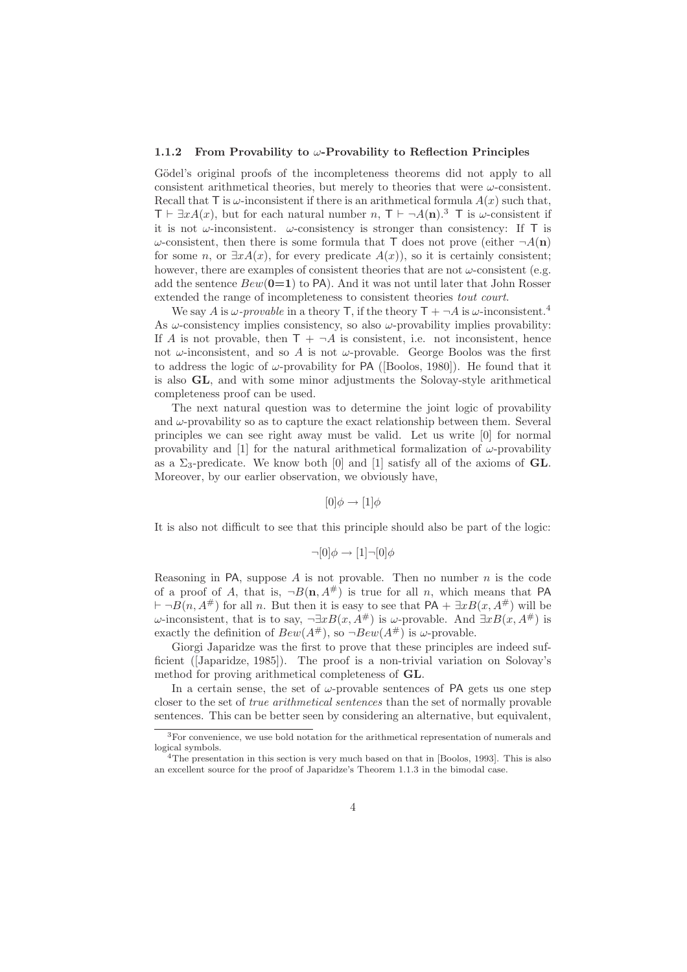#### 1.1.2 From Provability to  $\omega$ -Provability to Reflection Principles

Gödel's original proofs of the incompleteness theorems did not apply to all consistent arithmetical theories, but merely to theories that were  $\omega$ -consistent. Recall that  $\overline{\mathrm{T}}$  is  $\omega$ -inconsistent if there is an arithmetical formula  $A(x)$  such that,  $\mathsf{T} \vdash \exists x A(x)$ , but for each natural number  $n, \mathsf{T} \vdash \neg A(\mathbf{n})$ .<sup>3</sup> T is  $\omega$ -consistent if it is not  $\omega$ -inconsistent.  $\omega$ -consistency is stronger than consistency: If T is  $\omega$ -consistent, then there is some formula that T does not prove (either  $\neg A(\mathbf{n})$ for some n, or  $\exists x A(x)$ , for every predicate  $A(x)$ , so it is certainly consistent; however, there are examples of consistent theories that are not  $\omega$ -consistent (e.g. add the sentence  $Bew(0=1)$  to PA). And it was not until later that John Rosser extended the range of incompleteness to consistent theories tout court.

We say A is  $\omega$ -provable in a theory T, if the theory  $T + \neg A$  is  $\omega$ -inconsistent.<sup>4</sup> As  $\omega$ -consistency implies consistency, so also  $\omega$ -provability implies provability: If A is not provable, then  $T + \neg A$  is consistent, i.e. not inconsistent, hence not  $\omega$ -inconsistent, and so A is not  $\omega$ -provable. George Boolos was the first to address the logic of  $\omega$ -provability for PA ([Boolos, 1980]). He found that it is also GL, and with some minor adjustments the Solovay-style arithmetical completeness proof can be used.

The next natural question was to determine the joint logic of provability and  $\omega$ -provability so as to capture the exact relationship between them. Several principles we can see right away must be valid. Let us write [0] for normal provability and [1] for the natural arithmetical formalization of  $\omega$ -provability as a  $\Sigma_3$ -predicate. We know both [0] and [1] satisfy all of the axioms of **GL**. Moreover, by our earlier observation, we obviously have,

 $[0]\phi \rightarrow [1]\phi$ 

It is also not difficult to see that this principle should also be part of the logic:

$$
\neg [0]\phi \rightarrow [1]\neg [0]\phi
$$

Reasoning in PA, suppose  $A$  is not provable. Then no number  $n$  is the code of a proof of A, that is,  $\neg B(n, A^{\#})$  is true for all n, which means that PA  $\vdash \neg B(n, A^{\#})$  for all n. But then it is easy to see that PA +  $\exists x B(x, A^{\#})$  will be  $ω$ -inconsistent, that is to say,  $\neg \exists x B(x, A^#)$  is  $ω$ -provable. And  $\exists x B(x, A^#)$  is exactly the definition of  $Bew(A^{\#})$ , so  $\neg Bew(A^{\#})$  is  $\omega$ -provable.

Giorgi Japaridze was the first to prove that these principles are indeed sufficient ([Japaridze, 1985]). The proof is a non-trivial variation on Solovay's method for proving arithmetical completeness of GL.

In a certain sense, the set of  $\omega$ -provable sentences of PA gets us one step closer to the set of true arithmetical sentences than the set of normally provable sentences. This can be better seen by considering an alternative, but equivalent,

<sup>3</sup>For convenience, we use bold notation for the arithmetical representation of numerals and logical symbols.

<sup>&</sup>lt;sup>4</sup>The presentation in this section is very much based on that in [Boolos, 1993]. This is also an excellent source for the proof of Japaridze's Theorem 1.1.3 in the bimodal case.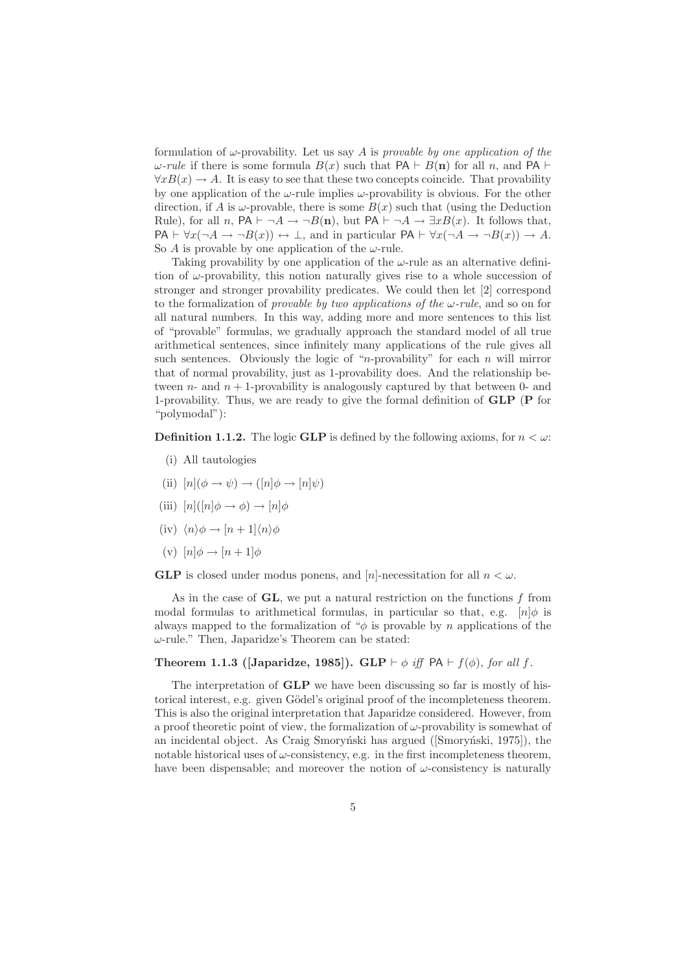formulation of  $\omega$ -provability. Let us say A is provable by one application of the  $ω$ -rule if there is some formula  $B(x)$  such that PA  $\vdash$  B(n) for all n, and PA  $\vdash$  $\forall x B(x) \rightarrow A$ . It is easy to see that these two concepts coincide. That provability by one application of the  $\omega$ -rule implies  $\omega$ -provability is obvious. For the other direction, if A is  $\omega$ -provable, there is some  $B(x)$  such that (using the Deduction Rule), for all n, PA  $\vdash \neg A \rightarrow \neg B(\mathbf{n})$ , but PA  $\vdash \neg A \rightarrow \exists x B(x)$ . It follows that,  $PA \vdash \forall x (\neg A \rightarrow \neg B(x)) \leftrightarrow \bot$ , and in particular  $PA \vdash \forall x (\neg A \rightarrow \neg B(x)) \rightarrow A$ . So A is provable by one application of the  $\omega$ -rule.

Taking provability by one application of the  $\omega$ -rule as an alternative definition of  $\omega$ -provability, this notion naturally gives rise to a whole succession of stronger and stronger provability predicates. We could then let [2] correspond to the formalization of *provable by two applications of the*  $\omega$ *-rule*, and so on for all natural numbers. In this way, adding more and more sentences to this list of "provable" formulas, we gradually approach the standard model of all true arithmetical sentences, since infinitely many applications of the rule gives all such sentences. Obviously the logic of "*n*-provability" for each *n* will mirror that of normal provability, just as 1-provability does. And the relationship between  $n$ - and  $n + 1$ -provability is analogously captured by that between 0- and 1-provability. Thus, we are ready to give the formal definition of GLP (P for "polymodal"):

**Definition 1.1.2.** The logic **GLP** is defined by the following axioms, for  $n < \omega$ :

- (i) All tautologies
- (ii)  $[n](\phi \rightarrow \psi) \rightarrow ([n]\phi \rightarrow [n]\psi)$
- (iii)  $[n](n|\phi \rightarrow \phi) \rightarrow [n]\phi$
- (iv)  $\langle n \rangle \phi \rightarrow [n+1] \langle n \rangle \phi$
- (v)  $[n]\phi \rightarrow [n+1]\phi$

**GLP** is closed under modus ponens, and  $[n]$ -necessitation for all  $n < \omega$ .

As in the case of  $GL$ , we put a natural restriction on the functions  $f$  from modal formulas to arithmetical formulas, in particular so that, e.g.  $[n]\phi$  is always mapped to the formalization of " $\phi$  is provable by n applications of the  $\omega$ -rule." Then, Japaridze's Theorem can be stated:

#### Theorem 1.1.3 ([Japaridze, 1985]). GLP  $\vdash \phi$  iff PA  $\vdash f(\phi)$ , for all f.

The interpretation of GLP we have been discussing so far is mostly of historical interest, e.g. given Gödel's original proof of the incompleteness theorem. This is also the original interpretation that Japaridze considered. However, from a proof theoretic point of view, the formalization of  $\omega$ -provability is somewhat of an incidental object. As Craig Smoryński has argued ([Smoryn´ski, 1975]), the notable historical uses of  $\omega$ -consistency, e.g. in the first incompleteness theorem, have been dispensable; and moreover the notion of  $\omega$ -consistency is naturally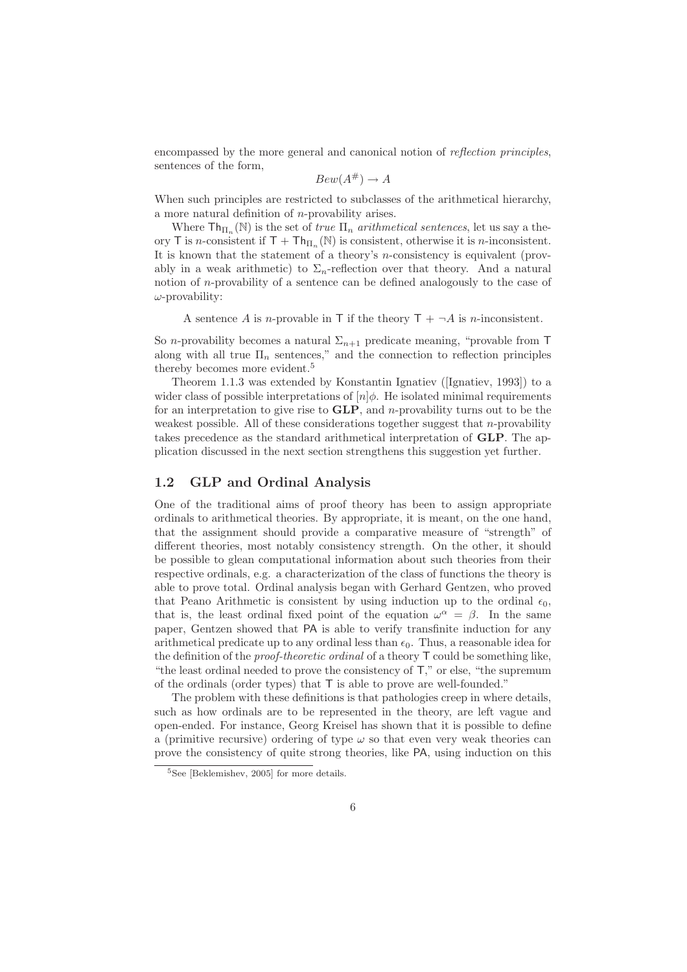encompassed by the more general and canonical notion of reflection principles, sentences of the form,

$$
Bew(A^{\#}) \to A
$$

When such principles are restricted to subclasses of the arithmetical hierarchy, a more natural definition of n-provability arises.

Where  $\mathsf{Th}_{\Pi_n}(\mathbb{N})$  is the set of *true*  $\Pi_n$  *arithmetical sentences*, let us say a theory T is n-consistent if  $T + Th_{\Pi_n}(\mathbb{N})$  is consistent, otherwise it is n-inconsistent. It is known that the statement of a theory's n-consistency is equivalent (provably in a weak arithmetic) to  $\Sigma_n$ -reflection over that theory. And a natural notion of n-provability of a sentence can be defined analogously to the case of  $\omega$ -provability:

A sentence A is n-provable in T if the theory  $T + \neg A$  is n-inconsistent.

So *n*-provability becomes a natural  $\Sigma_{n+1}$  predicate meaning, "provable from T along with all true  $\Pi_n$  sentences," and the connection to reflection principles thereby becomes more evident.<sup>5</sup>

Theorem 1.1.3 was extended by Konstantin Ignatiev ([Ignatiev, 1993]) to a wider class of possible interpretations of  $[n]\phi$ . He isolated minimal requirements for an interpretation to give rise to  $GLP$ , and *n*-provability turns out to be the weakest possible. All of these considerations together suggest that  $n$ -provability takes precedence as the standard arithmetical interpretation of GLP. The application discussed in the next section strengthens this suggestion yet further.

## 1.2 GLP and Ordinal Analysis

One of the traditional aims of proof theory has been to assign appropriate ordinals to arithmetical theories. By appropriate, it is meant, on the one hand, that the assignment should provide a comparative measure of "strength" of different theories, most notably consistency strength. On the other, it should be possible to glean computational information about such theories from their respective ordinals, e.g. a characterization of the class of functions the theory is able to prove total. Ordinal analysis began with Gerhard Gentzen, who proved that Peano Arithmetic is consistent by using induction up to the ordinal  $\epsilon_0$ , that is, the least ordinal fixed point of the equation  $\omega^{\alpha} = \beta$ . In the same paper, Gentzen showed that PA is able to verify transfinite induction for any arithmetical predicate up to any ordinal less than  $\epsilon_0$ . Thus, a reasonable idea for the definition of the *proof-theoretic ordinal* of a theory  $\mathsf{T}$  could be something like, "the least ordinal needed to prove the consistency of T," or else, "the supremum of the ordinals (order types) that T is able to prove are well-founded."

The problem with these definitions is that pathologies creep in where details, such as how ordinals are to be represented in the theory, are left vague and open-ended. For instance, Georg Kreisel has shown that it is possible to define a (primitive recursive) ordering of type  $\omega$  so that even very weak theories can prove the consistency of quite strong theories, like PA, using induction on this

<sup>5</sup>See [Beklemishev, 2005] for more details.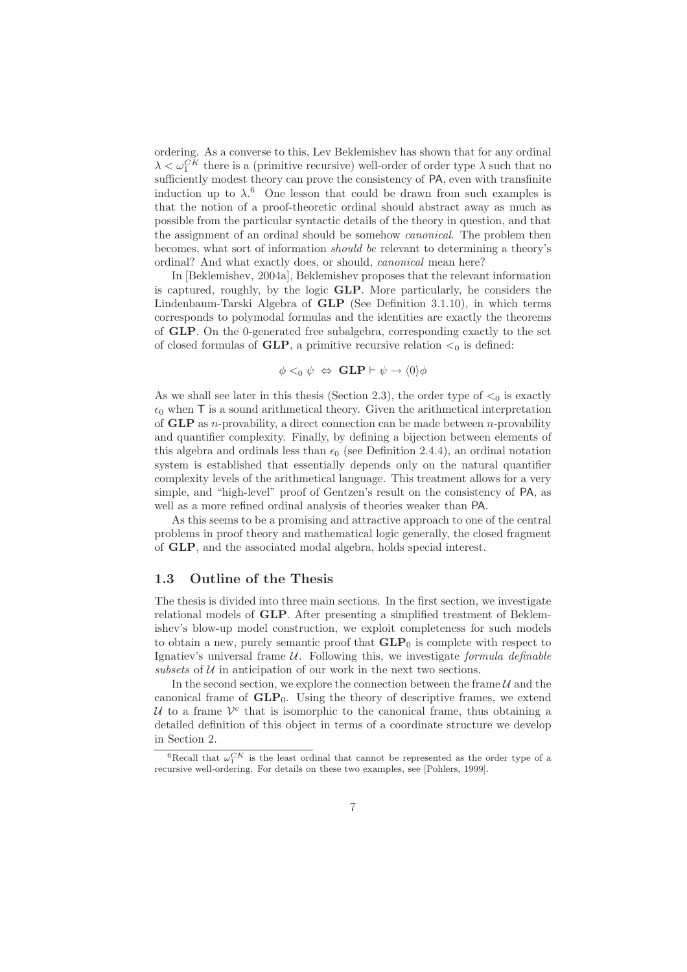ordering. As a converse to this, Lev Beklemishev has shown that for any ordinal  $\lambda < \omega_1^{CK}$  there is a (primitive recursive) well-order of order type  $\lambda$  such that no sufficiently modest theory can prove the consistency of PA, even with transfinite induction up to  $\lambda$ <sup>6</sup>. One lesson that could be drawn from such examples is that the notion of a proof-theoretic ordinal should abstract away as much as possible from the particular syntactic details of the theory in question, and that the assignment of an ordinal should be somehow canonical. The problem then becomes, what sort of information should be relevant to determining a theory's ordinal? And what exactly does, or should, canonical mean here?

In [Beklemishev, 2004a], Beklemishev proposes that the relevant information is captured, roughly, by the logic GLP. More particularly, he considers the Lindenbaum-Tarski Algebra of GLP (See Definition 3.1.10), in which terms corresponds to polymodal formulas and the identities are exactly the theorems of GLP. On the 0-generated free subalgebra, corresponding exactly to the set of closed formulas of  $GLP$ , a primitive recursive relation  $\lt_0$  is defined:

$$
\phi <_0 \psi \iff \text{GLP} \vdash \psi \to \langle 0 \rangle \phi
$$

As we shall see later in this thesis (Section 2.3), the order type of  $\leq_0$  is exactly  $\epsilon_0$  when T is a sound arithmetical theory. Given the arithmetical interpretation of **GLP** as *n*-provability, a direct connection can be made between *n*-provability and quantifier complexity. Finally, by defining a bijection between elements of this algebra and ordinals less than  $\epsilon_0$  (see Definition 2.4.4), an ordinal notation system is established that essentially depends only on the natural quantifier complexity levels of the arithmetical language. This treatment allows for a very simple, and "high-level" proof of Gentzen's result on the consistency of PA, as well as a more refined ordinal analysis of theories weaker than PA.

As this seems to be a promising and attractive approach to one of the central problems in proof theory and mathematical logic generally, the closed fragment of GLP, and the associated modal algebra, holds special interest.

## 1.3 Outline of the Thesis

The thesis is divided into three main sections. In the first section, we investigate relational models of GLP. After presenting a simplified treatment of Beklemishev's blow-up model construction, we exploit completeness for such models to obtain a new, purely semantic proof that  $GLP_0$  is complete with respect to Ignatiev's universal frame  $U$ . Following this, we investigate *formula definable* subsets of  $U$  in anticipation of our work in the next two sections.

In the second section, we explore the connection between the frame  $\mathcal U$  and the canonical frame of  $GLP_0$ . Using the theory of descriptive frames, we extend U to a frame  $V^c$  that is isomorphic to the canonical frame, thus obtaining a detailed definition of this object in terms of a coordinate structure we develop in Section 2.

<sup>&</sup>lt;sup>6</sup>Recall that  $\omega_1^{CK}$  is the least ordinal that cannot be represented as the order type of a recursive well-ordering. For details on these two examples, see [Pohlers, 1999].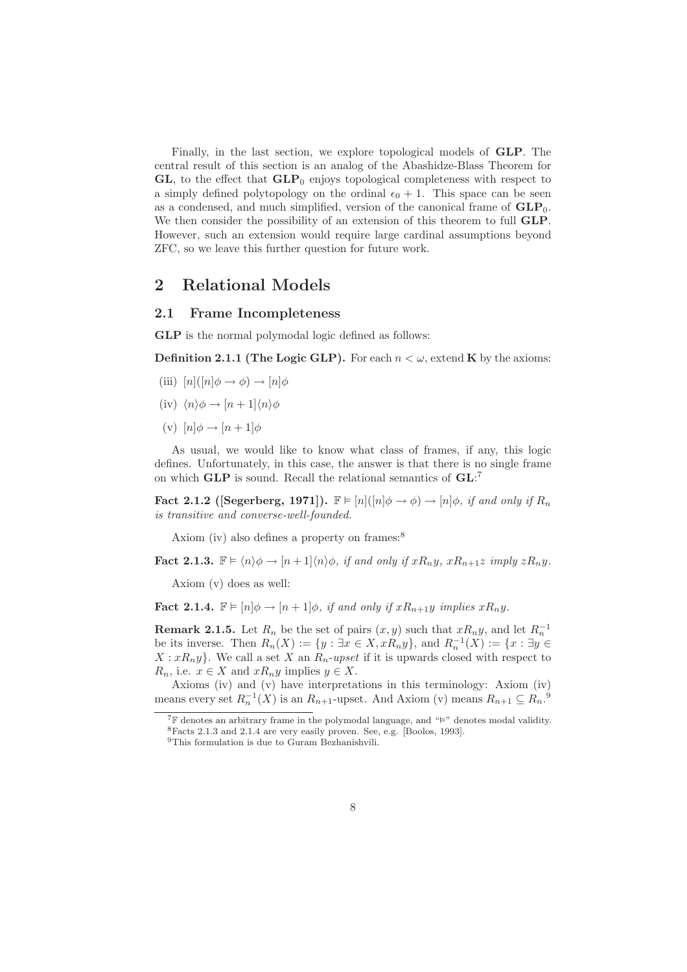Finally, in the last section, we explore topological models of GLP. The central result of this section is an analog of the Abashidze-Blass Theorem for  $GL$ , to the effect that  $GLP_0$  enjoys topological completeness with respect to a simply defined polytopology on the ordinal  $\epsilon_0 + 1$ . This space can be seen as a condensed, and much simplified, version of the canonical frame of  $GLP_0$ . We then consider the possibility of an extension of this theorem to full GLP. However, such an extension would require large cardinal assumptions beyond ZFC, so we leave this further question for future work.

## 2 Relational Models

#### 2.1 Frame Incompleteness

GLP is the normal polymodal logic defined as follows:

**Definition 2.1.1 (The Logic GLP).** For each  $n < \omega$ , extend **K** by the axioms:

- (iii)  $[n](n|\phi \rightarrow \phi) \rightarrow [n]\phi$
- (iv)  $\langle n \rangle \phi \rightarrow [n + 1] \langle n \rangle \phi$
- (v)  $[n]\phi \rightarrow [n+1]\phi$

As usual, we would like to know what class of frames, if any, this logic defines. Unfortunately, in this case, the answer is that there is no single frame on which  $GLP$  is sound. Recall the relational semantics of  $GL<sup>7</sup>$ 

Fact 2.1.2 ([Segerberg, 1971]).  $\mathbb{F} \models [n]([n]\phi \rightarrow \phi) \rightarrow [n]\phi$ , if and only if  $R_n$ is transitive and converse-well-founded.

Axiom (iv) also defines a property on frames:<sup>8</sup>

**Fact 2.1.3.**  $\mathbb{F} \models \langle n \rangle \phi \rightarrow [n+1] \langle n \rangle \phi$ , if and only if  $xR_ny$ ,  $xR_{n+1}z$  imply  $zR_ny$ .

Axiom (v) does as well:

**Fact 2.1.4.**  $\mathbb{F} \models [n] \phi \rightarrow [n+1] \phi$ , if and only if  $xR_{n+1}y$  implies  $xR_ny$ .

**Remark 2.1.5.** Let  $R_n$  be the set of pairs  $(x, y)$  such that  $xR_ny$ , and let  $R_n^{-1}$ be its inverse. Then  $R_n(X) := \{y : \exists x \in X, xR_ny\}$ , and  $R_n^{-1}(X) := \{x : \exists y \in X, xR_ny\}$  $X: xR_n y$ . We call a set X an  $R_n$ -upset if it is upwards closed with respect to  $R_n$ , i.e.  $x \in X$  and  $xR_ny$  implies  $y \in X$ .

Axioms (iv) and (v) have interpretations in this terminology: Axiom (iv) means every set  $R_n^{-1}(X)$  is an  $R_{n+1}$ -upset. And Axiom (v) means  $R_{n+1} \subseteq R_n$ .<sup>9</sup>

 $7\mathbb{F}$  denotes an arbitrary frame in the polymodal language, and " $\mathbb{H}$ " denotes modal validity. <sup>8</sup>Facts 2.1.3 and 2.1.4 are very easily proven. See, e.g. [Boolos, 1993].

<sup>&</sup>lt;sup>9</sup>This formulation is due to Guram Bezhanishvili.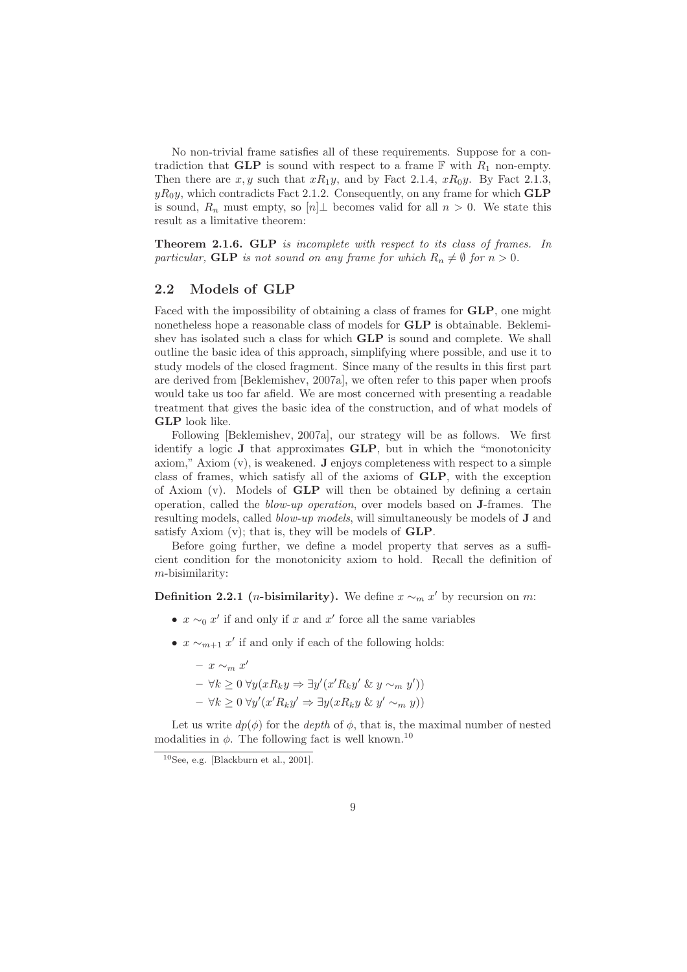No non-trivial frame satisfies all of these requirements. Suppose for a contradiction that GLP is sound with respect to a frame  $\mathbb F$  with  $R_1$  non-empty. Then there are  $x, y$  such that  $xR_1y$ , and by Fact 2.1.4,  $xR_0y$ . By Fact 2.1.3,  $yR_0y$ , which contradicts Fact 2.1.2. Consequently, on any frame for which **GLP** is sound,  $R_n$  must empty, so  $[n] \perp$  becomes valid for all  $n > 0$ . We state this result as a limitative theorem:

Theorem 2.1.6. GLP is incomplete with respect to its class of frames. In particular, GLP is not sound on any frame for which  $R_n \neq \emptyset$  for  $n > 0$ .

## 2.2 Models of GLP

Faced with the impossibility of obtaining a class of frames for GLP, one might nonetheless hope a reasonable class of models for GLP is obtainable. Beklemishev has isolated such a class for which GLP is sound and complete. We shall outline the basic idea of this approach, simplifying where possible, and use it to study models of the closed fragment. Since many of the results in this first part are derived from [Beklemishev, 2007a], we often refer to this paper when proofs would take us too far afield. We are most concerned with presenting a readable treatment that gives the basic idea of the construction, and of what models of GLP look like.

Following [Beklemishev, 2007a], our strategy will be as follows. We first identify a logic J that approximates GLP, but in which the "monotonicity axiom," Axiom  $(v)$ , is weakened. **J** enjoys completeness with respect to a simple class of frames, which satisfy all of the axioms of GLP, with the exception of Axiom (v). Models of GLP will then be obtained by defining a certain operation, called the blow-up operation, over models based on J-frames. The resulting models, called blow-up models, will simultaneously be models of J and satisfy Axiom (v); that is, they will be models of GLP.

Before going further, we define a model property that serves as a sufficient condition for the monotonicity axiom to hold. Recall the definition of m-bisimilarity:

**Definition 2.2.1** (*n*-bisimilarity). We define  $x \sim_m x'$  by recursion on *m*:

- $x \sim_0 x'$  if and only if x and  $x'$  force all the same variables
- $x \sim_{m+1} x'$  if and only if each of the following holds:
	- $x \sim_m x'$  $- \forall k \geq 0 \ \forall y (x R_k y \Rightarrow \exists y' (x' R_k y' \ \& \ y \sim_m y'))$  $- \forall k \geq 0 \,\forall y'(x' R_k y' \Rightarrow \exists y(x R_k y \& y' \sim_m y))$

Let us write  $dp(\phi)$  for the *depth* of  $\phi$ , that is, the maximal number of nested modalities in  $\phi$ . The following fact is well known.<sup>10</sup>

 $10$ See, e.g. [Blackburn et al., 2001].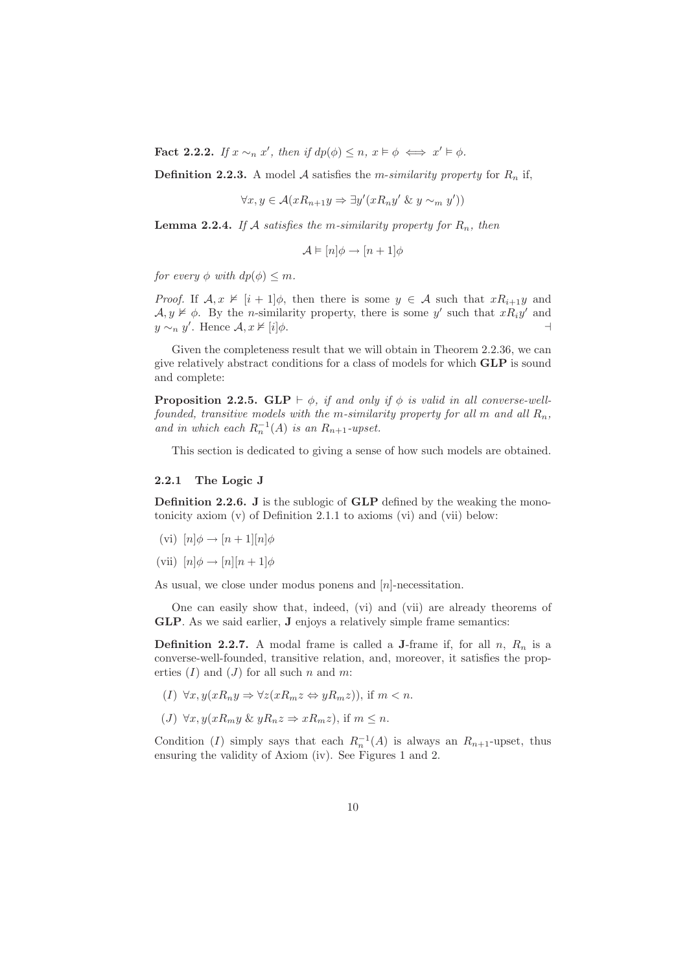**Fact 2.2.2.** If  $x \sim_n x'$ , then if  $dp(\phi) \leq n, x \models \phi \iff x' \models \phi$ .

**Definition 2.2.3.** A model A satisfies the *m*-similarity property for  $R_n$  if,

$$
\forall x, y \in \mathcal{A}(xR_{n+1}y \Rightarrow \exists y'(xR_ny' \& y \sim_m y'))
$$

**Lemma 2.2.4.** If A satisfies the m-similarity property for  $R_n$ , then

$$
\mathcal{A} \models [n] \phi \rightarrow [n+1] \phi
$$

for every  $\phi$  with  $dp(\phi) \leq m$ .

*Proof.* If  $A, x \nvDash [i + 1]\phi$ , then there is some  $y \in A$  such that  $xR_{i+1}y$  and  $\mathcal{A}, y \not\vDash \phi$ . By the *n*-similarity property, there is some y' such that  $xR_iy'$  and  $y \sim_n y'$ . Hence  $\mathcal{A}, x \nvDash [i] \phi$ .

Given the completeness result that we will obtain in Theorem 2.2.36, we can give relatively abstract conditions for a class of models for which GLP is sound and complete:

**Proposition 2.2.5.** GLP  $\vdash \phi$ , if and only if  $\phi$  is valid in all converse-wellfounded, transitive models with the m-similarity property for all m and all  $R_n$ , and in which each  $R_n^{-1}(A)$  is an  $R_{n+1}$ -upset.

This section is dedicated to giving a sense of how such models are obtained.

#### 2.2.1 The Logic J

Definition 2.2.6. J is the sublogic of GLP defined by the weaking the monotonicity axiom (v) of Definition 2.1.1 to axioms (vi) and (vii) below:

(vi)  $[n]\phi \rightarrow [n+1][n]\phi$ 

(vii)  $[n]\phi \rightarrow [n][n+1]\phi$ 

As usual, we close under modus ponens and  $[n]$ -necessitation.

One can easily show that, indeed, (vi) and (vii) are already theorems of GLP. As we said earlier, J enjoys a relatively simple frame semantics:

**Definition 2.2.7.** A modal frame is called a **J**-frame if, for all n,  $R_n$  is a converse-well-founded, transitive relation, and, moreover, it satisfies the properties  $(I)$  and  $(J)$  for all such n and m:

- (I)  $\forall x, y(xR_ny \Rightarrow \forall z(xR_mz \Leftrightarrow yR_mz)$ , if  $m < n$ .
- (J)  $\forall x, y(xR_my \& yR_nz \Rightarrow xR_mz)$ , if  $m \leq n$ .

Condition (I) simply says that each  $R_n^{-1}(A)$  is always an  $R_{n+1}$ -upset, thus ensuring the validity of Axiom (iv). See Figures 1 and 2.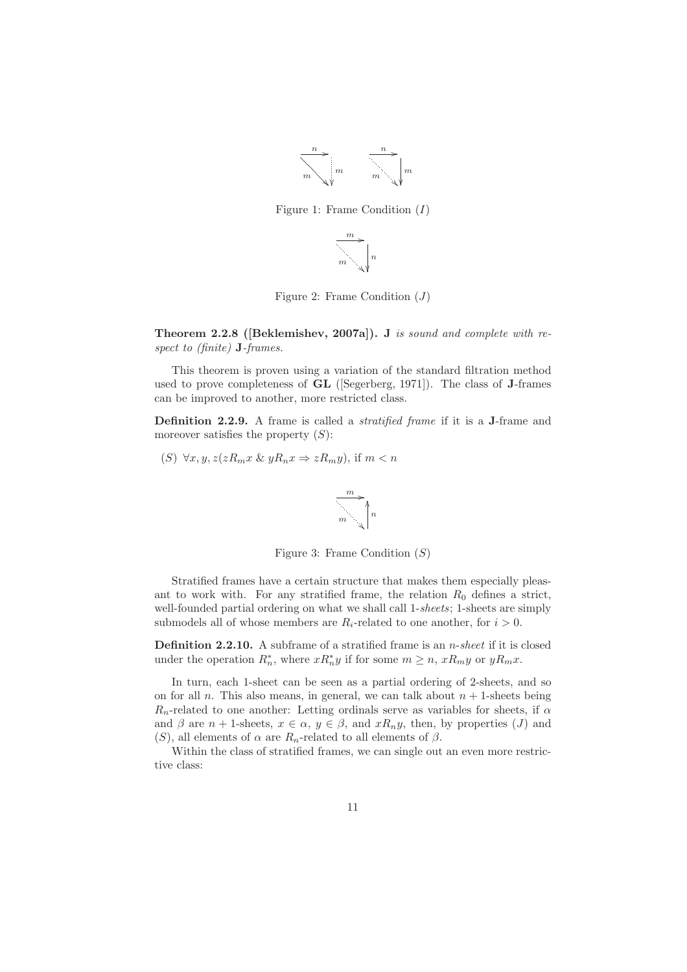

Figure 1: Frame Condition  $(I)$ 

$$
\overrightarrow{\hspace{2cm}}^m \longrightarrow \hspace{2cm} \Bigg\downarrow n
$$

Figure 2: Frame Condition  $(J)$ 

Theorem 2.2.8 ([Beklemishev, 2007a]). J is sound and complete with respect to (finite) **J**-frames.

This theorem is proven using a variation of the standard filtration method used to prove completeness of GL ([Segerberg, 1971]). The class of J-frames can be improved to another, more restricted class.

Definition 2.2.9. A frame is called a *stratified frame* if it is a J-frame and moreover satisfies the property  $(S)$ :

(S) 
$$
\forall x, y, z(zR_m x \& yR_n x \Rightarrow zR_m y)
$$
, if  $m < n$ 



Figure 3: Frame Condition  $(S)$ 

Stratified frames have a certain structure that makes them especially pleasant to work with. For any stratified frame, the relation  $R_0$  defines a strict, well-founded partial ordering on what we shall call 1-sheets; 1-sheets are simply submodels all of whose members are  $R_i$ -related to one another, for  $i > 0$ .

**Definition 2.2.10.** A subframe of a stratified frame is an  $n$ -sheet if it is closed under the operation  $R_n^*$ , where  $xR_n^*y$  if for some  $m \geq n$ ,  $xR_my$  or  $yR_mx$ .

In turn, each 1-sheet can be seen as a partial ordering of 2-sheets, and so on for all n. This also means, in general, we can talk about  $n + 1$ -sheets being  $R_n$ -related to one another: Letting ordinals serve as variables for sheets, if  $\alpha$ and  $\beta$  are  $n + 1$ -sheets,  $x \in \alpha$ ,  $y \in \beta$ , and  $xR_ny$ , then, by properties  $(J)$  and (S), all elements of  $\alpha$  are  $R_n$ -related to all elements of  $\beta$ .

Within the class of stratified frames, we can single out an even more restrictive class: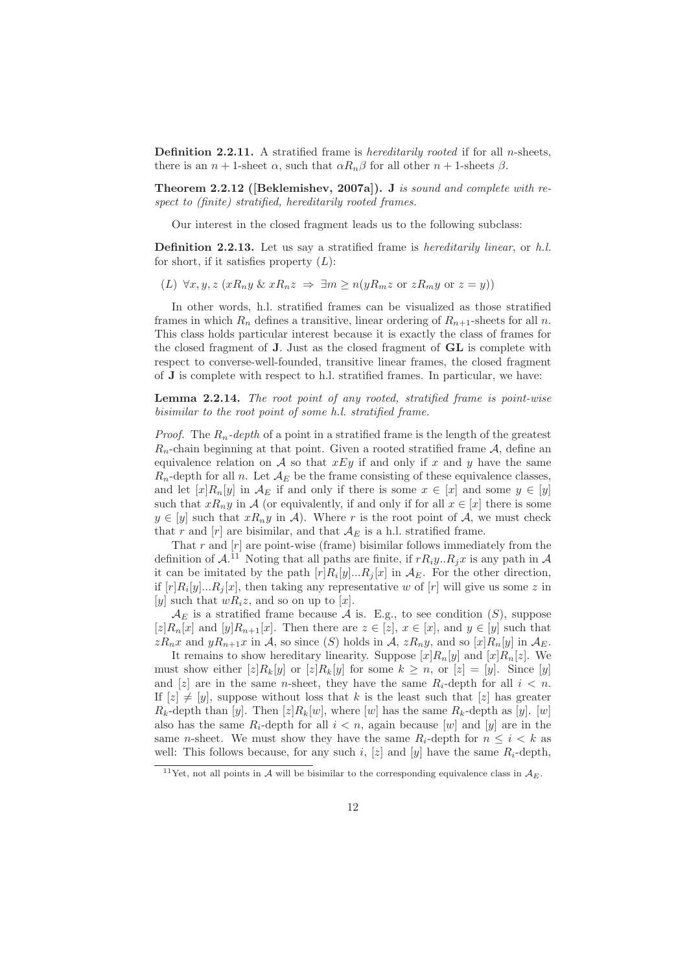**Definition 2.2.11.** A stratified frame is *hereditarily rooted* if for all *n*-sheets, there is an  $n + 1$ -sheet  $\alpha$ , such that  $\alpha R_n \beta$  for all other  $n + 1$ -sheets  $\beta$ .

Theorem 2.2.12 ([Beklemishev, 2007a]). J is sound and complete with respect to (finite) stratified, hereditarily rooted frames.

Our interest in the closed fragment leads us to the following subclass:

Definition 2.2.13. Let us say a stratified frame is *hereditarily linear*, or h.l. for short, if it satisfies property  $(L)$ :

(L)  $\forall x, y, z \ (xR_ny \ \& \ xR_nz \ \Rightarrow \ \exists m \geq n(yR_mz \ \text{or} \ zR_my \ \text{or} \ z=y))$ 

In other words, h.l. stratified frames can be visualized as those stratified frames in which  $R_n$  defines a transitive, linear ordering of  $R_{n+1}$ -sheets for all n. This class holds particular interest because it is exactly the class of frames for the closed fragment of J. Just as the closed fragment of GL is complete with respect to converse-well-founded, transitive linear frames, the closed fragment of J is complete with respect to h.l. stratified frames. In particular, we have:

Lemma 2.2.14. The root point of any rooted, stratified frame is point-wise bisimilar to the root point of some h.l. stratified frame.

*Proof.* The  $R_n$ -depth of a point in a stratified frame is the length of the greatest  $R_n$ -chain beginning at that point. Given a rooted stratified frame A, define an equivalence relation on A so that  $xEy$  if and only if x and y have the same  $R_n$ -depth for all n. Let  $\mathcal{A}_E$  be the frame consisting of these equivalence classes, and let  $[x]R_n[y]$  in  $\mathcal{A}_E$  if and only if there is some  $x \in [x]$  and some  $y \in [y]$ such that  $xR_ny$  in A (or equivalently, if and only if for all  $x \in [x]$  there is some  $y \in [y]$  such that  $xR_ny$  in A). Where r is the root point of A, we must check that r and  $[r]$  are bisimilar, and that  $A_E$  is a h.l. stratified frame.

That  $r$  and  $[r]$  are point-wise (frame) bisimilar follows immediately from the definition of  $A^{11}$  Noting that all paths are finite, if  $rR_iy..R_jx$  is any path in A it can be imitated by the path  $[r]R_i[y]...R_j[x]$  in  $\mathcal{A}_E$ . For the other direction, if  $[r]R_i[y]...R_j[x]$ , then taking any representative w of  $[r]$  will give us some z in [y] such that  $wR_iz$ , and so on up to [x].

 $\mathcal{A}_E$  is a stratified frame because  $\mathcal A$  is. E.g., to see condition  $(S)$ , suppose  $[z]R_n[x]$  and  $[y]R_{n+1}[x]$ . Then there are  $z \in [z]$ ,  $x \in [x]$ , and  $y \in [y]$  such that  $zR_nx$  and  $yR_{n+1}x$  in A, so since (S) holds in A,  $zR_ny$ , and so  $[x]R_n[y]$  in  $\mathcal{A}_E$ .

It remains to show hereditary linearity. Suppose  $[x]R_n[y]$  and  $[x]R_n[z]$ . We must show either  $[z]R_k[y]$  or  $[z]R_k[y]$  for some  $k \geq n$ , or  $[z] = [y]$ . Since  $[y]$ and [z] are in the same *n*-sheet, they have the same  $R_i$ -depth for all  $i < n$ . If  $[z] \neq [y]$ , suppose without loss that k is the least such that  $[z]$  has greater  $R_k$ -depth than [y]. Then [z] $R_k[w]$ , where [w] has the same  $R_k$ -depth as [y]. [w] also has the same  $R_i$ -depth for all  $i < n$ , again because  $[w]$  and  $[y]$  are in the same *n*-sheet. We must show they have the same  $R_i$ -depth for  $n \leq i \leq k$  as well: This follows because, for any such i, [z] and [y] have the same  $R_i$ -depth,

<sup>&</sup>lt;sup>11</sup>Yet, not all points in A will be bisimilar to the corresponding equivalence class in  $A_E$ .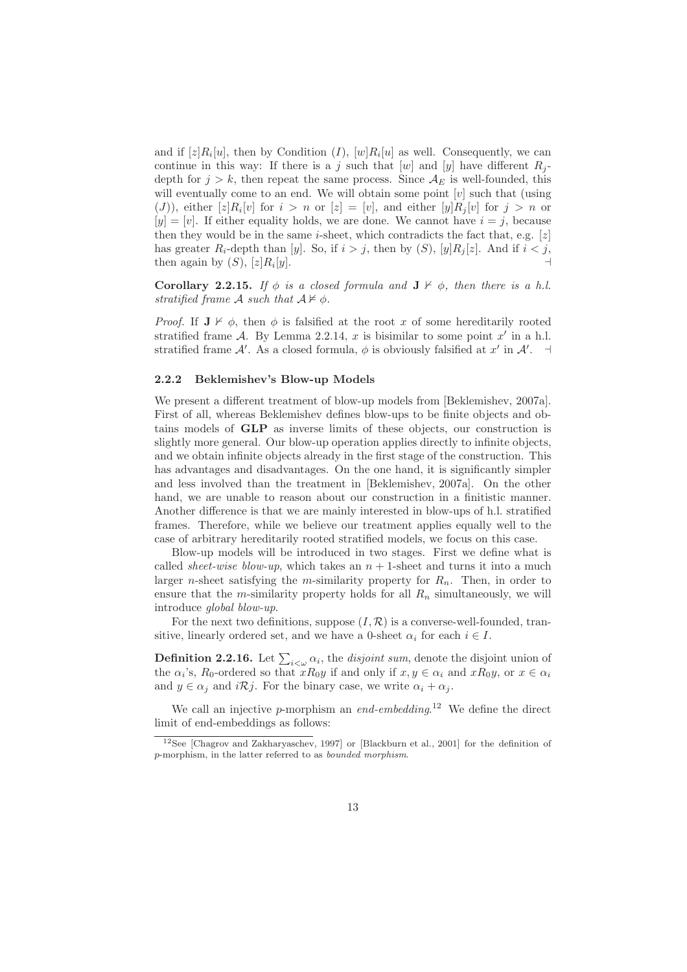and if  $[z]R_i[u]$ , then by Condition  $(I)$ ,  $[w]R_i[u]$  as well. Consequently, we can continue in this way: If there is a j such that  $[w]$  and  $[y]$  have different  $R_j$ depth for  $j > k$ , then repeat the same process. Since  $A_E$  is well-founded, this will eventually come to an end. We will obtain some point  $[v]$  such that (using  $( J )$ ), either  $[z]R_i[v]$  for  $i > n$  or  $[z] = [v]$ , and either  $[y]R_j[v]$  for  $j > n$  or  $[y] = [v]$ . If either equality holds, we are done. We cannot have  $i = j$ , because then they would be in the same *i*-sheet, which contradicts the fact that, e.g.  $[z]$ has greater  $R_i$ -depth than [y]. So, if  $i > j$ , then by  $(S)$ , [y] $R_j[z]$ . And if  $i < j$ , then again by  $(S)$ ,  $[z]R_i[y]$ .  $[y]$ .

Corollary 2.2.15. If  $\phi$  is a closed formula and  $J \nvdash \phi$ , then there is a h.l. stratified frame A such that  $A \not\vDash \phi$ .

*Proof.* If  $J \nvdash \phi$ , then  $\phi$  is falsified at the root x of some hereditarily rooted stratified frame A. By Lemma 2.2.14,  $x$  is bisimilar to some point  $x'$  in a h.l. stratified frame A'. As a closed formula,  $\phi$  is obviously falsified at x' in A'.  $\exists$ 

#### 2.2.2 Beklemishev's Blow-up Models

We present a different treatment of blow-up models from [Beklemishev, 2007a]. First of all, whereas Beklemishev defines blow-ups to be finite objects and obtains models of GLP as inverse limits of these objects, our construction is slightly more general. Our blow-up operation applies directly to infinite objects, and we obtain infinite objects already in the first stage of the construction. This has advantages and disadvantages. On the one hand, it is significantly simpler and less involved than the treatment in [Beklemishev, 2007a]. On the other hand, we are unable to reason about our construction in a finitistic manner. Another difference is that we are mainly interested in blow-ups of h.l. stratified frames. Therefore, while we believe our treatment applies equally well to the case of arbitrary hereditarily rooted stratified models, we focus on this case.

Blow-up models will be introduced in two stages. First we define what is called *sheet-wise blow-up*, which takes an  $n + 1$ -sheet and turns it into a much larger *n*-sheet satisfying the *m*-similarity property for  $R_n$ . Then, in order to ensure that the m-similarity property holds for all  $R_n$  simultaneously, we will introduce global blow-up.

For the next two definitions, suppose  $(I, \mathcal{R})$  is a converse-well-founded, transitive, linearly ordered set, and we have a 0-sheet  $\alpha_i$  for each  $i \in I$ .

**Definition 2.2.16.** Let  $\sum_{i < \omega} \alpha_i$ , the *disjoint sum*, denote the disjoint union of the  $\alpha_i$ 's,  $R_0$ -ordered so that  $xR_0y$  if and only if  $x, y \in \alpha_i$  and  $xR_0y$ , or  $x \in \alpha_i$ and  $y \in \alpha_i$  and  $i\mathcal{R}j$ . For the binary case, we write  $\alpha_i + \alpha_j$ .

We call an injective  $p$ -morphism an end-embedding.<sup>12</sup> We define the direct limit of end-embeddings as follows:

<sup>&</sup>lt;sup>12</sup>See [Chagrov and Zakharyaschev, 1997] or [Blackburn et al., 2001] for the definition of p-morphism, in the latter referred to as bounded morphism.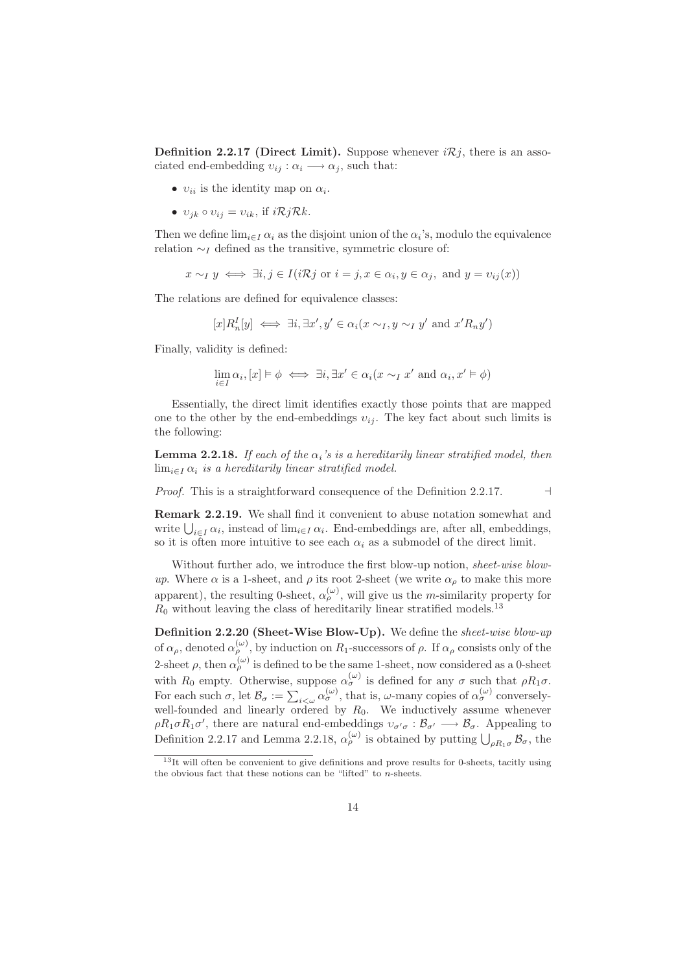**Definition 2.2.17 (Direct Limit).** Suppose whenever  $i\mathcal{R}j$ , there is an associated end-embedding  $v_{ij}: \alpha_i \longrightarrow \alpha_j$ , such that:

- $v_{ii}$  is the identity map on  $\alpha_i$ .
- $v_{ik} \circ v_{ij} = v_{ik}$ , if  $i \mathcal{R} j \mathcal{R} k$ .

Then we define  $\lim_{i \in I} \alpha_i$  as the disjoint union of the  $\alpha_i$ 's, modulo the equivalence relation  $\sim_I$  defined as the transitive, symmetric closure of:

$$
x \sim_I y \iff \exists i, j \in I (i\mathcal{R}j \text{ or } i = j, x \in \alpha_i, y \in \alpha_j, \text{ and } y = v_{ij}(x))
$$

The relations are defined for equivalence classes:

$$
[x]R_n^I[y] \iff \exists i, \exists x', y' \in \alpha_i(x \sim_I, y \sim_I y' \text{ and } x'R_ny')
$$

Finally, validity is defined:

$$
\lim_{i \in I} \alpha_i, [x] \models \phi \iff \exists i, \exists x' \in \alpha_i (x \sim_I x' \text{ and } \alpha_i, x' \models \phi)
$$

Essentially, the direct limit identifies exactly those points that are mapped one to the other by the end-embeddings  $v_{ij}$ . The key fact about such limits is the following:

**Lemma 2.2.18.** If each of the  $\alpha_i$ 's is a hereditarily linear stratified model, then  $\lim_{i\in I}\alpha_i$  is a hereditarily linear stratified model.

Proof. This is a straightforward consequence of the Definition 2.2.17. →

Remark 2.2.19. We shall find it convenient to abuse notation somewhat and write  $\bigcup_{i\in I}\alpha_i$ , instead of lim<sub>i∈I</sub>  $\alpha_i$ . End-embeddings are, after all, embeddings, so it is often more intuitive to see each  $\alpha_i$  as a submodel of the direct limit.

Without further ado, we introduce the first blow-up notion, sheet-wise blowup. Where  $\alpha$  is a 1-sheet, and  $\rho$  its root 2-sheet (we write  $\alpha_{\rho}$  to make this more apparent), the resulting 0-sheet,  $\alpha_{\rho}^{(\omega)}$ , will give us the *m*-similarity property for  $R_0$  without leaving the class of hereditarily linear stratified models.<sup>13</sup>

Definition 2.2.20 (Sheet-Wise Blow-Up). We define the sheet-wise blow-up of  $\alpha_{\rho}$ , denoted  $\alpha_{\rho}^{(\omega)}$ , by induction on  $R_1$ -successors of  $\rho$ . If  $\alpha_{\rho}$  consists only of the 2-sheet  $\rho$ , then  $\alpha_{\rho}^{(\omega)}$  is defined to be the same 1-sheet, now considered as a 0-sheet with  $R_0$  empty. Otherwise, suppose  $\alpha_{\sigma}^{(\omega)}$  is defined for any  $\sigma$  such that  $\rho R_1 \sigma$ . For each such  $\sigma$ , let  $\mathcal{B}_{\sigma} := \sum_{i<\omega} \alpha_{\sigma}^{(\omega)}$ , that is,  $\omega$ -many copies of  $\alpha_{\sigma}^{(\omega)}$  converselywell-founded and linearly ordered by  $R_0$ . We inductively assume whenever  $\rho R_1 \sigma R_1 \sigma'$ , there are natural end-embeddings  $v_{\sigma' \sigma} : \mathcal{B}_{\sigma'} \longrightarrow \mathcal{B}_{\sigma}$ . Appealing to Definition 2.2.17 and Lemma 2.2.18,  $\alpha_{\rho}^{(\omega)}$  is obtained by putting  $\bigcup_{\rho R_1\sigma} \mathcal{B}_{\sigma}$ , the

<sup>&</sup>lt;sup>13</sup>It will often be convenient to give definitions and prove results for 0-sheets, tacitly using the obvious fact that these notions can be "lifted" to n-sheets.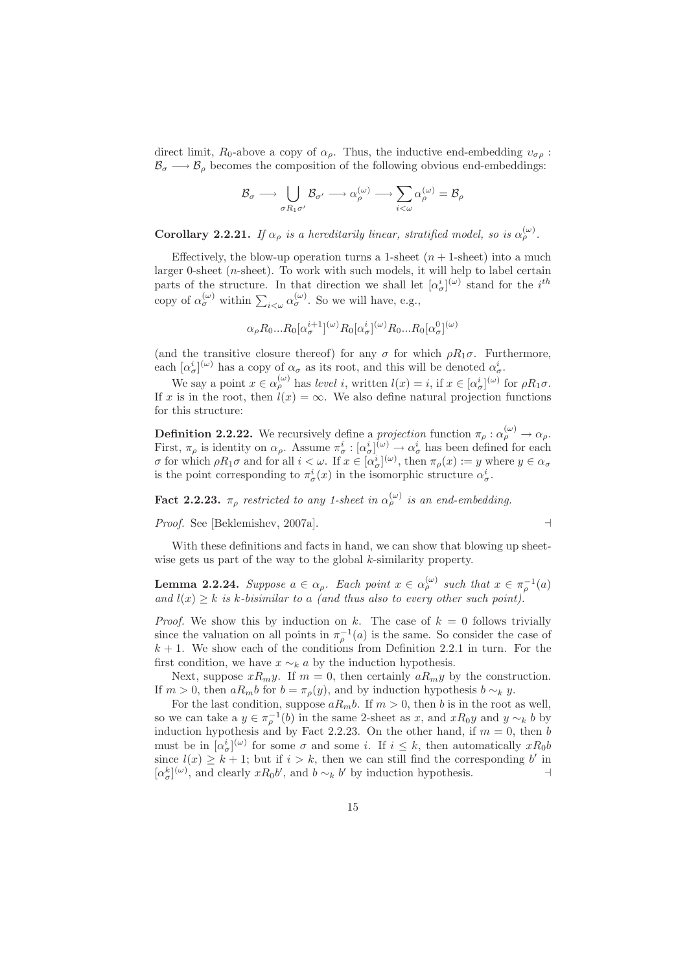direct limit,  $R_0$ -above a copy of  $\alpha_\rho$ . Thus, the inductive end-embedding  $v_{\sigma\rho}$ :  $\mathcal{B}_{\sigma} \longrightarrow \mathcal{B}_{\rho}$  becomes the composition of the following obvious end-embeddings:

$$
\mathcal{B}_\sigma\longrightarrow \bigcup_{\sigma R_1\sigma'} \mathcal{B}_{\sigma'}\longrightarrow \alpha_\rho^{(\omega)}\longrightarrow \sum_{i<\omega}\alpha_\rho^{(\omega)}=\mathcal{B}_\rho
$$

**Corollary 2.2.21.** If  $\alpha_{\rho}$  is a hereditarily linear, stratified model, so is  $\alpha_{\rho}^{(\omega)}$ .

Effectively, the blow-up operation turns a 1-sheet  $(n + 1$ -sheet) into a much larger 0-sheet (*n*-sheet). To work with such models, it will help to label certain parts of the structure. In that direction we shall let  $[\alpha_{\sigma}^{i}]^{(\omega)}$  stand for the  $i^{th}$ copy of  $\alpha_{\sigma}^{(\omega)}$  within  $\sum_{i<\omega} \alpha_{\sigma}^{(\omega)}$ . So we will have, e.g.,

$$
\alpha_{\rho} R_0 ... R_0 [\alpha_{\sigma}^{i+1}]^{(\omega)} R_0 [\alpha_{\sigma}^{i}]^{(\omega)} R_0 ... R_0 [\alpha_{\sigma}^{0}]^{(\omega)}
$$

(and the transitive closure thereof) for any  $\sigma$  for which  $\rho R_1 \sigma$ . Furthermore, each  $[\alpha^i_{\sigma}]^{(\omega)}$  has a copy of  $\alpha_{\sigma}$  as its root, and this will be denoted  $\alpha^i_{\sigma}$ .

We say a point  $x \in \alpha_{\rho}^{(\omega)}$  has level i, written  $l(x) = i$ , if  $x \in [\alpha_{\sigma}^{i}]^{(\omega)}$  for  $\rho R_1 \sigma$ . If x is in the root, then  $l(x) = \infty$ . We also define natural projection functions for this structure:

**Definition 2.2.22.** We recursively define a *projection* function  $\pi_{\rho}: \alpha_{\rho}^{(\omega)} \to \alpha_{\rho}$ . First,  $\pi_{\rho}$  is identity on  $\alpha_{\rho}$ . Assume  $\pi_{\sigma}^{i} : [\alpha_{\sigma}^{i}]^{(\omega)} \to \alpha_{\sigma}^{i}$  has been defined for each σ for which  $\rho R_1$ σ and for all  $i < \omega$ . If  $x \in [\alpha^i_{\sigma}]^{(\omega)}$ , then  $\pi_\rho(x) := y$  where  $y \in \alpha_\sigma$ is the point corresponding to  $\pi^i_\sigma(x)$  in the isomorphic structure  $\alpha^i_\sigma$ .

**Fact 2.2.23.**  $\pi_{\rho}$  restricted to any 1-sheet in  $\alpha_{\rho}^{(\omega)}$  is an end-embedding.

Proof. See [Beklemishev, 2007a]. ⊣

With these definitions and facts in hand, we can show that blowing up sheetwise gets us part of the way to the global 
$$
k
$$
-similarity property.

**Lemma 2.2.24.** Suppose  $a \in \alpha_\rho$ . Each point  $x \in \alpha_\rho^{(\omega)}$  such that  $x \in \pi_\rho^{-1}(a)$ and  $l(x) \geq k$  is k-bisimilar to a (and thus also to every other such point).

*Proof.* We show this by induction on k. The case of  $k = 0$  follows trivially since the valuation on all points in  $\pi_{\rho}^{-1}(a)$  is the same. So consider the case of  $k + 1$ . We show each of the conditions from Definition 2.2.1 in turn. For the first condition, we have  $x \sim_k a$  by the induction hypothesis.

Next, suppose  $xR_my$ . If  $m = 0$ , then certainly  $aR_my$  by the construction. If  $m > 0$ , then  $aR_mb$  for  $b = \pi_\rho(y)$ , and by induction hypothesis  $b \sim_k y$ .

For the last condition, suppose  $aR_mb$ . If  $m > 0$ , then b is in the root as well, so we can take a  $y \in \pi_{\rho}^{-1}(b)$  in the same 2-sheet as x, and  $xR_0y$  and  $y \sim_k b$  by induction hypothesis and by Fact 2.2.23. On the other hand, if  $m = 0$ , then b must be in  $[\alpha_{\sigma}^{i}]^{(\omega)}$  for some  $\sigma$  and some i. If  $i \leq k$ , then automatically  $xR_0b$ since  $l(x) \geq k+1$ ; but if  $i > k$ , then we can still find the corresponding b' in  $[\alpha_{\sigma}^{k}]^{(\omega)}$ , and clearly  $xR_0b'$ , and  $b \sim_k b'$  by induction hypothesis. ⊣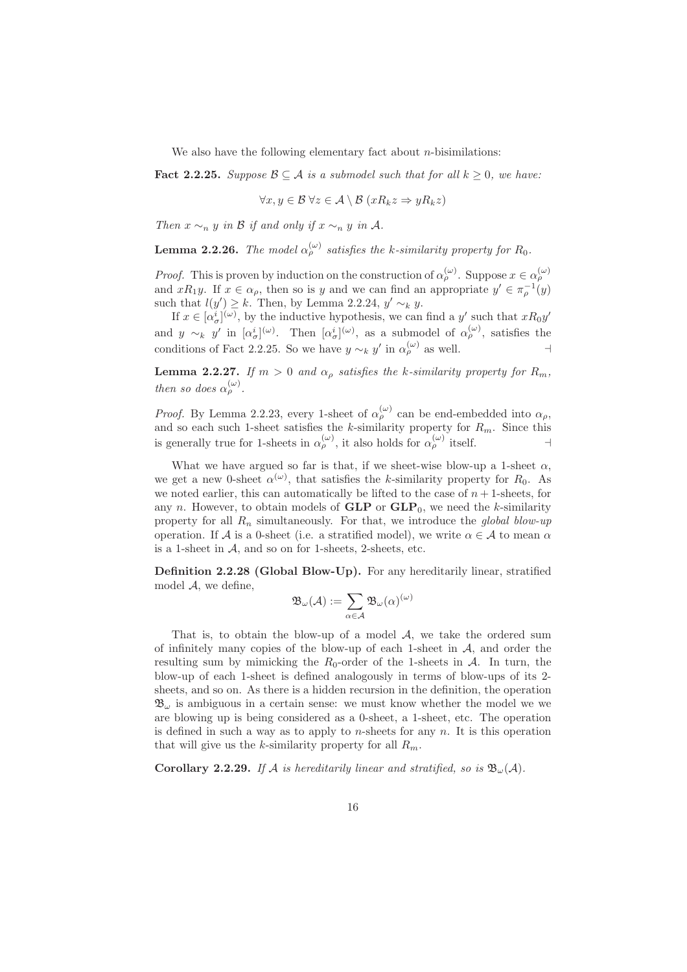We also have the following elementary fact about  $n$ -bisimilations:

Fact 2.2.25. Suppose  $\mathcal{B} \subseteq \mathcal{A}$  is a submodel such that for all  $k \geq 0$ , we have:

$$
\forall x, y \in \mathcal{B} \ \forall z \in \mathcal{A} \setminus \mathcal{B} \ (xR_k z \Rightarrow yR_k z)
$$

Then  $x \sim_n y$  in B if and only if  $x \sim_n y$  in A.

**Lemma 2.2.26.** The model  $\alpha_{\rho}^{(\omega)}$  satisfies the k-similarity property for  $R_0$ .

*Proof.* This is proven by induction on the construction of  $\alpha_{\rho}^{(\omega)}$ . Suppose  $x \in \alpha_{\rho}^{(\omega)}$ and  $xR_1y$ . If  $x \in \alpha_\rho$ , then so is y and we can find an appropriate  $y' \in \pi_\rho^{-1}(y)$ such that  $l(y') \geq k$ . Then, by Lemma 2.2.24,  $y' \sim_k y$ .

If  $x \in [\alpha_{\sigma}^{i}]^{(\omega)}$ , by the inductive hypothesis, we can find a y' such that  $xR_0y'$ and  $y \sim_k y'$  in  $[\alpha^i_\sigma]^{(\omega)}$ . Then  $[\alpha^i_\sigma]^{(\omega)}$ , as a submodel of  $\alpha^{(\omega)}_\rho$ , satisfies the conditions of Fact 2.2.25. So we have  $y \sim_k y'$  in  $\alpha_{\rho}^{(\omega)}$  as well. ⊣

**Lemma 2.2.27.** If  $m > 0$  and  $\alpha_{\rho}$  satisfies the k-similarity property for  $R_m$ , then so does  $\alpha_{\rho}^{(\omega)}$ .

*Proof.* By Lemma 2.2.23, every 1-sheet of  $\alpha_{\rho}^{(\omega)}$  can be end-embedded into  $\alpha_{\rho}$ , and so each such 1-sheet satisfies the k-similarity property for  $R_m$ . Since this is generally true for 1-sheets in  $\alpha_{\rho}^{(\omega)}$ , it also holds for  $\alpha_{\rho}^{(\omega)}$  itself.

What we have argued so far is that, if we sheet-wise blow-up a 1-sheet  $\alpha$ , we get a new 0-sheet  $\alpha^{(\omega)}$ , that satisfies the k-similarity property for  $R_0$ . As we noted earlier, this can automatically be lifted to the case of  $n+1$ -sheets, for any n. However, to obtain models of  $GLP$  or  $GLP_0$ , we need the k-similarity property for all  $R_n$  simultaneously. For that, we introduce the global blow-up operation. If A is a 0-sheet (i.e. a stratified model), we write  $\alpha \in A$  to mean  $\alpha$ is a 1-sheet in  $A$ , and so on for 1-sheets, 2-sheets, etc.

Definition 2.2.28 (Global Blow-Up). For any hereditarily linear, stratified model  $A$ , we define,

$$
\mathfrak{B}_{\omega}(\mathcal{A}):=\sum_{\alpha\in\mathcal{A}}\mathfrak{B}_{\omega}(\alpha)^{(\omega)}
$$

That is, to obtain the blow-up of a model  $A$ , we take the ordered sum of infinitely many copies of the blow-up of each 1-sheet in  $A$ , and order the resulting sum by mimicking the  $R_0$ -order of the 1-sheets in  $A$ . In turn, the blow-up of each 1-sheet is defined analogously in terms of blow-ups of its 2 sheets, and so on. As there is a hidden recursion in the definition, the operation  $\mathfrak{B}_{\omega}$  is ambiguous in a certain sense: we must know whether the model we we are blowing up is being considered as a 0-sheet, a 1-sheet, etc. The operation is defined in such a way as to apply to *n*-sheets for any  $n$ . It is this operation that will give us the k-similarity property for all  $R_m$ .

Corollary 2.2.29. If A is hereditarily linear and stratified, so is  $\mathfrak{B}_{\omega}(\mathcal{A})$ .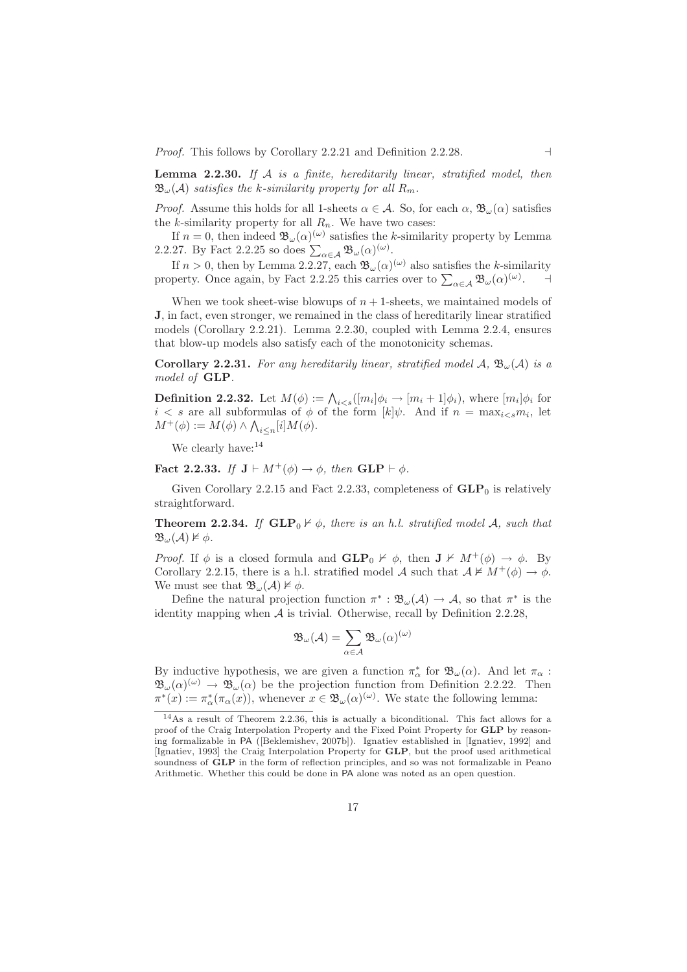*Proof.* This follows by Corollary 2.2.21 and Definition 2.2.28. ⊣

**Lemma 2.2.30.** If  $A$  is a finite, hereditarily linear, stratified model, then  $\mathfrak{B}_{\omega}(\mathcal{A})$  satisfies the k-similarity property for all  $R_m$ .

*Proof.* Assume this holds for all 1-sheets  $\alpha \in \mathcal{A}$ . So, for each  $\alpha$ ,  $\mathcal{B}_{\omega}(\alpha)$  satisfies the k-similarity property for all  $R_n$ . We have two cases:

If  $n = 0$ , then indeed  $\mathfrak{B}_{\omega}(\alpha)^{(\omega)}$  satisfies the k-similarity property by Lemma 2.2.27. By Fact 2.2.25 so does  $\sum_{\alpha \in A} \mathfrak{B}_{\omega}(\alpha)^{(\omega)}$ .

If  $n > 0$ , then by Lemma 2.2.27, each  $\mathfrak{B}_{\omega}(\alpha)^{(\omega)}$  also satisfies the k-similarity property. Once again, by Fact 2.2.25 this carries over to  $\sum_{\alpha \in A} \mathfrak{B}_{\omega}(\alpha)^{(\omega)}$ . ⊣

When we took sheet-wise blowups of  $n + 1$ -sheets, we maintained models of J, in fact, even stronger, we remained in the class of hereditarily linear stratified models (Corollary 2.2.21). Lemma 2.2.30, coupled with Lemma 2.2.4, ensures that blow-up models also satisfy each of the monotonicity schemas.

**Corollary 2.2.31.** For any hereditarily linear, stratified model A,  $\mathfrak{B}_{\omega}(A)$  is a model of GLP.

**Definition 2.2.32.** Let  $M(\phi) := \bigwedge_{i < s} ([m_i] \phi_i \to [m_i + 1] \phi_i)$ , where  $[m_i] \phi_i$  for  $i < s$  are all subformulas of  $\phi$  of the form  $[k]\psi$ . And if  $n = \max_{i \leq s} m_i$ , let  $M^+(\phi) := M(\phi) \wedge \bigwedge_{i \leq n} [i] M(\phi).$ 

We clearly have:<sup>14</sup>

Fact 2.2.33. If  $J \vdash M^+(\phi) \rightarrow \phi$ , then  $GLP \vdash \phi$ .

Given Corollary 2.2.15 and Fact 2.2.33, completeness of  $GLP_0$  is relatively straightforward.

**Theorem 2.2.34.** If  $GLP_0 \nvdash \phi$ , there is an h.l. stratified model A, such that  $\mathfrak{B}_{\omega}(\mathcal{A})\not\vDash \phi.$ 

*Proof.* If  $\phi$  is a closed formula and  $GLP_0 \nvdash \phi$ , then  $J \nvdash M^+(\phi) \rightarrow \phi$ . By Corollary 2.2.15, there is a h.l. stratified model A such that  $A \not\vDash M^+(\phi) \rightarrow \phi$ . We must see that  $\mathfrak{B}_{\omega}(\mathcal{A}) \not\models \phi$ .

Define the natural projection function  $\pi^* : \mathfrak{B}_{\omega}(\mathcal{A}) \to \mathcal{A}$ , so that  $\pi^*$  is the identity mapping when  $A$  is trivial. Otherwise, recall by Definition 2.2.28,

$$
\mathfrak{B}_{\omega}(\mathcal{A})=\sum_{\alpha\in\mathcal{A}}\mathfrak{B}_{\omega}(\alpha)^{(\omega)}
$$

By inductive hypothesis, we are given a function  $\pi_{\alpha}^*$  for  $\mathfrak{B}_{\omega}(\alpha)$ . And let  $\pi_{\alpha}$ :  $\mathfrak{B}_{\omega}(\alpha)^{(\omega)} \to \mathfrak{B}_{\omega}(\alpha)$  be the projection function from Definition 2.2.22. Then  $\pi^*(x) := \pi^*_{\alpha}(\pi_{\alpha}(x))$ , whenever  $x \in \mathfrak{B}_{\omega}(\alpha)^{(\omega)}$ . We state the following lemma:

<sup>14</sup>As a result of Theorem 2.2.36, this is actually a biconditional. This fact allows for a proof of the Craig Interpolation Property and the Fixed Point Property for GLP by reasoning formalizable in PA ([Beklemishev, 2007b]). Ignatiev established in [Ignatiev, 1992] and [Ignatiev, 1993] the Craig Interpolation Property for GLP, but the proof used arithmetical soundness of GLP in the form of reflection principles, and so was not formalizable in Peano Arithmetic. Whether this could be done in PA alone was noted as an open question.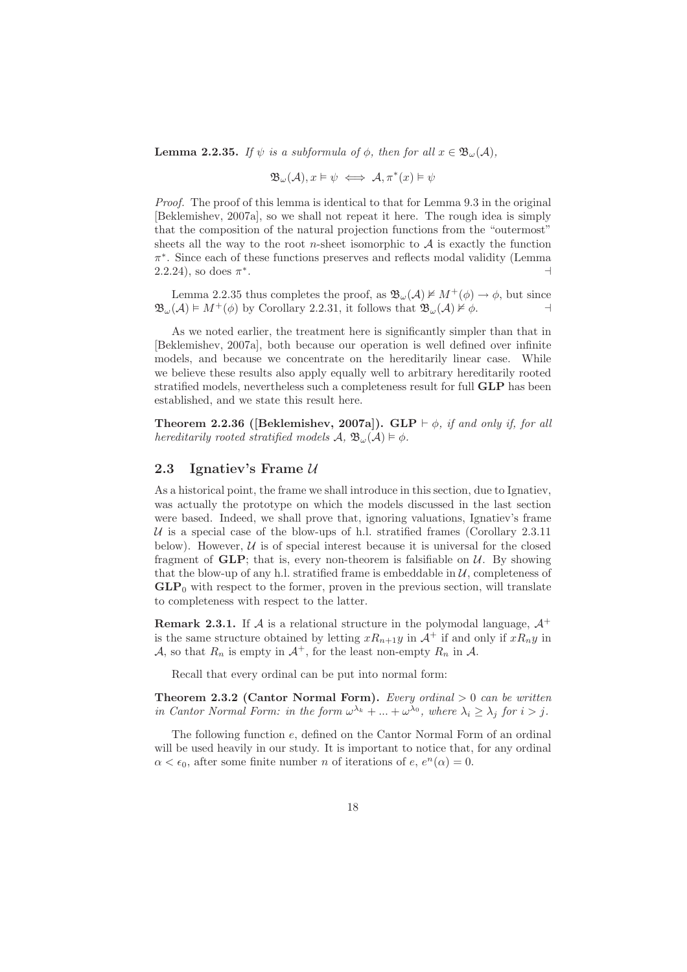**Lemma 2.2.35.** If  $\psi$  is a subformula of  $\phi$ , then for all  $x \in \mathfrak{B}_{\omega}(\mathcal{A})$ ,

$$
\mathfrak{B}_{\omega}(\mathcal{A}), x \vDash \psi \iff \mathcal{A}, \pi^*(x) \vDash \psi
$$

Proof. The proof of this lemma is identical to that for Lemma 9.3 in the original [Beklemishev, 2007a], so we shall not repeat it here. The rough idea is simply that the composition of the natural projection functions from the "outermost" sheets all the way to the root *n*-sheet isomorphic to  $A$  is exactly the function π ∗ . Since each of these functions preserves and reflects modal validity (Lemma  $(2.2.24)$ , so does  $\pi^*$ . ⊣<br>⊣

Lemma 2.2.35 thus completes the proof, as  $\mathfrak{B}_{\omega}(\mathcal{A}) \not\models M^+(\phi) \rightarrow \phi$ , but since  $\mathfrak{B}_{\omega}(\mathcal{A}) \models M^+(\phi)$  by Corollary 2.2.31, it follows that  $\mathfrak{B}_{\omega}(\mathcal{A}) \not\models \phi$ .

As we noted earlier, the treatment here is significantly simpler than that in [Beklemishev, 2007a], both because our operation is well defined over infinite models, and because we concentrate on the hereditarily linear case. While we believe these results also apply equally well to arbitrary hereditarily rooted stratified models, nevertheless such a completeness result for full GLP has been established, and we state this result here.

Theorem 2.2.36 ([Beklemishev, 2007a]). GLP  $\vdash \phi$ , if and only if, for all hereditarily rooted stratified models  $\mathcal{A}, \mathcal{B}_{\omega}(\mathcal{A}) \models \phi$ .

## 2.3 Ignatiev's Frame  $U$

As a historical point, the frame we shall introduce in this section, due to Ignatiev, was actually the prototype on which the models discussed in the last section were based. Indeed, we shall prove that, ignoring valuations, Ignatiev's frame  $U$  is a special case of the blow-ups of h.l. stratified frames (Corollary 2.3.11) below). However,  $U$  is of special interest because it is universal for the closed fragment of  $GLP$ ; that is, every non-theorem is falsifiable on  $U$ . By showing that the blow-up of any h.l. stratified frame is embeddable in  $U$ , completeness of  $GLP<sub>0</sub>$  with respect to the former, proven in the previous section, will translate to completeness with respect to the latter.

**Remark 2.3.1.** If A is a relational structure in the polymodal language,  $A^+$ is the same structure obtained by letting  $xR_{n+1}y$  in  $\mathcal{A}^+$  if and only if  $xR_ny$  in A, so that  $R_n$  is empty in  $A^+$ , for the least non-empty  $R_n$  in A.

Recall that every ordinal can be put into normal form:

**Theorem 2.3.2 (Cantor Normal Form).** Every ordinal  $> 0$  can be written in Cantor Normal Form: in the form  $\omega^{\lambda_k} + ... + \omega^{\lambda_0}$ , where  $\lambda_i \geq \lambda_j$  for  $i > j$ .

The following function e, defined on the Cantor Normal Form of an ordinal will be used heavily in our study. It is important to notice that, for any ordinal  $\alpha < \epsilon_0$ , after some finite number *n* of iterations of *e*,  $e^n(\alpha) = 0$ .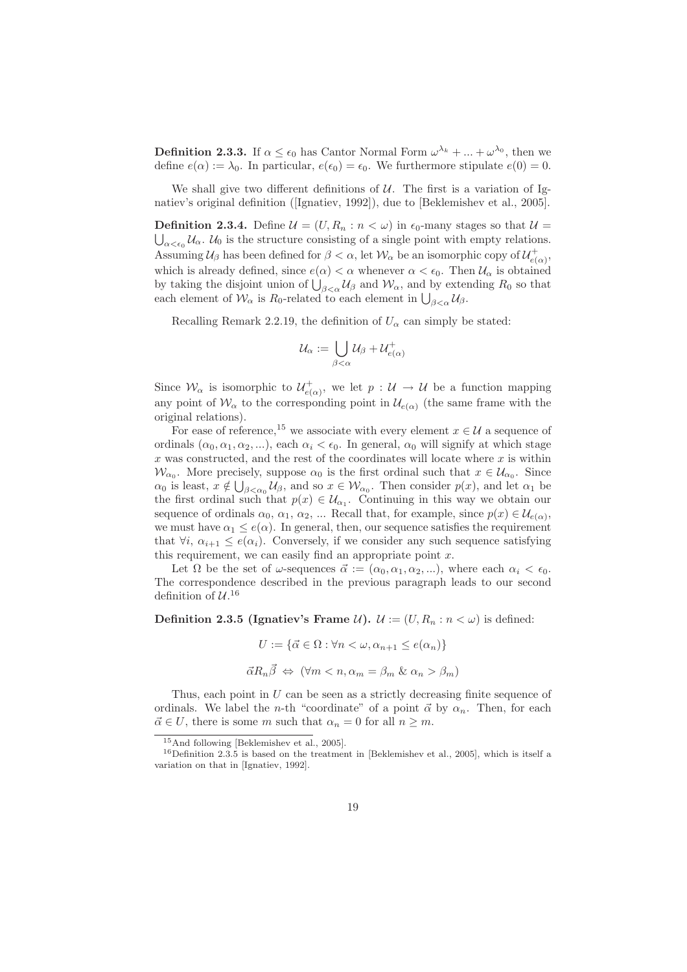**Definition 2.3.3.** If  $\alpha \leq \epsilon_0$  has Cantor Normal Form  $\omega^{\lambda_k} + ... + \omega^{\lambda_0}$ , then we define  $e(\alpha) := \lambda_0$ . In particular,  $e(\epsilon_0) = \epsilon_0$ . We furthermore stipulate  $e(0) = 0$ .

We shall give two different definitions of  $U$ . The first is a variation of Ignatiev's original definition ([Ignatiev, 1992]), due to [Beklemishev et al., 2005].

**Definition 2.3.4.** Define  $\mathcal{U} = (U, R_n : n < \omega)$  in  $\epsilon_0$ -many stages so that  $\mathcal{U} =$  $\alpha<\epsilon_0$   $\mathcal{U}_{\alpha}$ .  $\mathcal{U}_0$  is the structure consisting of a single point with empty relations. Assuming  $\mathcal{U}_{\beta}$  has been defined for  $\beta < \alpha$ , let  $\mathcal{W}_{\alpha}$  be an isomorphic copy of  $\mathcal{U}_{e(\alpha)}^+$ , which is already defined, since  $e(\alpha) < \alpha$  whenever  $\alpha < \epsilon_0$ . Then  $\mathcal{U}_{\alpha}$  is obtained by taking the disjoint union of  $\bigcup_{\beta<\alpha}^{\beta}$  U<sub>β</sub> and W<sub>α</sub>, and by extending R<sub>0</sub> so that each element of  $W_{\alpha}$  is  $R_0$ -related to each element in  $\bigcup_{\beta<\alpha}U_{\beta}$ .

Recalling Remark 2.2.19, the definition of  $U_{\alpha}$  can simply be stated:

$$
\mathcal{U}_\alpha:=\bigcup_{\beta<\alpha}\mathcal{U}_\beta+\mathcal{U}^+_{e(\alpha)}
$$

Since  $\mathcal{W}_{\alpha}$  is isomorphic to  $\mathcal{U}^+_{e(\alpha)}$ , we let  $p: \mathcal{U} \to \mathcal{U}$  be a function mapping any point of  $\mathcal{W}_{\alpha}$  to the corresponding point in  $\mathcal{U}_{e(\alpha)}$  (the same frame with the original relations).

For ease of reference,<sup>15</sup> we associate with every element  $x \in \mathcal{U}$  a sequence of ordinals  $(\alpha_0, \alpha_1, \alpha_2, \ldots)$ , each  $\alpha_i < \epsilon_0$ . In general,  $\alpha_0$  will signify at which stage  $x$  was constructed, and the rest of the coordinates will locate where  $x$  is within  $\mathcal{W}_{\alpha_0}$ . More precisely, suppose  $\alpha_0$  is the first ordinal such that  $x \in \mathcal{U}_{\alpha_0}$ . Since  $\alpha_0$  is least,  $x \notin \bigcup_{\beta < \alpha_0} U_\beta$ , and so  $x \in \mathcal{W}_{\alpha_0}$ . Then consider  $p(x)$ , and let  $\alpha_1$  be the first ordinal such that  $p(x) \in \mathcal{U}_{\alpha_1}$ . Continuing in this way we obtain our sequence of ordinals  $\alpha_0, \alpha_1, \alpha_2, \dots$  Recall that, for example, since  $p(x) \in \mathcal{U}_{e(\alpha)}$ , we must have  $\alpha_1 \leq e(\alpha)$ . In general, then, our sequence satisfies the requirement that  $\forall i, \alpha_{i+1} \leq e(\alpha_i)$ . Conversely, if we consider any such sequence satisfying this requirement, we can easily find an appropriate point  $x$ .

Let  $\Omega$  be the set of  $\omega$ -sequences  $\vec{\alpha} := (\alpha_0, \alpha_1, \alpha_2, \ldots)$ , where each  $\alpha_i < \epsilon_0$ . The correspondence described in the previous paragraph leads to our second definition of  $\mathcal{U}.^{16}$ 

**Definition 2.3.5 (Ignatiev's Frame U).**  $\mathcal{U} := (U, R_n : n < \omega)$  is defined:

$$
U := \{ \vec{\alpha} \in \Omega : \forall n < \omega, \alpha_{n+1} \le e(\alpha_n) \}
$$
\n
$$
\vec{\alpha} R_n \vec{\beta} \Leftrightarrow (\forall m < n, \alpha_m = \beta_m \& \alpha_n > \beta_m)
$$

Thus, each point in  $U$  can be seen as a strictly decreasing finite sequence of ordinals. We label the *n*-th "coordinate" of a point  $\vec{\alpha}$  by  $\alpha_n$ . Then, for each  $\vec{\alpha} \in U$ , there is some m such that  $\alpha_n = 0$  for all  $n \geq m$ .

<sup>15</sup>And following [Beklemishev et al., 2005].

 $16$ Definition 2.3.5 is based on the treatment in [Beklemishev et al., 2005], which is itself a variation on that in [Ignatiev, 1992].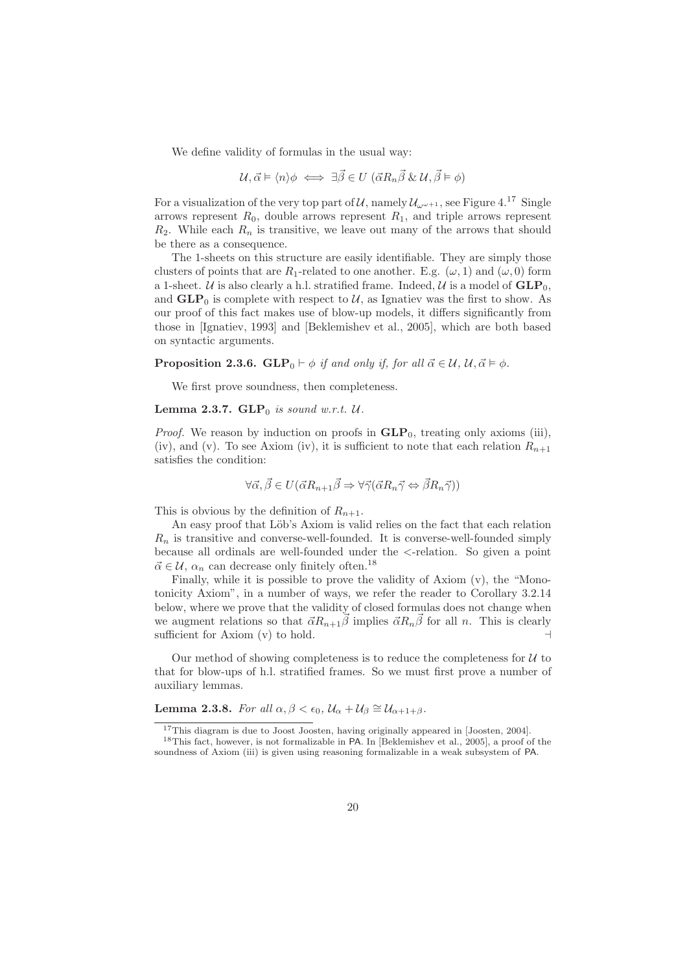We define validity of formulas in the usual way:

$$
\mathcal{U}, \vec{\alpha} \models \langle n \rangle \phi \iff \exists \vec{\beta} \in U \; (\vec{\alpha} R_n \vec{\beta} \; \& \; \mathcal{U}, \vec{\beta} \models \phi)
$$

For a visualization of the very top part of U, namely  $\mathcal{U}_{\omega^{\omega+1}}$ , see Figure 4.<sup>17</sup> Single arrows represent  $R_0$ , double arrows represent  $R_1$ , and triple arrows represent  $R_2$ . While each  $R_n$  is transitive, we leave out many of the arrows that should be there as a consequence.

The 1-sheets on this structure are easily identifiable. They are simply those clusters of points that are  $R_1$ -related to one another. E.g.  $(\omega, 1)$  and  $(\omega, 0)$  form a 1-sheet. U is also clearly a h.l. stratified frame. Indeed, U is a model of  $GLP_0$ , and  $GLP_0$  is complete with respect to U, as Ignatiev was the first to show. As our proof of this fact makes use of blow-up models, it differs significantly from those in [Ignatiev, 1993] and [Beklemishev et al., 2005], which are both based on syntactic arguments.

**Proposition 2.3.6.** GLP<sub>0</sub>  $\vdash \phi$  if and only if, for all  $\vec{\alpha} \in \mathcal{U}$ ,  $\mathcal{U}, \vec{\alpha} \models \phi$ .

We first prove soundness, then completeness.

## Lemma 2.3.7.  $GLP_0$  is sound w.r.t.  $U$ .

*Proof.* We reason by induction on proofs in  $GLP_0$ , treating only axioms (iii), (iv), and (v). To see Axiom (iv), it is sufficient to note that each relation  $R_{n+1}$ satisfies the condition:

$$
\forall \vec{\alpha}, \vec{\beta} \in U(\vec{\alpha}R_{n+1}\vec{\beta} \Rightarrow \forall \vec{\gamma}(\vec{\alpha}R_n\vec{\gamma} \Leftrightarrow \vec{\beta}R_n\vec{\gamma}))
$$

This is obvious by the definition of  $R_{n+1}$ .

An easy proof that Löb's Axiom is valid relies on the fact that each relation  $R_n$  is transitive and converse-well-founded. It is converse-well-founded simply because all ordinals are well-founded under the <-relation. So given a point  $\vec{\alpha} \in \mathcal{U},$   $\alpha_n$  can decrease only finitely often.  $^{18}$ 

Finally, while it is possible to prove the validity of Axiom (v), the "Monotonicity Axiom", in a number of ways, we refer the reader to Corollary 3.2.14 below, where we prove that the validity of closed formulas does not change when we augment relations so that  $\vec{\alpha}R_{n+1}\vec{\beta}$  implies  $\vec{\alpha}R_n\vec{\beta}$  for all n. This is clearly sufficient for Axiom  $(v)$  to hold.

Our method of showing completeness is to reduce the completeness for  $U$  to that for blow-ups of h.l. stratified frames. So we must first prove a number of auxiliary lemmas.

**Lemma 2.3.8.** For all  $\alpha, \beta < \epsilon_0$ ,  $\mathcal{U}_{\alpha} + \mathcal{U}_{\beta} \cong \mathcal{U}_{\alpha+1+\beta}$ .

<sup>&</sup>lt;sup>17</sup>This diagram is due to Joost Joosten, having originally appeared in [Joosten, 2004].

<sup>18</sup>This fact, however, is not formalizable in PA. In [Beklemishev et al., 2005], a proof of the soundness of Axiom (iii) is given using reasoning formalizable in a weak subsystem of PA.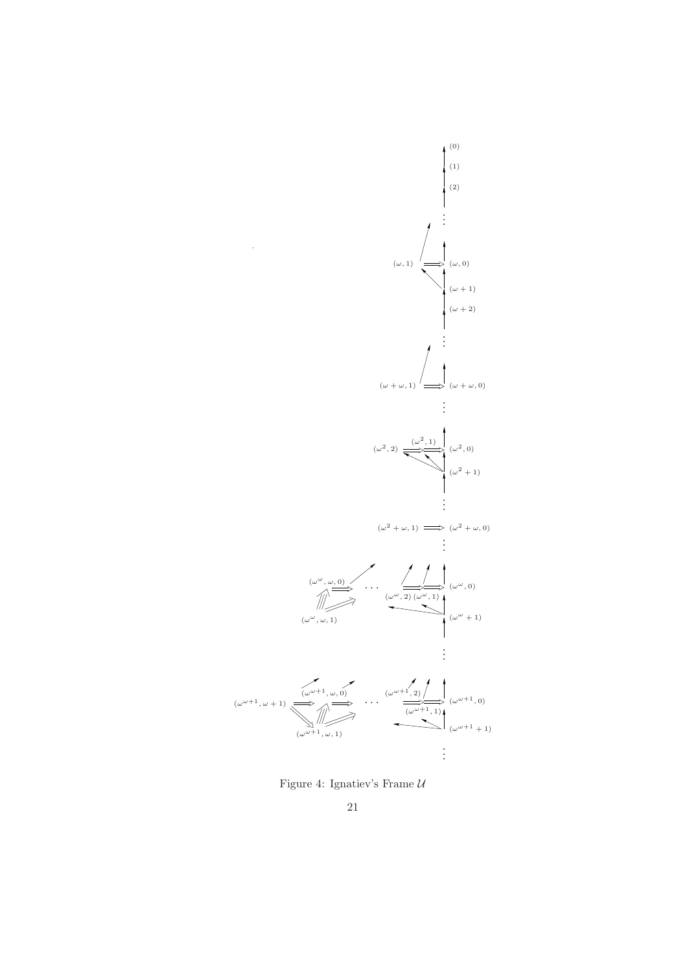

Figure 4: Ignatiev's Frame  $\mathcal U$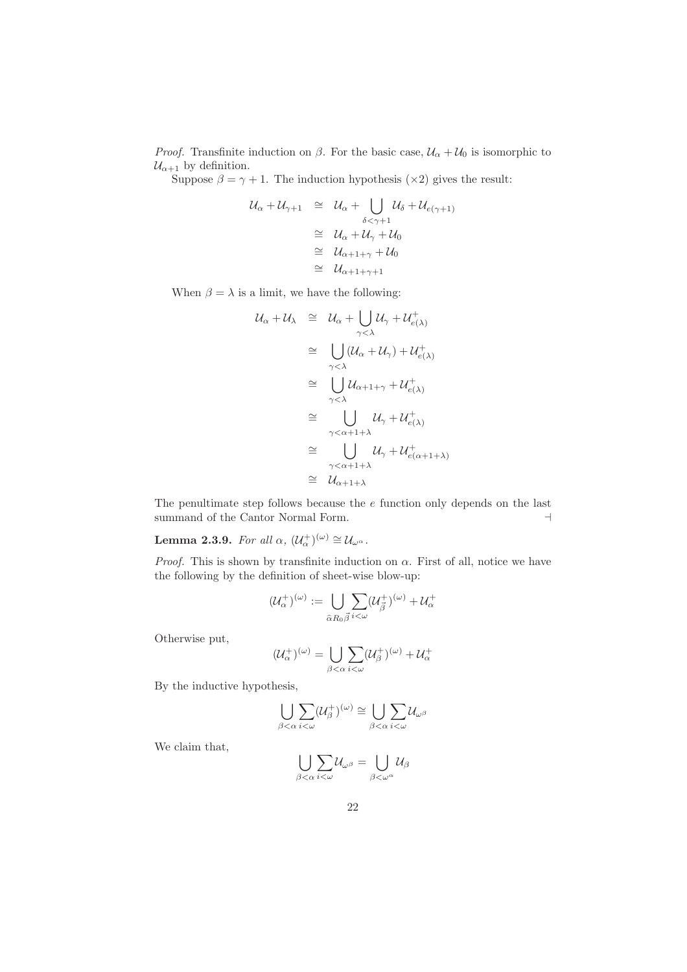*Proof.* Transfinite induction on  $\beta$ . For the basic case,  $\mathcal{U}_{\alpha} + \mathcal{U}_{0}$  is isomorphic to  $\mathcal{U}_{\alpha+1}$  by definition.

Suppose  $\beta = \gamma + 1$ . The induction hypothesis (×2) gives the result:

$$
\begin{array}{rcl}\nU_{\alpha} + U_{\gamma+1} & \cong & U_{\alpha} + \bigcup_{\delta < \gamma+1} U_{\delta} + U_{e(\gamma+1)} \\
& \cong & U_{\alpha} + U_{\gamma} + U_0 \\
& \cong & U_{\alpha+1+\gamma} + U_0 \\
& \cong & U_{\alpha+1+\gamma+1}\n\end{array}
$$

When  $\beta = \lambda$  is a limit, we have the following:

$$
\begin{array}{rcl}\nU_{\alpha} + U_{\lambda} & \cong & U_{\alpha} + \bigcup_{\gamma < \lambda} U_{\gamma} + U_{e(\lambda)}^{+} \\
& \cong & \bigcup_{\gamma < \lambda} (\mathcal{U}_{\alpha} + \mathcal{U}_{\gamma}) + \mathcal{U}_{e(\lambda)}^{+} \\
& \cong & \bigcup_{\gamma < \lambda} \mathcal{U}_{\alpha+1+\gamma} + \mathcal{U}_{e(\lambda)}^{+} \\
& \cong & \bigcup_{\gamma < \lambda} \mathcal{U}_{\gamma} + \mathcal{U}_{e(\lambda)}^{+} \\
& \cong & \bigcup_{\gamma < \alpha+1+\lambda} \mathcal{U}_{\gamma} + \mathcal{U}_{e(\alpha+1+\lambda)}^{+} \\
& \cong & \bigcup_{\gamma < \alpha+1+\lambda} \mathcal{U}_{\alpha+1+\lambda}\n\end{array}
$$

The penultimate step follows because the  $e$  function only depends on the last summand of the Cantor Normal Form.  $\hfill \dashv$ 

**Lemma 2.3.9.** For all  $\alpha$ ,  $(\mathcal{U}_{\alpha}^{+})^{(\omega)} \cong \mathcal{U}_{\omega}^{\alpha}$ .

*Proof.* This is shown by transfinite induction on  $\alpha$ . First of all, notice we have the following by the definition of sheet-wise blow-up:

$$
(\mathcal{U}_{\alpha}^{+})^{(\omega)}:=\bigcup_{\widehat{\alpha}R_{0}\vec{\beta}}\sum_{i<\omega}(\mathcal{U}_{\vec{\beta}}^{+})^{(\omega)}+\mathcal{U}_{\alpha}^{+}
$$

Otherwise put,

$$
(\mathcal{U}_{\alpha}^{+})^{(\omega)} = \bigcup_{\beta < \alpha} \sum_{i < \omega} (\mathcal{U}_{\beta}^{+})^{(\omega)} + \mathcal{U}_{\alpha}^{+}
$$

By the inductive hypothesis,

$$
\bigcup_{\beta<\alpha}\sum_{i<\omega}(\mathcal{U}_{\beta}^{+})^{(\omega)}\cong\bigcup_{\beta<\alpha}\sum_{i<\omega}\mathcal{U}_{\omega^{\beta}}
$$

We claim that,

$$
\bigcup_{\beta<\alpha}\sum_{i<\omega}\mathcal{U}_{\omega^{\beta}}=\bigcup_{\beta<\omega^{\alpha}}\mathcal{U}_{\beta}
$$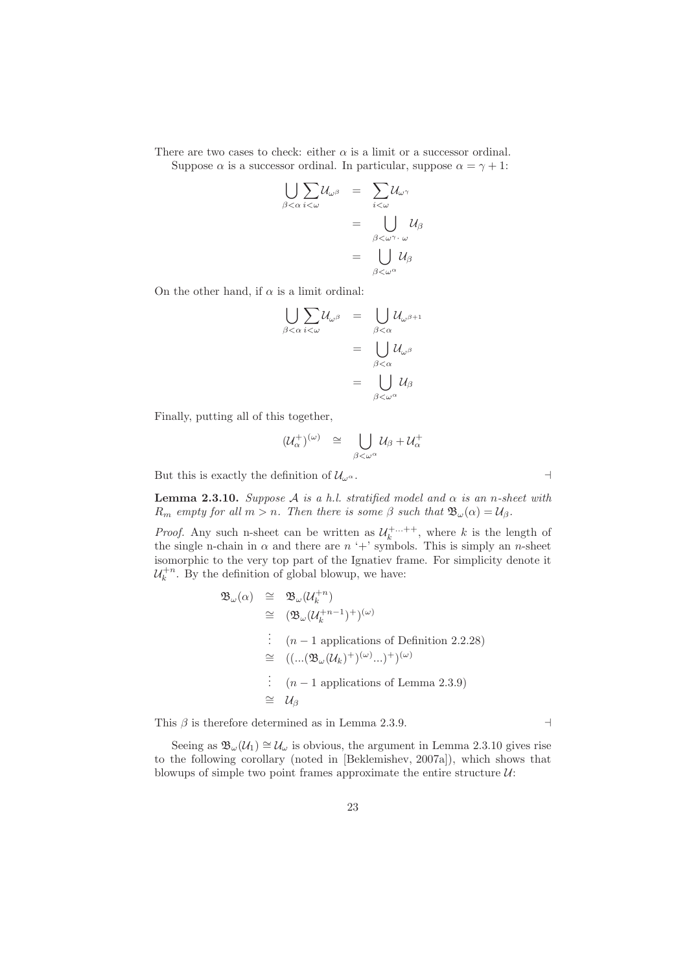There are two cases to check: either  $\alpha$  is a limit or a successor ordinal.

Suppose  $\alpha$  is a successor ordinal. In particular, suppose  $\alpha = \gamma + 1$ :

$$
\bigcup_{\beta < \alpha} \sum_{i < \omega} \mathcal{U}_{\omega^{\beta}} = \sum_{i < \omega} \mathcal{U}_{\omega^{\gamma}}
$$

$$
= \bigcup_{\beta < \omega^{\gamma} \cdot \omega} \mathcal{U}_{\beta}
$$

$$
= \bigcup_{\beta < \omega^{\alpha}} \mathcal{U}_{\beta}
$$

On the other hand, if  $\alpha$  is a limit ordinal:

$$
\bigcup_{\beta < \alpha} \sum_{i < \omega} \mathcal{U}_{\omega^{\beta}} = \bigcup_{\beta < \alpha} \mathcal{U}_{\omega^{\beta+1}}
$$

$$
= \bigcup_{\beta < \alpha} \mathcal{U}_{\omega^{\beta}}
$$

$$
= \bigcup_{\beta < \omega} \mathcal{U}_{\beta}
$$

$$
\in \bigcup_{\beta < \omega^{\alpha}} \mathcal{U}_{\beta}
$$

Finally, putting all of this together,

$$
(\mathcal{U}_{\alpha}^{+})^{(\omega)} \quad \cong \quad \bigcup_{\beta < \omega^{\alpha}} \mathcal{U}_{\beta} + \mathcal{U}_{\alpha}^{+}
$$

But this is exactly the definition of  $\mathcal{U}_{\omega^{\alpha}}$ .  $\Box$ 

**Lemma 2.3.10.** Suppose A is a h.l. stratified model and  $\alpha$  is an n-sheet with  $R_m$  empty for all  $m > n$ . Then there is some  $\beta$  such that  $\mathfrak{B}_{\omega}(\alpha) = \mathcal{U}_{\beta}$ .

*Proof.* Any such n-sheet can be written as  $\mathcal{U}_k^{+...++}$ , where k is the length of the single n-chain in  $\alpha$  and there are  $n +$ ' symbols. This is simply an *n*-sheet isomorphic to the very top part of the Ignatiev frame. For simplicity denote it  $\mathcal{U}_k^{+n}$ . By the definition of global blowup, we have:

$$
\mathfrak{B}_{\omega}(\alpha) \cong \mathfrak{B}_{\omega}(\mathcal{U}_k^{+n})
$$
\n
$$
\cong (\mathfrak{B}_{\omega}(\mathcal{U}_k^{+n-1})^+)^{(\omega)}
$$
\n
$$
\vdots \quad (n-1 \text{ applications of Definition 2.2.28})
$$
\n
$$
\cong ((\dots(\mathfrak{B}_{\omega}(\mathcal{U}_k)^+)^{(\omega)}\dots)^+)^{(\omega)}
$$
\n
$$
\vdots \quad (n-1 \text{ applications of Lemma 2.3.9})
$$
\n
$$
\cong \mathcal{U}_{\beta}
$$

This  $\beta$  is therefore determined as in Lemma 2.3.9.  $\rightarrow$ 

Seeing as  $\mathfrak{B}_{\omega}(\mathcal{U}_1) \cong \mathcal{U}_{\omega}$  is obvious, the argument in Lemma 2.3.10 gives rise to the following corollary (noted in [Beklemishev, 2007a]), which shows that blowups of simple two point frames approximate the entire structure  $\mathcal{U}$ :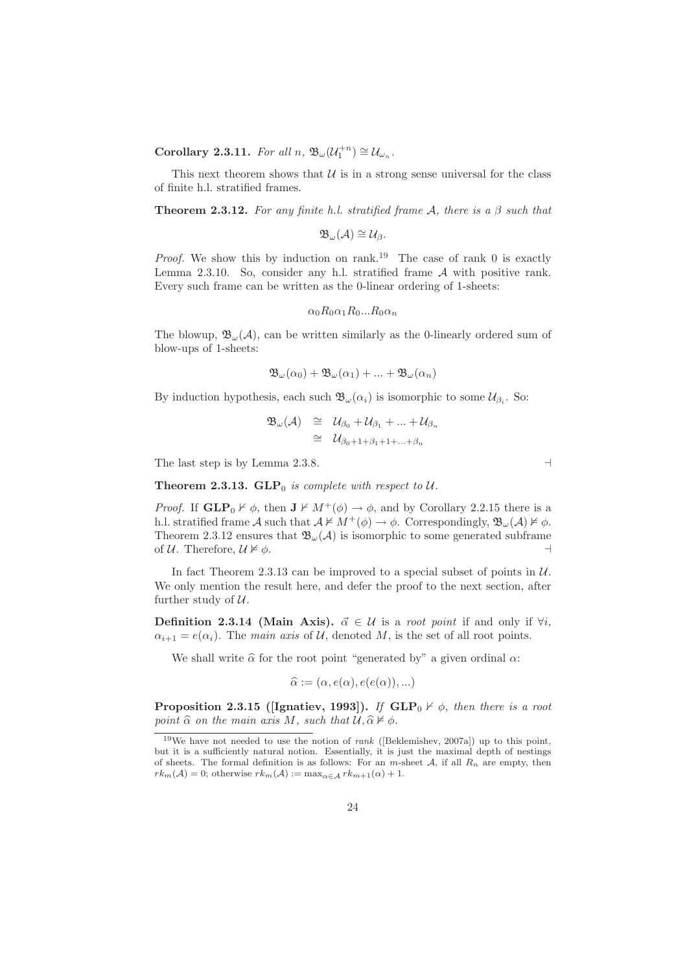Corollary 2.3.11. For all  $n, \mathfrak{B}_{\omega}(\mathcal{U}_1^{+n}) \cong \mathcal{U}_{\omega_n}$ .

This next theorem shows that  $\mathcal U$  is in a strong sense universal for the class of finite h.l. stratified frames.

**Theorem 2.3.12.** For any finite h.l. stratified frame A, there is a  $\beta$  such that

 $\mathfrak{B}_{\omega}(\mathcal{A})\cong \mathcal{U}_{\beta}.$ 

*Proof.* We show this by induction on rank.<sup>19</sup> The case of rank 0 is exactly Lemma 2.3.10. So, consider any h.l. stratified frame  $A$  with positive rank. Every such frame can be written as the 0-linear ordering of 1-sheets:

$$
\alpha_0 R_0 \alpha_1 R_0 ... R_0 \alpha_n
$$

The blowup,  $\mathfrak{B}_{\omega}(\mathcal{A})$ , can be written similarly as the 0-linearly ordered sum of blow-ups of 1-sheets:

$$
\mathfrak{B}_{\omega}(\alpha_0) + \mathfrak{B}_{\omega}(\alpha_1) + \ldots + \mathfrak{B}_{\omega}(\alpha_n)
$$

By induction hypothesis, each such  $\mathfrak{B}_{\omega}(\alpha_i)$  is isomorphic to some  $\mathcal{U}_{\beta_i}$ . So:

$$
\mathfrak{B}_{\omega}(\mathcal{A}) \quad \cong \quad \mathcal{U}_{\beta_0} + \mathcal{U}_{\beta_1} + \ldots + \mathcal{U}_{\beta_n}
$$
\n
$$
\cong \quad \mathcal{U}_{\beta_0 + 1 + \beta_1 + 1 + \ldots + \beta_n}
$$

The last step is by Lemma 2.3.8.  $\Box$ 

**Theorem 2.3.13. GLP**<sup>0</sup> is complete with respect to  $U$ .

*Proof.* If  $GLP_0 \nvdash \phi$ , then  $J \nvdash M^+(\phi) \rightarrow \phi$ , and by Corollary 2.2.15 there is a h.l. stratified frame A such that  $A \not\vDash M^+(\phi) \rightarrow \phi$ . Correspondingly,  $\mathfrak{B}_{\omega}(A) \not\vDash \phi$ . Theorem 2.3.12 ensures that  $\mathfrak{B}_{\omega}(\mathcal{A})$  is isomorphic to some generated subframe of  $\mathcal{U}$ . Therefore,  $\mathcal{U} \not\models \phi$ . of U. Therefore,  $U \not\models \phi$ .

In fact Theorem 2.3.13 can be improved to a special subset of points in  $\mathcal{U}$ . We only mention the result here, and defer the proof to the next section, after further study of  $U$ .

**Definition 2.3.14 (Main Axis).**  $\vec{\alpha} \in \mathcal{U}$  is a *root point* if and only if  $\forall i$ ,  $\alpha_{i+1} = e(\alpha_i)$ . The main axis of U, denoted M, is the set of all root points.

We shall write  $\hat{\alpha}$  for the root point "generated by" a given ordinal  $\alpha$ :

$$
\widehat{\alpha} := (\alpha, e(\alpha), e(e(\alpha)), \ldots)
$$

**Proposition 2.3.15 ([Ignatiev, 1993]).** If  $GLP_0 \nvdash \phi$ , then there is a root point  $\widehat{\alpha}$  on the main axis M, such that  $\mathcal{U}, \widehat{\alpha} \nvDash \phi$ .

 $19$ We have not needed to use the notion of *rank* ([Beklemishev, 2007a]) up to this point, but it is a sufficiently natural notion. Essentially, it is just the maximal depth of nestings of sheets. The formal definition is as follows: For an  $m$ -sheet  $A$ , if all  $R_n$  are empty, then  $rk_m(\mathcal{A})=0$ ; otherwise  $rk_m(\mathcal{A}):=\max_{\alpha\in\mathcal{A}}rk_{m+1}(\alpha)+1$ .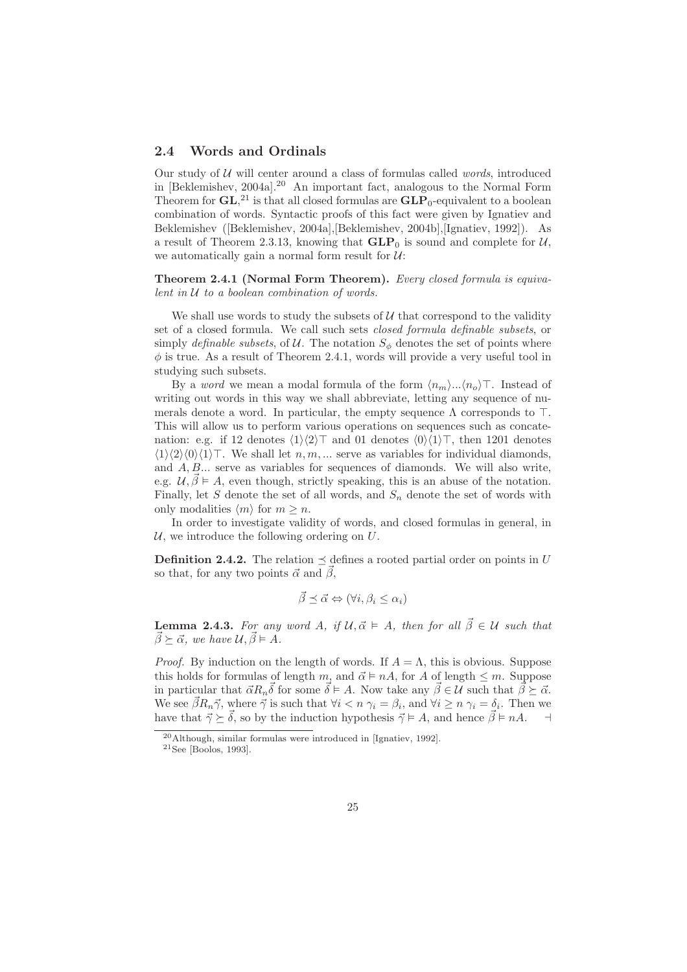### 2.4 Words and Ordinals

Our study of  $U$  will center around a class of formulas called *words*, introduced in [Beklemishev, 2004a].<sup>20</sup> An important fact, analogous to the Normal Form Theorem for  $GL<sub>1</sub><sup>21</sup>$  is that all closed formulas are  $GLP_0$ -equivalent to a boolean combination of words. Syntactic proofs of this fact were given by Ignatiev and Beklemishev ([Beklemishev, 2004a],[Beklemishev, 2004b],[Ignatiev, 1992]). As a result of Theorem 2.3.13, knowing that  $GLP_0$  is sound and complete for  $\mathcal{U}$ , we automatically gain a normal form result for  $U$ :

Theorem 2.4.1 (Normal Form Theorem). Every closed formula is equivalent in  $U$  to a boolean combination of words.

We shall use words to study the subsets of  $U$  that correspond to the validity set of a closed formula. We call such sets closed formula definable subsets, or simply definable subsets, of U. The notation  $S_{\phi}$  denotes the set of points where  $\phi$  is true. As a result of Theorem 2.4.1, words will provide a very useful tool in studying such subsets.

By a *word* we mean a modal formula of the form  $\langle n_m \rangle...\langle n_o \rangle\top$ . Instead of writing out words in this way we shall abbreviate, letting any sequence of numerals denote a word. In particular, the empty sequence  $\Lambda$  corresponds to  $\top$ . This will allow us to perform various operations on sequences such as concatenation: e.g. if 12 denotes  $\langle 1 \rangle \langle 2 \rangle$ ⊤ and 01 denotes  $\langle 0 \rangle \langle 1 \rangle$ ⊤, then 1201 denotes  $\langle 1 \rangle \langle 2 \rangle \langle 0 \rangle \langle 1 \rangle$  We shall let  $n, m, \dots$  serve as variables for individual diamonds, and  $A, B, \ldots$  serve as variables for sequences of diamonds. We will also write, e.g.  $\mathcal{U}, \vec{\beta} \models A$ , even though, strictly speaking, this is an abuse of the notation. Finally, let S denote the set of all words, and  $S_n$  denote the set of words with only modalities  $\langle m \rangle$  for  $m \geq n$ .

In order to investigate validity of words, and closed formulas in general, in  $U$ , we introduce the following ordering on  $U$ .

**Definition 2.4.2.** The relation  $\preceq$  defines a rooted partial order on points in U so that, for any two points  $\vec{\alpha}$  and  $\vec{\beta}$ ,

$$
\vec{\beta} \preceq \vec{\alpha} \Leftrightarrow (\forall i, \beta_i \leq \alpha_i)
$$

**Lemma 2.4.3.** For any word A, if  $\mathcal{U}, \vec{\alpha} \models A$ , then for all  $\vec{\beta} \in \mathcal{U}$  such that  $\vec{\beta} \succ \vec{\alpha}$ , we have  $\mathcal{U}, \vec{\beta} \models A$ .

*Proof.* By induction on the length of words. If  $A = \Lambda$ , this is obvious. Suppose this holds for formulas of length m, and  $\vec{\alpha} \models nA$ , for A of length  $\leq m$ . Suppose in particular that  $\vec{\alpha}R_n\vec{\delta}$  for some  $\vec{\delta} \models A$ . Now take any  $\vec{\beta} \in \mathcal{U}$  such that  $\vec{\beta} \succeq \vec{\alpha}$ . We see  $\vec{\beta}R_n\vec{\gamma}$ , where  $\vec{\gamma}$  is such that  $\forall i < n$   $\gamma_i = \beta_i$ , and  $\forall i \geq n$   $\gamma_i = \delta_i$ . Then we have that  $\vec{\gamma} \succ \vec{\delta}$ , so by the induction hypothesis  $\vec{\gamma} \models A$ , and hence  $\vec{\beta} \models nA$ .

<sup>20</sup>Although, similar formulas were introduced in [Ignatiev, 1992].

 $21$ See [Boolos, 1993].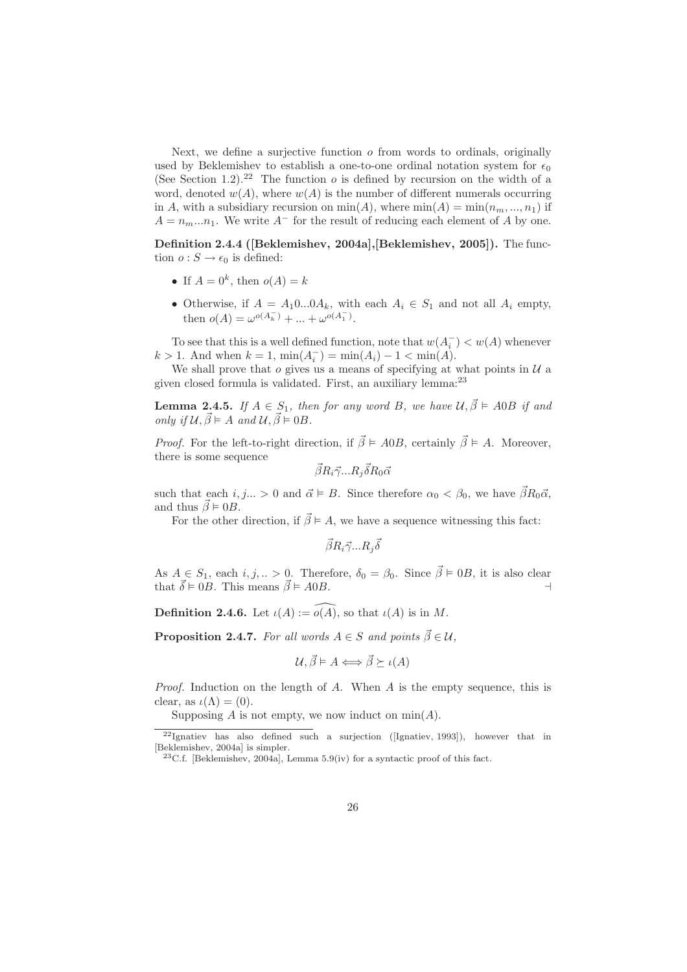Next, we define a surjective function  $\sigma$  from words to ordinals, originally used by Beklemishev to establish a one-to-one ordinal notation system for  $\epsilon_0$ (See Section 1.2).<sup>22</sup> The function  $o$  is defined by recursion on the width of a word, denoted  $w(A)$ , where  $w(A)$  is the number of different numerals occurring in A, with a subsidiary recursion on  $min(A)$ , where  $min(A) = min(n_m, ..., n_1)$  if  $A = n_m...n_1$ . We write  $A^-$  for the result of reducing each element of A by one.

Definition 2.4.4 ([Beklemishev, 2004a],[Beklemishev, 2005]). The function  $o: S \to \epsilon_0$  is defined:

- If  $A = 0^k$ , then  $o(A) = k$
- Otherwise, if  $A = A_1 0...0 A_k$ , with each  $A_i \in S_1$  and not all  $A_i$  empty, then  $o(A) = \omega^{o(A_k^-)} + ... + \omega^{o(A_1^-)}.$

To see that this is a well defined function, note that  $w(A_i^-) < w(A)$  whenever  $k > 1$ . And when  $k = 1$ ,  $\min(A_i^-) = \min(A_i) - 1 < \min(A)$ .

We shall prove that  $o$  gives us a means of specifying at what points in  $U$  a given closed formula is validated. First, an auxiliary lemma:<sup>23</sup>

**Lemma 2.4.5.** If  $A \in S_1$ , then for any word B, we have  $\mathcal{U}, \vec{\beta} \models A0B$  if and only if  $\mathcal{U}, \vec{\beta} \models A$  and  $\mathcal{U}, \vec{\beta} \models 0B$ .

*Proof.* For the left-to-right direction, if  $\vec{\beta} \models A0B$ , certainly  $\vec{\beta} \models A$ . Moreover, there is some sequence

$$
\vec{\beta}R_i\vec{\gamma}...R_j\vec{\delta}R_0\vec{\alpha}
$$

such that each  $i, j... > 0$  and  $\vec{\alpha} \models B$ . Since therefore  $\alpha_0 < \beta_0$ , we have  $\vec{\beta}R_0\vec{\alpha}$ , and thus  $\vec{\beta} \models 0B$ .

For the other direction, if  $\vec{\beta} \models A$ , we have a sequence witnessing this fact:

 $\vec\beta R_i\vec\gamma...R_j\vec\delta$ 

As  $A \in S_1$ , each  $i, j, ... > 0$ . Therefore,  $\delta_0 = \beta_0$ . Since  $\vec{\beta} \models 0B$ , it is also clear that  $\vec{\delta} \models 0B$ . This means  $\vec{\beta} \models A0B$ .

**Definition 2.4.6.** Let  $\iota(A) := \widehat{o(A)}$ , so that  $\iota(A)$  is in M.

**Proposition 2.4.7.** For all words  $A \in S$  and points  $\vec{\beta} \in \mathcal{U}$ ,

$$
\mathcal{U}, \vec{\beta} \models A \Longleftrightarrow \vec{\beta} \succeq \iota(A)
$$

Proof. Induction on the length of A. When A is the empty sequence, this is clear, as  $\iota(\Lambda) = (0)$ .

Supposing A is not empty, we now induct on  $\min(A)$ .

 $22$ Ignatiev has also defined such a surjection ([Ignatiev, 1993]), however that in [Beklemishev, 2004a] is simpler.

 $^{23}$ C.f. [Beklemishev, 2004a], Lemma 5.9(iv) for a syntactic proof of this fact.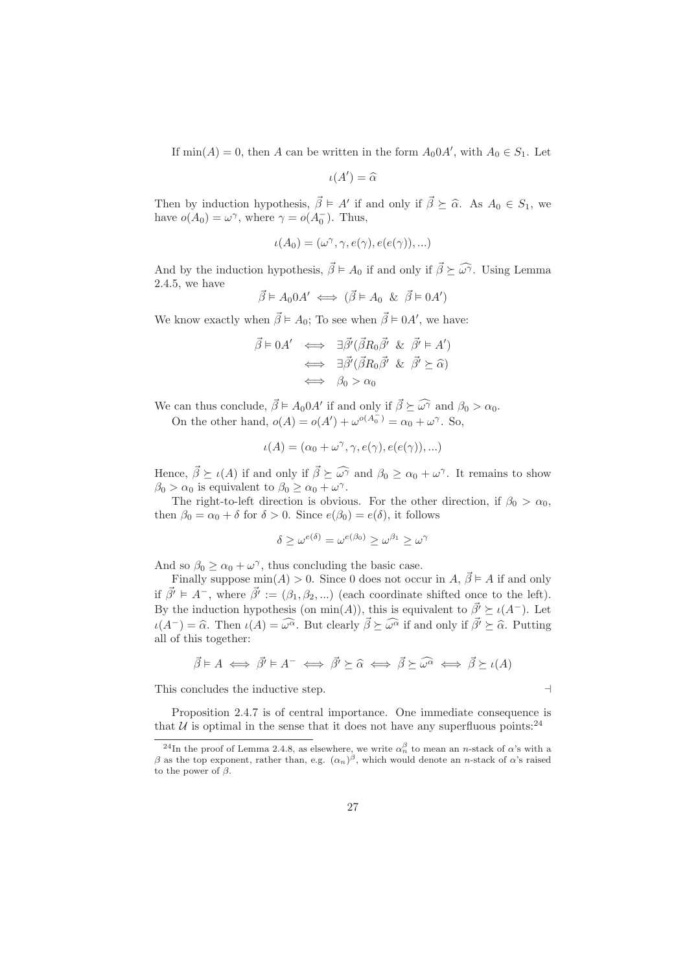If  $\min(A) = 0$ , then A can be written in the form  $A_0 \in A_1$ , with  $A_0 \in S_1$ . Let

$$
\iota(A')=\widehat{\alpha}
$$

Then by induction hypothesis,  $\vec{\beta} \models A'$  if and only if  $\vec{\beta} \succeq \hat{\alpha}$ . As  $A_0 \in S_1$ , we have  $o(A_0) = \omega^{\gamma}$ , where  $\gamma = o(A_0^-)$ . Thus,

$$
\iota(A_0)=(\omega^\gamma, \gamma, e(\gamma), e(e(\gamma)),...)
$$

And by the induction hypothesis,  $\vec{\beta} \models A_0$  if and only if  $\vec{\beta} \succeq \widehat{\omega}$ . Using Lemma 2.4.5, we have

$$
\vec{\beta} \models A_0 0A' \iff (\vec{\beta} \models A_0 \And \vec{\beta} \models 0A')
$$

We know exactly when  $\vec{\beta} \models A_0$ ; To see when  $\vec{\beta} \models 0A'$ , we have:

$$
\begin{array}{rcl}\n\vec{\beta} \models 0A' & \Longleftrightarrow & \exists \vec{\beta'} (\vec{\beta}R_0 \vec{\beta'} \And \vec{\beta'} \models A') \\
& \Longleftrightarrow & \exists \vec{\beta'} (\vec{\beta}R_0 \vec{\beta'} \And \vec{\beta'} \succeq \hat{\alpha}) \\
& \Longleftrightarrow & \beta_0 > \alpha_0\n\end{array}
$$

We can thus conclude,  $\vec{\beta} \models A_0 0A'$  if and only if  $\vec{\beta} \succeq \widehat{\omega^{\gamma}}$  and  $\beta_0 > \alpha_0$ . On the other hand,  $o(A) = o(A') + \omega^{o(A_0^-)} = \alpha_0^- + \omega^{\gamma}$ . So,

$$
\iota(A) = (\alpha_0 + \omega^\gamma, \gamma, e(\gamma), e(e(\gamma)), \ldots)
$$

Hence,  $\vec{\beta} \succeq \iota(A)$  if and only if  $\vec{\beta} \succeq \widehat{\omega^{\gamma}}$  and  $\beta_0 \ge \alpha_0 + \omega^{\gamma}$ . It remains to show  $\beta_0 > \alpha_0$  is equivalent to  $\beta_0 \ge \alpha_0 + \omega^{\gamma}$ .

The right-to-left direction is obvious. For the other direction, if  $\beta_0 > \alpha_0$ , then  $\beta_0 = \alpha_0 + \delta$  for  $\delta > 0$ . Since  $e(\beta_0) = e(\delta)$ , it follows

$$
\delta \ge \omega^{e(\delta)} = \omega^{e(\beta_0)} \ge \omega^{\beta_1} \ge \omega^{\gamma}
$$

And so  $\beta_0 \ge \alpha_0 + \omega^\gamma$ , thus concluding the basic case.

Finally suppose  $min(A) > 0$ . Since 0 does not occur in  $A, \vec{\beta} \models A$  if and only if  $\vec{\beta'} \models A^-$ , where  $\vec{\beta'} := (\beta_1, \beta_2, ...)$  (each coordinate shifted once to the left). By the induction hypothesis (on min(A)), this is equivalent to  $\vec{\beta'} \succeq \iota(A^-)$ . Let  $\iota(A^-) = \widehat{\alpha}$ . Then  $\iota(A) = \widehat{\omega^{\alpha}}$ . But clearly  $\overrightarrow{\beta} \succeq \widehat{\omega^{\alpha}}$  if and only if  $\overrightarrow{\beta'} \succeq \widehat{\alpha}$ . Putting all of this together:

$$
\vec{\beta} \models A \iff \vec{\beta'} \models A^- \iff \vec{\beta'} \succeq \hat{\alpha} \iff \vec{\beta} \succeq \widehat{\omega^{\alpha}} \iff \vec{\beta} \succeq \iota(A)
$$

This concludes the inductive step. ⊣

Proposition 2.4.7 is of central importance. One immediate consequence is that  $U$  is optimal in the sense that it does not have any superfluous points:  $24$ 

<sup>&</sup>lt;sup>24</sup>In the proof of Lemma 2.4.8, as elsewhere, we write  $\alpha_n^{\beta}$  to mean an *n*-stack of  $\alpha$ 's with a β as the top exponent, rather than, e.g.  $(α<sub>n</sub>)<sup>β</sup>$ , which would denote an *n*-stack of α's raised to the power of  $\beta$ .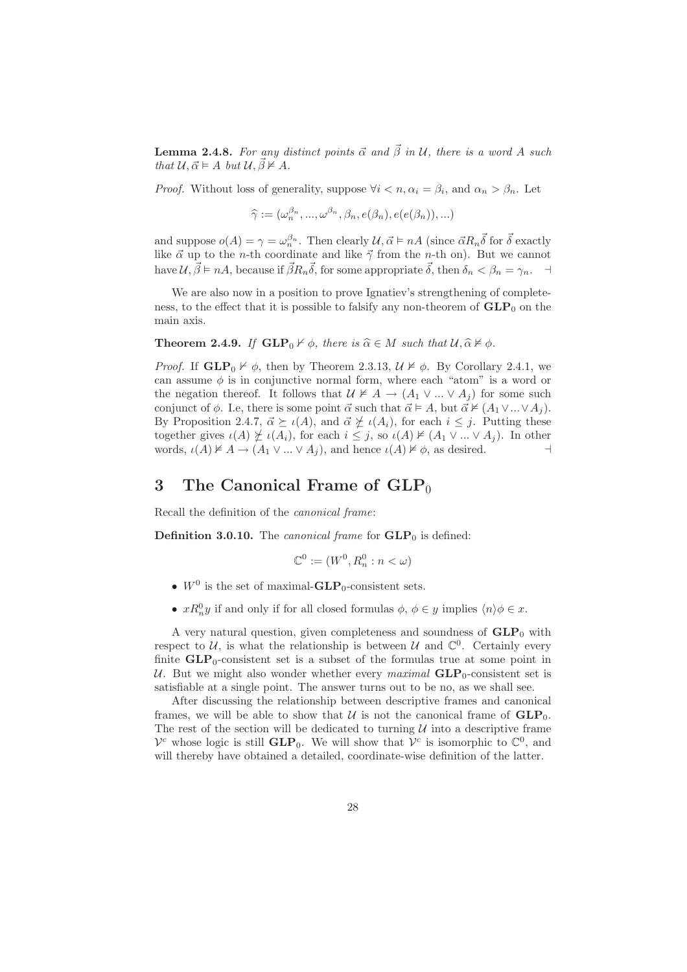**Lemma 2.4.8.** For any distinct points  $\vec{\alpha}$  and  $\vec{\beta}$  in U, there is a word A such that  $\mathcal{U}, \vec{\alpha} \models A \text{ but } \mathcal{U}, \vec{\beta} \not\models A.$ 

*Proof.* Without loss of generality, suppose  $\forall i < n, \alpha_i = \beta_i$ , and  $\alpha_n > \beta_n$ . Let

$$
\widehat{\gamma} := (\omega_n^{\beta_n}, ..., \omega^{\beta_n}, \beta_n, e(\beta_n), e(e(\beta_n)), ...)
$$

and suppose  $o(A) = \gamma = \omega_n^{\beta_n}$ . Then clearly  $\mathcal{U}, \vec{\alpha} \models nA$  (since  $\vec{\alpha}R_n\vec{\delta}$  for  $\vec{\delta}$  exactly like  $\vec{\alpha}$  up to the *n*-th coordinate and like  $\vec{\gamma}$  from the *n*-th on). But we cannot have  $\mathcal{U}, \vec{\beta} \models nA$ , because if  $\vec{\beta}R_n\vec{\delta}$ , for some appropriate  $\vec{\delta}$ , then  $\delta_n < \beta_n = \gamma_n$ .

We are also now in a position to prove Ignatiev's strengthening of completeness, to the effect that it is possible to falsify any non-theorem of  $GLP_0$  on the main axis.

**Theorem 2.4.9.** If  $GLP_0 \nvdash \phi$ , there is  $\widehat{\alpha} \in M$  such that  $\mathcal{U}, \widehat{\alpha} \nvdash \phi$ .

*Proof.* If  $GLP_0 \nvdash \phi$ , then by Theorem 2.3.13,  $\mathcal{U} \nvdash \phi$ . By Corollary 2.4.1, we can assume  $\phi$  is in conjunctive normal form, where each "atom" is a word or the negation thereof. It follows that  $U \not\models A \rightarrow (A_1 \vee ... \vee A_i)$  for some such conjunct of  $\phi$ . I.e, there is some point  $\vec{\alpha}$  such that  $\vec{\alpha} \models A$ , but  $\vec{\alpha} \not\models (A_1 \vee ... \vee A_i)$ . By Proposition 2.4.7,  $\vec{\alpha} \succeq \iota(A)$ , and  $\vec{\alpha} \not\succeq \iota(A_i)$ , for each  $i \leq j$ . Putting these together gives  $\iota(A) \not\succeq \iota(A_i)$ , for each  $i \leq j$ , so  $\iota(A) \not\vDash (A_1 \vee ... \vee A_j)$ . In other words,  $\iota(A) \not\vDash A \rightarrow (A_1 \vee ... \vee A_j)$ , and hence  $\iota(A) \not\vDash \phi$ , as desired.  $\dashv$ 

# 3 The Canonical Frame of  $GLP<sub>0</sub>$

Recall the definition of the canonical frame:

**Definition 3.0.10.** The *canonical frame* for  $GLP_0$  is defined:

$$
\mathbb{C}^0 := (W^0, R_n^0 : n < \omega)
$$

- $W^0$  is the set of maximal- $\text{GLP}_0$ -consistent sets.
- $xR_n^0y$  if and only if for all closed formulas  $\phi, \phi \in y$  implies  $\langle n \rangle \phi \in x$ .

A very natural question, given completeness and soundness of  $GLP_0$  with respect to  $U$ , is what the relationship is between  $U$  and  $\mathbb{C}^0$ . Certainly every finite  $GLP_0$ -consistent set is a subset of the formulas true at some point in U. But we might also wonder whether every maximal  $GLP_0$ -consistent set is satisfiable at a single point. The answer turns out to be no, as we shall see.

After discussing the relationship between descriptive frames and canonical frames, we will be able to show that U is not the canonical frame of  $GLP_0$ . The rest of the section will be dedicated to turning  $\mathcal U$  into a descriptive frame  $V^c$  whose logic is still  $GLP_0$ . We will show that  $V^c$  is isomorphic to  $\mathbb{C}^0$ , and will thereby have obtained a detailed, coordinate-wise definition of the latter.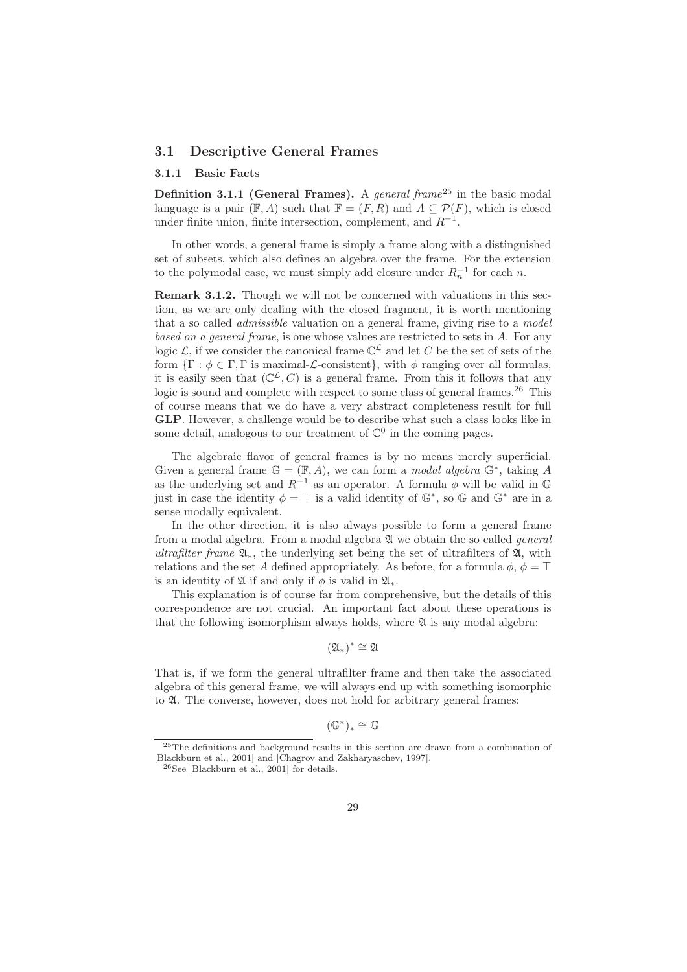### 3.1 Descriptive General Frames

#### 3.1.1 Basic Facts

Definition 3.1.1 (General Frames). A general frame<sup>25</sup> in the basic modal language is a pair  $(F, A)$  such that  $F = (F, R)$  and  $A \subseteq \mathcal{P}(F)$ , which is closed under finite union, finite intersection, complement, and  $R^{-1}$ .

In other words, a general frame is simply a frame along with a distinguished set of subsets, which also defines an algebra over the frame. For the extension to the polymodal case, we must simply add closure under  $R_n^{-1}$  for each n.

Remark 3.1.2. Though we will not be concerned with valuations in this section, as we are only dealing with the closed fragment, it is worth mentioning that a so called admissible valuation on a general frame, giving rise to a model based on a general frame, is one whose values are restricted to sets in A. For any logic  $\mathcal{L}$ , if we consider the canonical frame  $\mathbb{C}^{\mathcal{L}}$  and let C be the set of sets of the form  $\{\Gamma : \phi \in \Gamma, \Gamma \text{ is maximal-}\mathcal{L}\text{-consistent}\}\,$ , with  $\phi$  ranging over all formulas, it is easily seen that  $(\mathbb{C}^{\mathcal{L}}, C)$  is a general frame. From this it follows that any logic is sound and complete with respect to some class of general frames.<sup>26</sup> This of course means that we do have a very abstract completeness result for full GLP. However, a challenge would be to describe what such a class looks like in some detail, analogous to our treatment of  $\mathbb{C}^0$  in the coming pages.

The algebraic flavor of general frames is by no means merely superficial. Given a general frame  $\mathbb{G} = (\mathbb{F}, A)$ , we can form a *modal algebra*  $\mathbb{G}^*$ , taking A as the underlying set and  $R^{-1}$  as an operator. A formula  $\phi$  will be valid in  $\mathbb{G}$ just in case the identity  $\phi = \top$  is a valid identity of  $\mathbb{G}^*$ , so  $\mathbb{G}$  and  $\mathbb{G}^*$  are in a sense modally equivalent.

In the other direction, it is also always possible to form a general frame from a modal algebra. From a modal algebra  $\mathfrak A$  we obtain the so called *general* ultrafilter frame  $\mathfrak{A}_*$ , the underlying set being the set of ultrafilters of  $\mathfrak{A}$ , with relations and the set A defined appropriately. As before, for a formula  $\phi$ ,  $\phi = \top$ is an identity of  $\mathfrak A$  if and only if  $\phi$  is valid in  $\mathfrak A_*$ .

This explanation is of course far from comprehensive, but the details of this correspondence are not crucial. An important fact about these operations is that the following isomorphism always holds, where  $\mathfrak A$  is any modal algebra:

 $(\mathfrak{A}_*)^* \cong \mathfrak{A}$ 

That is, if we form the general ultrafilter frame and then take the associated algebra of this general frame, we will always end up with something isomorphic to  $\mathfrak A$ . The converse, however, does not hold for arbitrary general frames:

$$
(\mathbb{G}^*)_*\cong \mathbb{G}
$$

<sup>25</sup>The definitions and background results in this section are drawn from a combination of [Blackburn et al., 2001] and [Chagrov and Zakharyaschev, 1997].

<sup>26</sup>See [Blackburn et al., 2001] for details.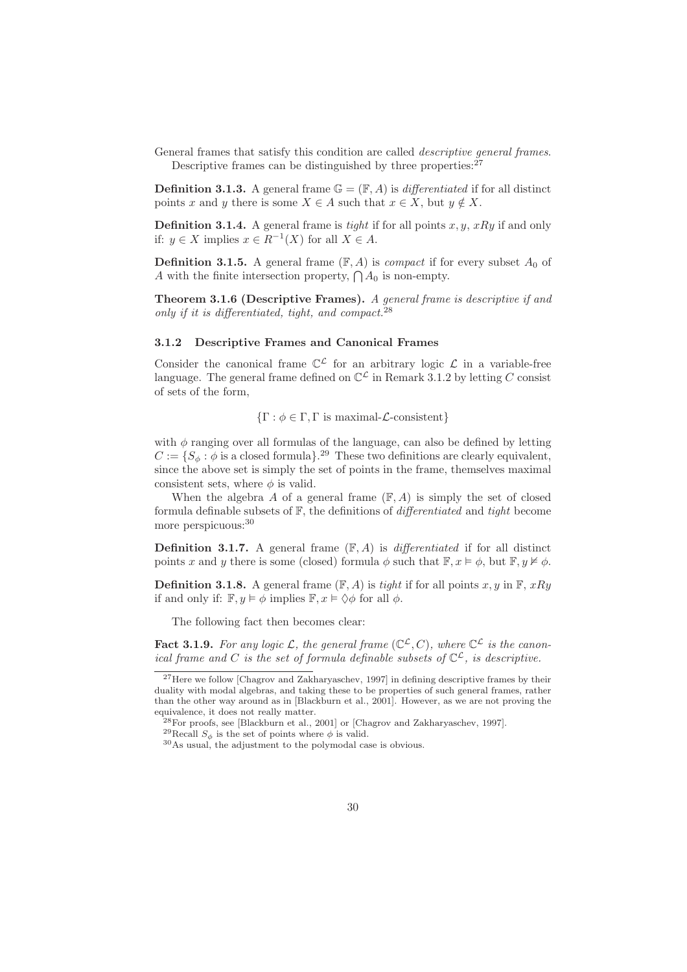General frames that satisfy this condition are called descriptive general frames. Descriptive frames can be distinguished by three properties: $27$ 

**Definition 3.1.3.** A general frame  $\mathbb{G} = (\mathbb{F}, A)$  is *differentiated* if for all distinct points x and y there is some  $X \in A$  such that  $x \in X$ , but  $y \notin X$ .

**Definition 3.1.4.** A general frame is tight if for all points  $x, y, xRy$  if and only if:  $y \in X$  implies  $x \in R^{-1}(X)$  for all  $X \in A$ .

**Definition 3.1.5.** A general frame  $(\mathbb{F}, A)$  is *compact* if for every subset  $A_0$  of A with the finite intersection property,  $\bigcap_{n=0}^{\infty} A_0$  is non-empty.

Theorem 3.1.6 (Descriptive Frames). A general frame is descriptive if and only if it is differentiated, tight, and compact.  $28$ 

#### 3.1.2 Descriptive Frames and Canonical Frames

Consider the canonical frame  $\mathbb{C}^{\mathcal{L}}$  for an arbitrary logic  $\mathcal{L}$  in a variable-free language. The general frame defined on  $\mathbb{C}^{\mathcal{L}}$  in Remark 3.1.2 by letting C consist of sets of the form,

 ${\{\Gamma : \phi \in \Gamma, \Gamma \text{ is maximal-}\mathcal{L}\text{-consistent}\}}$ 

with  $\phi$  ranging over all formulas of the language, can also be defined by letting  $C := \{S_{\phi} : \phi \text{ is a closed formula}\}\text{.}^{29}$  These two definitions are clearly equivalent, since the above set is simply the set of points in the frame, themselves maximal consistent sets, where  $\phi$  is valid.

When the algebra A of a general frame  $(F, A)$  is simply the set of closed formula definable subsets of  $F$ , the definitions of *differentiated* and *tight* become more perspicuous:<sup>30</sup>

**Definition 3.1.7.** A general frame  $(F, A)$  is *differentiated* if for all distinct points x and y there is some (closed) formula  $\phi$  such that  $\mathbb{F}, x \models \phi$ , but  $\mathbb{F}, y \not\models \phi$ .

**Definition 3.1.8.** A general frame  $(F, A)$  is tight if for all points x, y in  $F$ , xRy if and only if:  $\mathbb{F}, y \models \phi$  implies  $\mathbb{F}, x \models \Diamond \phi$  for all  $\phi$ .

The following fact then becomes clear:

**Fact 3.1.9.** For any logic L, the general frame  $(\mathbb{C}^{\mathcal{L}}, C)$ , where  $\mathbb{C}^{\mathcal{L}}$  is the canonical frame and C is the set of formula definable subsets of  $\mathbb{C}^{\mathcal{L}}$ , is descriptive.

 $^{27}\rm{Here}$  we follow [Chagrov and Zakharyaschev, 1997] in defining descriptive frames by their duality with modal algebras, and taking these to be properties of such general frames, rather than the other way around as in [Blackburn et al., 2001]. However, as we are not proving the equivalence, it does not really matter.

<sup>28</sup>For proofs, see [Blackburn et al., 2001] or [Chagrov and Zakharyaschev, 1997].

 $^{29}{\rm Recall}$   $S_{\phi}$  is the set of points where  $\phi$  is valid.

<sup>30</sup>As usual, the adjustment to the polymodal case is obvious.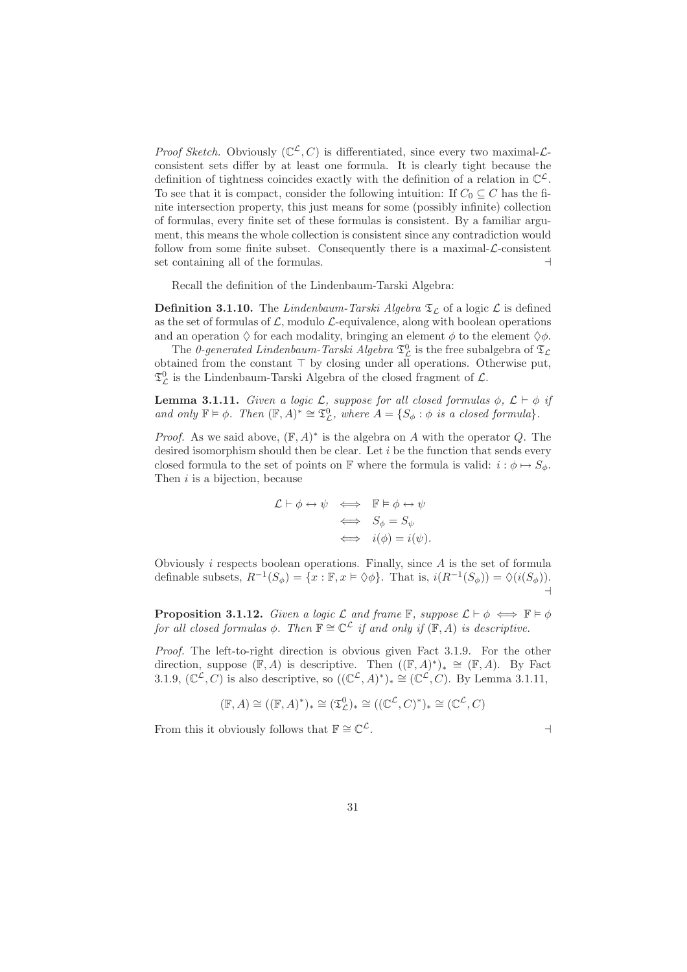*Proof Sketch.* Obviously  $(\mathbb{C}^{\mathcal{L}}, C)$  is differentiated, since every two maximal- $\mathcal{L}$ consistent sets differ by at least one formula. It is clearly tight because the definition of tightness coincides exactly with the definition of a relation in  $\mathbb{C}^{\mathcal{L}}$ . To see that it is compact, consider the following intuition: If  $C_0 \subseteq C$  has the finite intersection property, this just means for some (possibly infinite) collection of formulas, every finite set of these formulas is consistent. By a familiar argument, this means the whole collection is consistent since any contradiction would follow from some finite subset. Consequently there is a maximal- $\mathcal{L}$ -consistent set containing all of the formulas. ⊣

Recall the definition of the Lindenbaum-Tarski Algebra:

**Definition 3.1.10.** The Lindenbaum-Tarski Algebra  $\mathfrak{T}_{\mathcal{L}}$  of a logic  $\mathcal{L}$  is defined as the set of formulas of  $\mathcal{L}$ , modulo  $\mathcal{L}$ -equivalence, along with boolean operations and an operation  $\Diamond$  for each modality, bringing an element  $\phi$  to the element  $\Diamond \phi$ .

The 0-generated Lindenbaum-Tarski Algebra  $\mathfrak{T}^0_{\mathcal{L}}$  is the free subalgebra of  $\mathfrak{T}_{\mathcal{L}}$ obtained from the constant ⊤ by closing under all operations. Otherwise put,  $\mathfrak{T}^0_{\mathcal{L}}$  is the Lindenbaum-Tarski Algebra of the closed fragment of  $\mathcal{L}.$ 

**Lemma 3.1.11.** Given a logic  $\mathcal{L}$ , suppose for all closed formulas  $\phi$ ,  $\mathcal{L} \vdash \phi$  if and only  $\mathbb{F} \models \phi$ . Then  $(\mathbb{F}, A)^* \cong \mathfrak{T}_{\mathcal{L}}^0$ , where  $A = \{S_{\phi} : \phi \text{ is a closed formula}\}.$ 

*Proof.* As we said above,  $(\mathbb{F}, A)^*$  is the algebra on A with the operator Q. The desired isomorphism should then be clear. Let i be the function that sends every closed formula to the set of points on F where the formula is valid:  $i : \phi \mapsto S_{\phi}$ . Then  $i$  is a bijection, because

$$
\mathcal{L} \vdash \phi \leftrightarrow \psi \iff \mathbb{F} \models \phi \leftrightarrow \psi
$$
  

$$
\iff S_{\phi} = S_{\psi}
$$
  

$$
\iff i(\phi) = i(\psi).
$$

Obviously  $i$  respects boolean operations. Finally, since  $A$  is the set of formula definable subsets,  $R^{-1}(S_{\phi}) = \{x : \mathbb{F}, x \models \Diamond \phi\}$ . That is,  $i(R^{-1}(S_{\phi})) = \Diamond(i(S_{\phi}))$ . ⊣

**Proposition 3.1.12.** Given a logic L and frame  $\mathbb{F}$ , suppose  $\mathcal{L} \vdash \phi \iff \mathbb{F} \models \phi$ for all closed formulas  $\phi$ . Then  $\mathbb{F} \cong \mathbb{C}^{\mathcal{L}}$  if and only if  $(\mathbb{F}, A)$  is descriptive.

Proof. The left-to-right direction is obvious given Fact 3.1.9. For the other direction, suppose  $(\mathbb{F}, A)$  is descriptive. Then  $((\mathbb{F}, A)^*)_* \cong (\mathbb{F}, A)$ . By Fact 3.1.9,  $(\mathbb{C}^{\mathcal{L}}, C)$  is also descriptive, so  $((\mathbb{C}^{\mathcal{L}}, A)^*)_* \cong (\mathbb{C}^{\mathcal{L}}, C)$ . By Lemma 3.1.11,

$$
(\mathbb{F}, A) \cong ((\mathbb{F}, A)^*)_* \cong (\mathfrak{T}_{\mathcal{L}}^0)_* \cong ((\mathbb{C}^{\mathcal{L}}, C)^*)_* \cong (\mathbb{C}^{\mathcal{L}}, C)
$$

From this it obviously follows that  $\mathbb{F} \cong \mathbb{C}^{\mathcal{L}}$ .  $\mathcal{L}$ .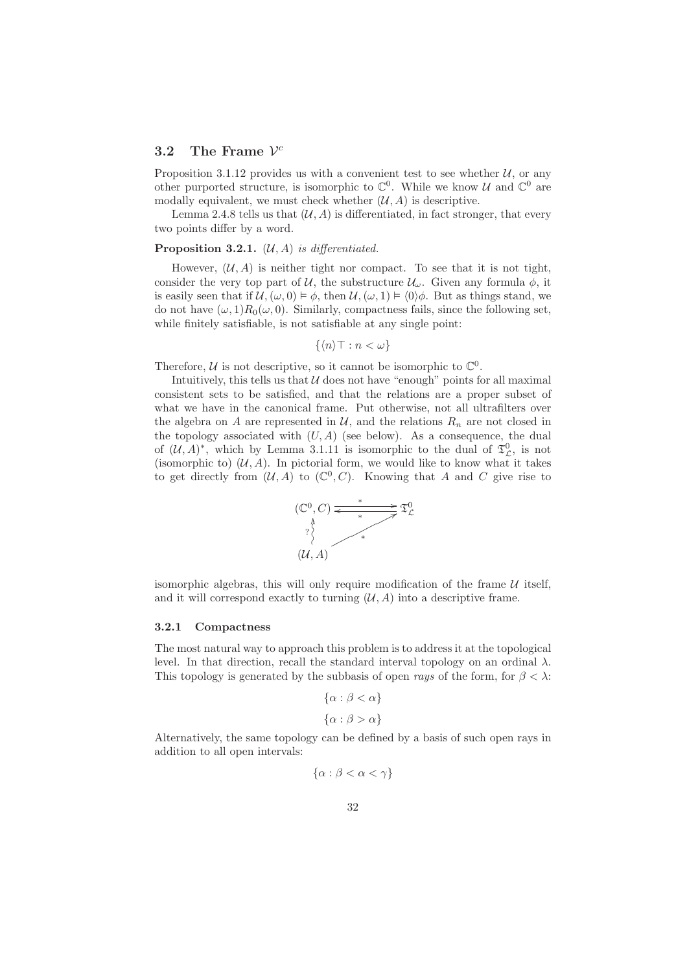## 3.2 The Frame  $\mathcal{V}^c$

Proposition 3.1.12 provides us with a convenient test to see whether  $U$ , or any other purported structure, is isomorphic to  $\mathbb{C}^0$ . While we know U and  $\mathbb{C}^0$  are modally equivalent, we must check whether  $(\mathcal{U}, A)$  is descriptive.

Lemma 2.4.8 tells us that  $(\mathcal{U}, A)$  is differentiated, in fact stronger, that every two points differ by a word.

#### **Proposition 3.2.1.**  $(\mathcal{U}, A)$  is differentiated.

However,  $(\mathcal{U}, A)$  is neither tight nor compact. To see that it is not tight, consider the very top part of U, the substructure  $\mathcal{U}_{\omega}$ . Given any formula  $\phi$ , it is easily seen that if  $\mathcal{U}, (\omega, 0) \models \phi$ , then  $\mathcal{U}, (\omega, 1) \models \langle 0 \rangle \phi$ . But as things stand, we do not have  $(\omega, 1)R_0(\omega, 0)$ . Similarly, compactness fails, since the following set, while finitely satisfiable, is not satisfiable at any single point:

$$
\{\langle n\rangle \top : n < \omega\}
$$

Therefore,  $U$  is not descriptive, so it cannot be isomorphic to  $\mathbb{C}^0$ .

Intuitively, this tells us that  $U$  does not have "enough" points for all maximal consistent sets to be satisfied, and that the relations are a proper subset of what we have in the canonical frame. Put otherwise, not all ultrafilters over the algebra on A are represented in  $\mathcal{U}$ , and the relations  $R_n$  are not closed in the topology associated with  $(U, A)$  (see below). As a consequence, the dual of  $(\mathcal{U}, A)^*$ , which by Lemma 3.1.11 is isomorphic to the dual of  $\mathfrak{T}_{\mathcal{L}}^0$ , is not (isomorphic to)  $(\mathcal{U}, A)$ . In pictorial form, we would like to know what it takes to get directly from  $(\mathcal{U}, A)$  to  $(\mathbb{C}^0, C)$ . Knowing that A and C give rise to



isomorphic algebras, this will only require modification of the frame  $U$  itself, and it will correspond exactly to turning  $(\mathcal{U}, A)$  into a descriptive frame.

#### 3.2.1 Compactness

The most natural way to approach this problem is to address it at the topological level. In that direction, recall the standard interval topology on an ordinal  $\lambda$ . This topology is generated by the subbasis of open rays of the form, for  $\beta < \lambda$ :

$$
\{\alpha : \beta < \alpha\}
$$
\n
$$
\{\alpha : \beta > \alpha\}
$$

Alternatively, the same topology can be defined by a basis of such open rays in addition to all open intervals:

$$
\{\alpha : \beta < \alpha < \gamma\}
$$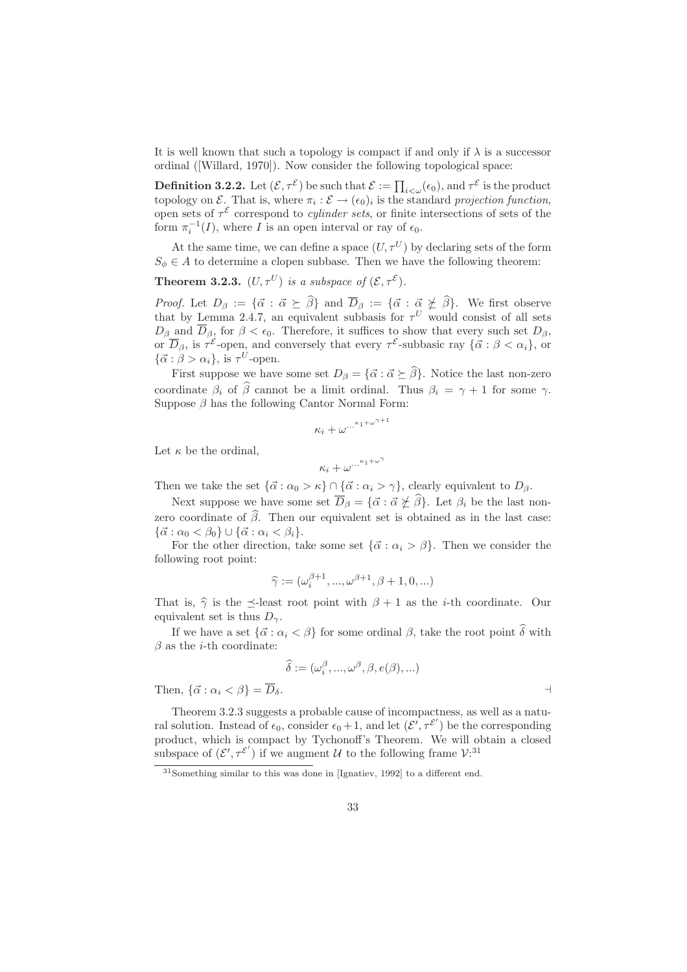It is well known that such a topology is compact if and only if  $\lambda$  is a successor ordinal ([Willard, 1970]). Now consider the following topological space:

**Definition 3.2.2.** Let  $(\mathcal{E}, \tau^{\mathcal{E}})$  be such that  $\mathcal{E} := \prod_{i < \omega} (\epsilon_0)$ , and  $\tau^{\mathcal{E}}$  is the product topology on  $\mathcal{E}$ . That is, where  $\pi_i : \mathcal{E} \to (\epsilon_0)_i$  is the standard projection function, open sets of  $\tau^{\mathcal{E}}$  correspond to *cylinder sets*, or finite intersections of sets of the form  $\pi_i^{-1}(I)$ , where I is an open interval or ray of  $\epsilon_0$ .

At the same time, we can define a space  $(U, \tau^U)$  by declaring sets of the form  $S_{\phi} \in A$  to determine a clopen subbase. Then we have the following theorem:

**Theorem 3.2.3.**  $(U, \tau^U)$  is a subspace of  $(\mathcal{E}, \tau^{\mathcal{E}})$ .

*Proof.* Let  $D_{\beta} := {\{\vec{\alpha} : \vec{\alpha} \succeq \beta\}}$  and  $D_{\beta} := {\{\vec{\alpha} : \vec{\alpha} \not\succeq \beta\}}$ . We first observe that by Lemma 2.4.7, an equivalent subbasis for  $\tau^U$  would consist of all sets  $D_{\beta}$  and  $D_{\beta}$ , for  $\beta < \epsilon_0$ . Therefore, it suffices to show that every such set  $D_{\beta}$ , or  $\overline{D}_{\beta}$ , is  $\tau^{\mathcal{E}}$ -open, and conversely that every  $\tau^{\mathcal{E}}$ -subbasic ray  $\{\vec{\alpha} : \beta < \alpha_i\}$ , or  $\{\vec{\alpha} : \beta > \alpha_i\}, \text{ is } \tau^U\text{-open}.$ 

First suppose we have some set  $D_{\beta} = {\vec{\alpha} : \vec{\alpha} \succeq \hat{\beta}}$ . Notice the last non-zero coordinate  $\beta_i$  of  $\hat{\beta}$  cannot be a limit ordinal. Thus  $\beta_i = \gamma + 1$  for some  $\gamma$ . Suppose  $\beta$  has the following Cantor Normal Form:

$$
\kappa_i+\omega^{\dots^{\kappa_1+\omega^{\gamma+1}}}
$$

Let  $\kappa$  be the ordinal,

$$
\kappa_i+\omega^{\dots^{\kappa_1+\omega^{\gamma}}}
$$

Then we take the set  $\{\vec{\alpha} : \alpha_0 > \kappa\} \cap \{\vec{\alpha} : \alpha_i > \gamma\}$ , clearly equivalent to  $D_\beta$ .

Next suppose we have some set  $\overline{D}_{\beta} = {\vec{\alpha} : \vec{\alpha} \not\geq \hat{\beta}}.$  Let  $\beta_i$  be the last nonzero coordinate of  $\hat{\beta}$ . Then our equivalent set is obtained as in the last case:  ${\{\vec{\alpha}: \alpha_0 < \beta_0\}} \cup {\{\vec{\alpha}: \alpha_i < \beta_i\}}.$ 

For the other direction, take some set  $\{\vec{\alpha} : \alpha_i > \beta\}$ . Then we consider the following root point:

$$
\widehat{\gamma} := (\omega_i^{\beta+1}, ..., \omega^{\beta+1}, \beta+1, 0, ...)
$$

That is,  $\hat{\gamma}$  is the  $\preceq$ -least root point with  $\beta + 1$  as the *i*-th coordinate. Our equivalent set is thus  $D_{\gamma}$ .

If we have a set  $\{\vec{\alpha}: \alpha_i < \beta\}$  for some ordinal  $\beta$ , take the root point  $\widehat{\delta}$  with  $\beta$  as the *i*-th coordinate:

$$
\widehat{\delta} := (\omega_i^{\beta}, ..., \omega^{\beta}, \beta, e(\beta), ...)
$$

Then,  $\{\vec{\alpha}: \alpha_i < \beta\} = \overline{D}_{\delta}$ .

Theorem 3.2.3 suggests a probable cause of incompactness, as well as a natural solution. Instead of  $\epsilon_0$ , consider  $\epsilon_0 + 1$ , and let  $(\mathcal{E}', \tau^{\mathcal{E}'})$  be the corresponding product, which is compact by Tychonoff's Theorem. We will obtain a closed subspace of  $(\mathcal{E}', \tau^{\mathcal{E}'})$  if we augment U to the following frame  $\mathcal{V}^{.31}$ .

<sup>31</sup>Something similar to this was done in [Ignatiev, 1992] to a different end.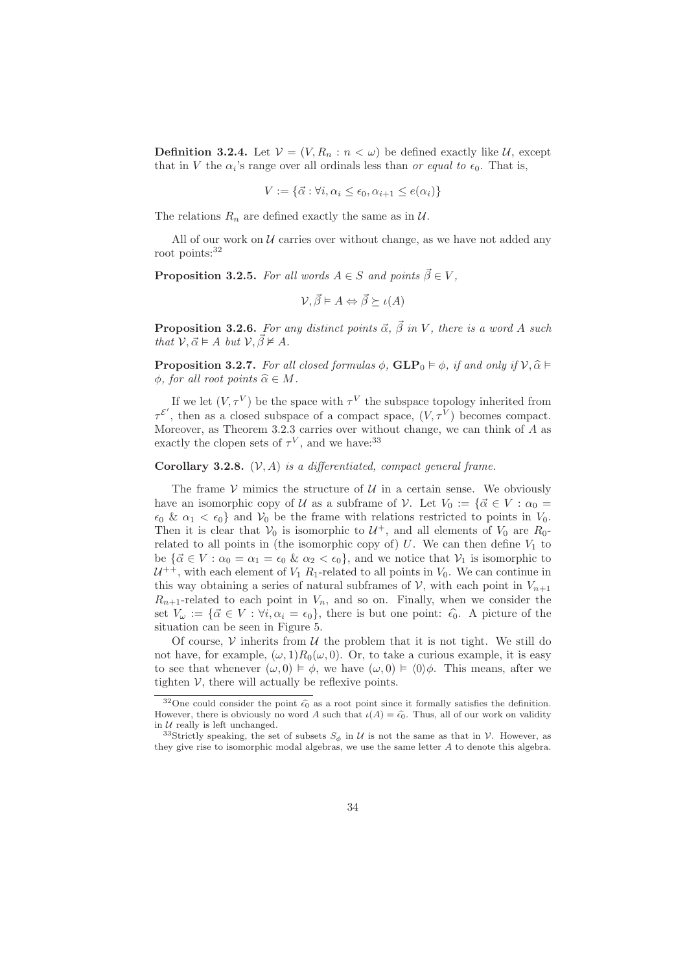**Definition 3.2.4.** Let  $V = (V, R_n : n < \omega)$  be defined exactly like U, except that in V the  $\alpha_i$ 's range over all ordinals less than *or equal to*  $\epsilon_0$ . That is,

$$
V := \{ \vec{\alpha} : \forall i, \alpha_i \le \epsilon_0, \alpha_{i+1} \le e(\alpha_i) \}
$$

The relations  $R_n$  are defined exactly the same as in  $\mathcal{U}$ .

All of our work on  $U$  carries over without change, as we have not added any root points:<sup>32</sup>

**Proposition 3.2.5.** For all words  $A \in S$  and points  $\vec{\beta} \in V$ ,

$$
\mathcal{V}, \vec{\beta} \models A \Leftrightarrow \vec{\beta} \succeq \iota(A)
$$

**Proposition 3.2.6.** For any distinct points  $\vec{\alpha}$ ,  $\vec{\beta}$  in V, there is a word A such that  $\mathcal{V}, \vec{\alpha} \models A \text{ but } \mathcal{V}, \vec{\beta} \not\models A.$ 

**Proposition 3.2.7.** For all closed formulas  $\phi$ ,  $GLP_0 \vDash \phi$ , if and only if  $V$ ,  $\hat{\alpha} \vDash$  $\phi$ , for all root points  $\widehat{\alpha} \in M$ .

If we let  $(V, \tau^V)$  be the space with  $\tau^V$  the subspace topology inherited from  $\tau^{\mathcal{E}'}$ , then as a closed subspace of a compact space,  $(V, \tau^V)$  becomes compact. Moreover, as Theorem 3.2.3 carries over without change, we can think of A as exactly the clopen sets of  $\tau^V$ , and we have:<sup>33</sup>

**Corollary 3.2.8.**  $(V, A)$  is a differentiated, compact general frame.

The frame  $\mathcal V$  mimics the structure of  $\mathcal U$  in a certain sense. We obviously have an isomorphic copy of U as a subframe of V. Let  $V_0 := \{\vec{\alpha} \in V : \alpha_0 =$  $\epsilon_0 \& \alpha_1 < \epsilon_0$  and  $V_0$  be the frame with relations restricted to points in  $V_0$ . Then it is clear that  $V_0$  is isomorphic to  $\mathcal{U}^+$ , and all elements of  $V_0$  are  $R_0$ related to all points in (the isomorphic copy of)  $U$ . We can then define  $V_1$  to be  ${\{\vec{\alpha} \in V : \alpha_0 = \alpha_1 = \epsilon_0 \& \alpha_2 < \epsilon_0\}}$ , and we notice that  $V_1$  is isomorphic to  $U^{++}$ , with each element of  $V_1 R_1$ -related to all points in  $V_0$ . We can continue in this way obtaining a series of natural subframes of V, with each point in  $V_{n+1}$  $R_{n+1}$ -related to each point in  $V_n$ , and so on. Finally, when we consider the set  $V_\omega := {\{\vec{\alpha} \in V : \forall i, \alpha_i = \epsilon_0\}},$  there is but one point:  $\hat{\epsilon_0}$ . A picture of the situation can be seen in Figure 5.

Of course,  $\mathcal V$  inherits from  $\mathcal U$  the problem that it is not tight. We still do not have, for example,  $(\omega, 1)R_0(\omega, 0)$ . Or, to take a curious example, it is easy to see that whenever  $(\omega, 0) \models \phi$ , we have  $(\omega, 0) \models \langle 0 \rangle \phi$ . This means, after we tighten  $V$ , there will actually be reflexive points.

<sup>&</sup>lt;sup>32</sup>One could consider the point  $\hat{\epsilon_0}$  as a root point since it formally satisfies the definition. However, there is obviously no word A such that  $\iota(A) = \hat{\epsilon_0}$ . Thus, all of our work on validity in  $U$  really is left unchanged.

<sup>&</sup>lt;sup>33</sup>Strictly speaking, the set of subsets  $S_{\phi}$  in U is not the same as that in V. However, as they give rise to isomorphic modal algebras, we use the same letter A to denote this algebra.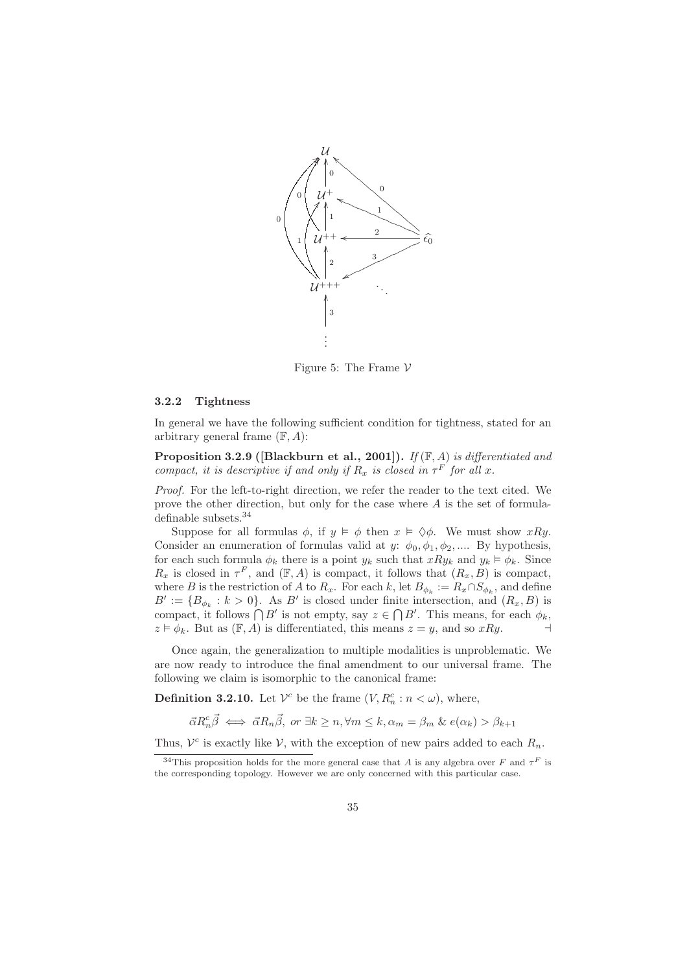

Figure 5: The Frame  $\mathcal V$ 

#### 3.2.2 Tightness

In general we have the following sufficient condition for tightness, stated for an arbitrary general frame  $(F, A)$ :

**Proposition 3.2.9 ([Blackburn et al., 2001]).** If  $(\mathbb{F}, A)$  is differentiated and compact, it is descriptive if and only if  $R_x$  is closed in  $\tau^F$  for all x.

Proof. For the left-to-right direction, we refer the reader to the text cited. We prove the other direction, but only for the case where A is the set of formuladefinable subsets.<sup>34</sup>

Suppose for all formulas  $\phi$ , if  $y \vDash \phi$  then  $x \vDash \Diamond \phi$ . We must show xRy. Consider an enumeration of formulas valid at y:  $\phi_0, \phi_1, \phi_2, \dots$  By hypothesis, for each such formula  $\phi_k$  there is a point  $y_k$  such that  $xRy_k$  and  $y_k \vDash \phi_k$ . Since  $R_x$  is closed in  $\tau^F$ , and  $(\mathbb{F}, A)$  is compact, it follows that  $(R_x, B)$  is compact, where B is the restriction of A to  $R_x$ . For each k, let  $B_{\phi_k} := R_x \cap S_{\phi_k}$ , and define  $B' := \{B_{\phi_k} : k > 0\}$ . As B' is closed under finite intersection, and  $(R_x, B)$  is compact, it follows  $\bigcap B'$  is not empty, say  $z \in \bigcap B'$ . This means, for each  $\phi_k$ ,  $z \models \phi_k$ . But as  $(\mathbb{F}, A)$  is differentiated, this means  $z = y$ , and so  $xRy$ .

Once again, the generalization to multiple modalities is unproblematic. We are now ready to introduce the final amendment to our universal frame. The following we claim is isomorphic to the canonical frame:

**Definition 3.2.10.** Let  $V^c$  be the frame  $(V, R_n^c : n < \omega)$ , where,

 $\vec{\alpha}R_n^c \vec{\beta} \iff \vec{\alpha}R_n \vec{\beta}, \text{ or } \exists k \geq n, \forall m \leq k, \alpha_m = \beta_m \& e(\alpha_k) > \beta_{k+1}$ 

Thus,  $\mathcal{V}^c$  is exactly like  $\mathcal{V}$ , with the exception of new pairs added to each  $R_n$ .

<sup>&</sup>lt;sup>34</sup>This proposition holds for the more general case that A is any algebra over F and  $\tau^F$  is the corresponding topology. However we are only concerned with this particular case.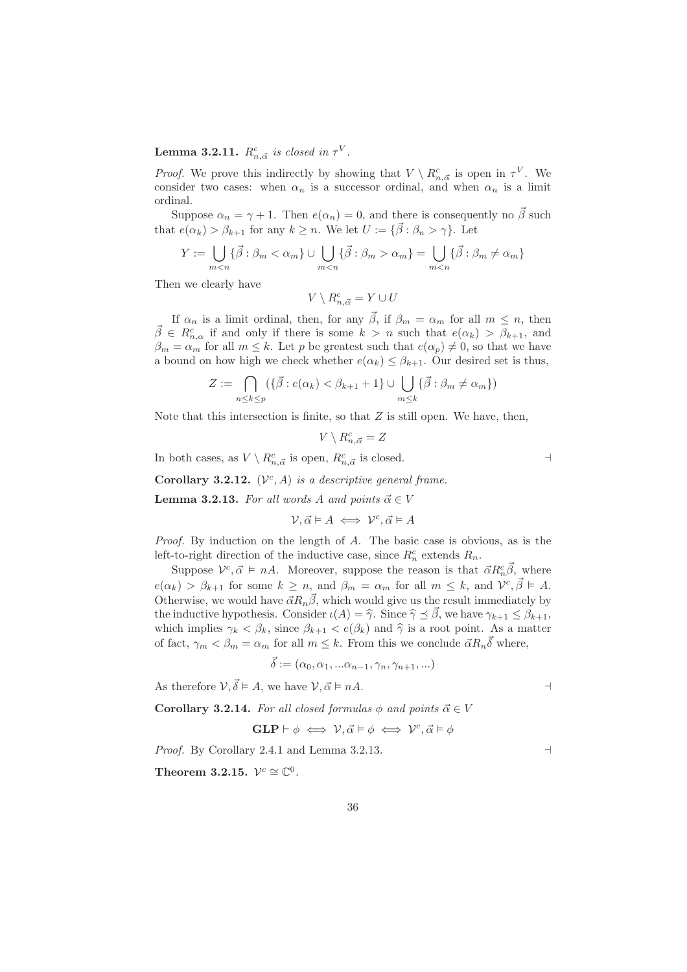# **Lemma 3.2.11.**  $R^c_{n, \vec{\alpha}}$  is closed in  $\tau^V$ .

*Proof.* We prove this indirectly by showing that  $V \setminus R_{n,\vec{\alpha}}^c$  is open in  $\tau^V$ . We consider two cases: when  $\alpha_n$  is a successor ordinal, and when  $\alpha_n$  is a limit ordinal.

Suppose  $\alpha_n = \gamma + 1$ . Then  $e(\alpha_n) = 0$ , and there is consequently no  $\vec{\beta}$  such that  $e(\alpha_k) > \beta_{k+1}$  for any  $k \geq n$ . We let  $U := \{ \vec{\beta} : \beta_n > \gamma \}$ . Let

$$
Y := \bigcup_{m < n} \{\vec{\beta} : \beta_m < \alpha_m\} \cup \bigcup_{m < n} \{\vec{\beta} : \beta_m > \alpha_m\} = \bigcup_{m < n} \{\vec{\beta} : \beta_m \neq \alpha_m\}
$$

Then we clearly have

$$
{}^{\prime} \setminus R^{c}_{n,\vec{\alpha}} = Y \cup U
$$

If  $\alpha_n$  is a limit ordinal, then, for any  $\vec{\beta}$ , if  $\beta_m = \alpha_m$  for all  $m \leq n$ , then  $\vec{\beta} \in R^c_{n,\alpha}$  if and only if there is some  $k > n$  such that  $e(\alpha_k) > \beta_{k+1}$ , and  $\beta_m = \alpha_m$  for all  $m \leq k$ . Let p be greatest such that  $e(\alpha_p) \neq 0$ , so that we have a bound on how high we check whether  $e(\alpha_k) \leq \beta_{k+1}$ . Our desired set is thus,

$$
Z := \bigcap_{n \leq k \leq p} (\{\vec{\beta} : e(\alpha_k) < \beta_{k+1} + 1\} \cup \bigcup_{m \leq k} \{\vec{\beta} : \beta_m \neq \alpha_m\})
$$

Note that this intersection is finite, so that  $Z$  is still open. We have, then,

$$
V \setminus R^c_{n,\vec{\alpha}} = Z
$$

In both cases, as  $V \setminus R^c_{n, \vec{\alpha}}$  is open,  $R^c_{n, \vec{\alpha}}$  is closed.  $\rightarrow$ 

Corollary 3.2.12.  $(\mathcal{V}^c, A)$  is a descriptive general frame.

 $\mathcal{L}$ 

**Lemma 3.2.13.** For all words A and points  $\vec{\alpha} \in V$ 

$$
\mathcal{V}, \vec{\alpha} \models A \iff \mathcal{V}^c, \vec{\alpha} \models A
$$

Proof. By induction on the length of A. The basic case is obvious, as is the left-to-right direction of the inductive case, since  $R_n^c$  extends  $R_n$ .

Suppose  $\mathcal{V}^c, \vec{\alpha} \models n\vec{A}$ . Moreover, suppose the reason is that  $\vec{\alpha} R_n^c \vec{\beta}$ , where  $e(\alpha_k) > \beta_{k+1}$  for some  $k \geq n$ , and  $\beta_m = \alpha_m$  for all  $m \leq k$ , and  $\mathcal{V}^c, \vec{\beta} \models A$ . Otherwise, we would have  $\vec{\alpha}R_n\vec{\beta}$ , which would give us the result immediately by the inductive hypothesis. Consider  $\iota(A) = \hat{\gamma}$ . Since  $\hat{\gamma} \preceq \hat{\beta}$ , we have  $\gamma_{k+1} \leq \beta_{k+1}$ , which implies  $\gamma_k < \beta_k$ , since  $\beta_{k+1} < e(\beta_k)$  and  $\hat{\gamma}$  is a root point. As a matter of fact,  $\gamma_m < \beta_m = \alpha_m$  for all  $m \leq k$ . From this we conclude  $\vec{\alpha} R_n \vec{\delta}$  where,

$$
\vec{\delta} := (\alpha_0, \alpha_1, \ldots \alpha_{n-1}, \gamma_n, \gamma_{n+1}, \ldots)
$$

As therefore  $V, \vec{\delta} \models A$ , we have  $V, \vec{\alpha} \models nA$ .

**Corollary 3.2.14.** For all closed formulas  $\phi$  and points  $\vec{\alpha} \in V$ 

$$
GLP \vdash \phi \iff \mathcal{V}, \vec{\alpha} \models \phi \iff \mathcal{V}^c, \vec{\alpha} \models \phi
$$

Proof. By Corollary 2.4.1 and Lemma 3.2.13. ⊣

Theorem 3.2.15.  $\mathcal{V}^c \cong \mathbb{C}^0$ .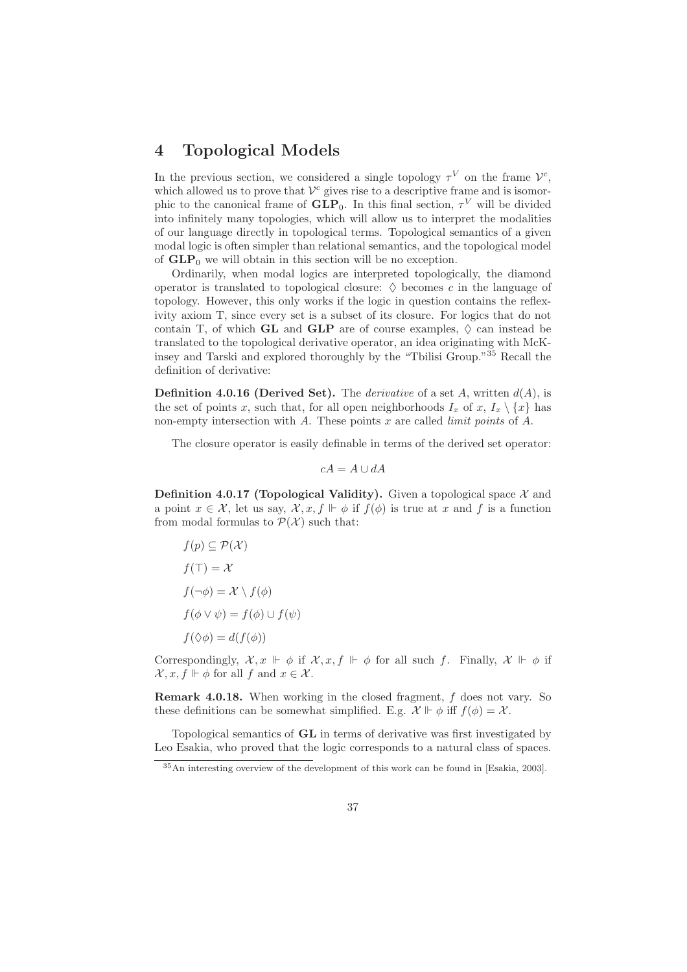# 4 Topological Models

In the previous section, we considered a single topology  $\tau^V$  on the frame  $\mathcal{V}^c$ , which allowed us to prove that  $\mathcal{V}^c$  gives rise to a descriptive frame and is isomorphic to the canonical frame of  $GLP_0$ . In this final section,  $\tau^V$  will be divided into infinitely many topologies, which will allow us to interpret the modalities of our language directly in topological terms. Topological semantics of a given modal logic is often simpler than relational semantics, and the topological model of  $GLP_0$  we will obtain in this section will be no exception.

Ordinarily, when modal logics are interpreted topologically, the diamond operator is translated to topological closure:  $\diamond$  becomes c in the language of topology. However, this only works if the logic in question contains the reflexivity axiom T, since every set is a subset of its closure. For logics that do not contain T, of which GL and GLP are of course examples,  $\Diamond$  can instead be translated to the topological derivative operator, an idea originating with McKinsey and Tarski and explored thoroughly by the "Tbilisi Group."<sup>35</sup> Recall the definition of derivative:

**Definition 4.0.16 (Derived Set).** The *derivative* of a set A, written  $d(A)$ , is the set of points x, such that, for all open neighborhoods  $I_x$  of x,  $I_x \setminus \{x\}$  has non-empty intersection with  $A$ . These points  $x$  are called *limit points* of  $A$ .

The closure operator is easily definable in terms of the derived set operator:

 $cA = A \cup dA$ 

**Definition 4.0.17 (Topological Validity).** Given a topological space  $\mathcal{X}$  and a point  $x \in \mathcal{X}$ , let us say,  $\mathcal{X}, x, f \Vdash \phi$  if  $f(\phi)$  is true at x and f is a function from modal formulas to  $P(X)$  such that:

$$
f(p) \subseteq \mathcal{P}(\mathcal{X})
$$
  
\n
$$
f(\top) = \mathcal{X}
$$
  
\n
$$
f(\neg \phi) = \mathcal{X} \setminus f(\phi)
$$
  
\n
$$
f(\phi \vee \psi) = f(\phi) \cup f(\psi)
$$
  
\n
$$
f(\Diamond \phi) = d(f(\phi))
$$

Correspondingly,  $\mathcal{X}, x \Vdash \phi$  if  $\mathcal{X}, x, f \Vdash \phi$  for all such f. Finally,  $\mathcal{X} \Vdash \phi$  if  $\mathcal{X}, x, f \Vdash \phi$  for all f and  $x \in \mathcal{X}$ .

Remark 4.0.18. When working in the closed fragment, f does not vary. So these definitions can be somewhat simplified. E.g.  $\mathcal{X} \Vdash \phi$  iff  $f(\phi) = \mathcal{X}$ .

Topological semantics of GL in terms of derivative was first investigated by Leo Esakia, who proved that the logic corresponds to a natural class of spaces.

<sup>35</sup>An interesting overview of the development of this work can be found in [Esakia, 2003].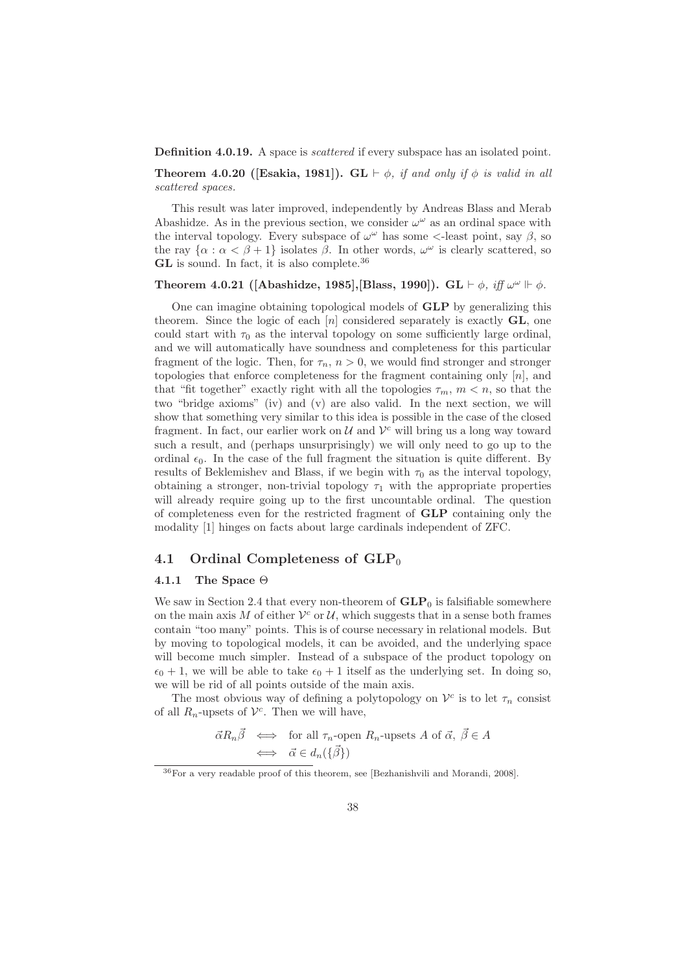**Definition 4.0.19.** A space is *scattered* if every subspace has an isolated point.

**Theorem 4.0.20 ([Esakia, 1981]).** GL  $\vdash \phi$ , if and only if  $\phi$  is valid in all scattered spaces.

This result was later improved, independently by Andreas Blass and Merab Abashidze. As in the previous section, we consider  $\omega^{\omega}$  as an ordinal space with the interval topology. Every subspace of  $\omega^{\omega}$  has some <-least point, say  $\beta$ , so the ray  $\{\alpha : \alpha < \beta + 1\}$  isolates  $\beta$ . In other words,  $\omega^{\omega}$  is clearly scattered, so GL is sound. In fact, it is also complete.<sup>36</sup>

## Theorem 4.0.21 ([Abashidze, 1985],[Blass, 1990]). GL  $\vdash \phi$ , iff  $\omega^{\omega} \Vdash \phi$ .

One can imagine obtaining topological models of GLP by generalizing this theorem. Since the logic of each  $[n]$  considered separately is exactly  $GL$ , one could start with  $\tau_0$  as the interval topology on some sufficiently large ordinal, and we will automatically have soundness and completeness for this particular fragment of the logic. Then, for  $\tau_n$ ,  $n > 0$ , we would find stronger and stronger topologies that enforce completeness for the fragment containing only  $[n]$ , and that "fit together" exactly right with all the topologies  $\tau_m$ ,  $m < n$ , so that the two "bridge axioms" (iv) and (v) are also valid. In the next section, we will show that something very similar to this idea is possible in the case of the closed fragment. In fact, our earlier work on  $\mathcal U$  and  $\mathcal V^c$  will bring us a long way toward such a result, and (perhaps unsurprisingly) we will only need to go up to the ordinal  $\epsilon_0$ . In the case of the full fragment the situation is quite different. By results of Beklemishev and Blass, if we begin with  $\tau_0$  as the interval topology, obtaining a stronger, non-trivial topology  $\tau_1$  with the appropriate properties will already require going up to the first uncountable ordinal. The question of completeness even for the restricted fragment of GLP containing only the modality [1] hinges on facts about large cardinals independent of ZFC.

#### 4.1 Ordinal Completeness of  $GLP_0$

### 4.1.1 The Space  $\Theta$

We saw in Section 2.4 that every non-theorem of  $GLP_0$  is falsifiable somewhere on the main axis M of either  $\mathcal{V}^c$  or U, which suggests that in a sense both frames contain "too many" points. This is of course necessary in relational models. But by moving to topological models, it can be avoided, and the underlying space will become much simpler. Instead of a subspace of the product topology on  $\epsilon_0 + 1$ , we will be able to take  $\epsilon_0 + 1$  itself as the underlying set. In doing so, we will be rid of all points outside of the main axis.

The most obvious way of defining a polytopology on  $\mathcal{V}^c$  is to let  $\tau_n$  consist of all  $R_n$ -upsets of  $\mathcal{V}^c$ . Then we will have,

$$
\vec{\alpha}R_n\vec{\beta} \iff \text{for all } \tau_n\text{-open } R_n\text{-upsets } A \text{ of } \vec{\alpha}, \ \vec{\beta} \in A
$$
  

$$
\iff \vec{\alpha} \in d_n(\{\vec{\beta}\})
$$

<sup>36</sup>For a very readable proof of this theorem, see [Bezhanishvili and Morandi, 2008].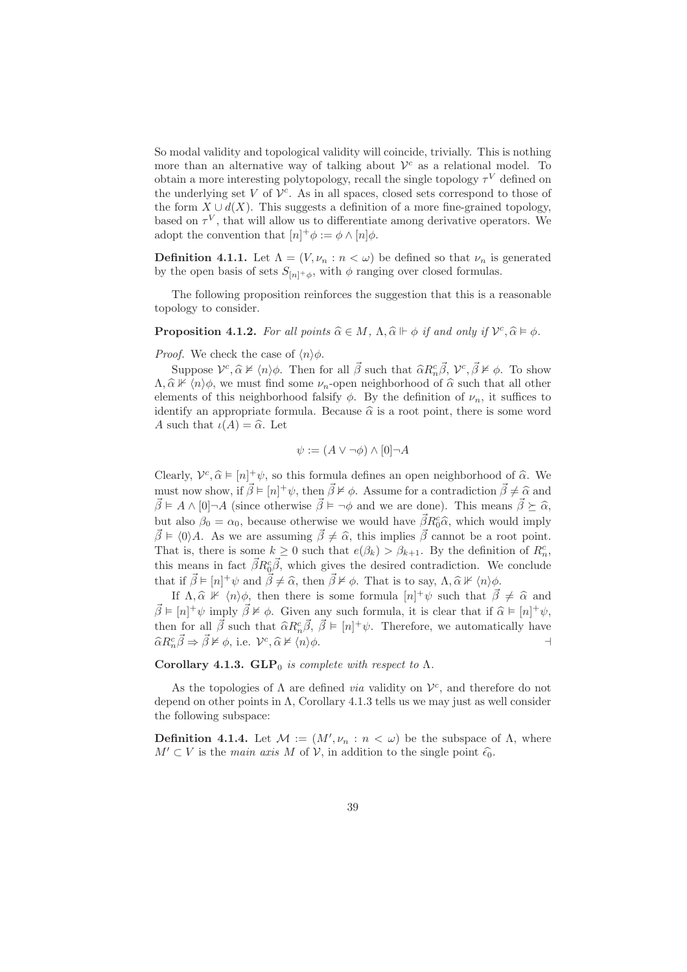So modal validity and topological validity will coincide, trivially. This is nothing more than an alternative way of talking about  $\mathcal{V}^c$  as a relational model. To obtain a more interesting polytopology, recall the single topology  $\tau^V$  defined on the underlying set  $V$  of  $V<sup>c</sup>$ . As in all spaces, closed sets correspond to those of the form  $X \cup d(X)$ . This suggests a definition of a more fine-grained topology, based on  $\tau^V$ , that will allow us to differentiate among derivative operators. We adopt the convention that  $[n]^+ \phi := \phi \wedge [n] \phi$ .

**Definition 4.1.1.** Let  $\Lambda = (V, \nu_n : n < \omega)$  be defined so that  $\nu_n$  is generated by the open basis of sets  $S_{[n]+ \phi}$ , with  $\phi$  ranging over closed formulas.

The following proposition reinforces the suggestion that this is a reasonable topology to consider.

**Proposition 4.1.2.** For all points  $\widehat{\alpha} \in M$ ,  $\Lambda$ ,  $\widehat{\alpha} \models \phi$  if and only if  $\mathcal{V}^c$ ,  $\widehat{\alpha} \models \phi$ .

*Proof.* We check the case of  $\langle n \rangle \phi$ .

Suppose  $V^c$ ,  $\hat{\alpha} \nvDash \langle n \rangle \phi$ . Then for all  $\vec{\beta}$  such that  $\hat{\alpha}R_n^c \vec{\beta}$ ,  $V^c$ ,  $\vec{\beta} \nvDash \phi$ . To show  $\Lambda$ ,  $\widehat{\alpha} \not\vdash \langle n \rangle \phi$ , we must find some  $\nu_n$ -open neighborhood of  $\widehat{\alpha}$  such that all other elements of this neighborhood falsify  $\phi$ . By the definition of  $\nu_n$ , it suffices to identify an appropriate formula. Because  $\hat{\alpha}$  is a root point, there is some word A such that  $\iota(A) = \widehat{\alpha}$ . Let

$$
\psi := (A \lor \neg \phi) \land [0] \neg A
$$

Clearly,  $V^c, \hat{\alpha} \models [n]^+ \psi$ , so this formula defines an open neighborhood of  $\hat{\alpha}$ . We must now show, if  $\vec{\beta} \models [n]^+ \psi$ , then  $\vec{\beta} \not\models \phi$ . Assume for a contradiction  $\vec{\beta} \neq \hat{\alpha}$  and  $\vec{\beta} \models A \wedge [0] \neg A$  (since otherwise  $\vec{\beta} \models \neg \phi$  and we are done). This means  $\vec{\beta} \succeq \hat{\alpha}$ , but also  $\beta_0 = \alpha_0$ , because otherwise we would have  $\vec{\beta}R_0^c\hat{\alpha}$ , which would imply  $\vec{\beta} \models \langle 0 \rangle A$ . As we are assuming  $\vec{\beta} \neq \hat{\alpha}$ , this implies  $\vec{\beta}$  cannot be a root point. That is, there is some  $k \geq 0$  such that  $e(\beta_k) > \beta_{k+1}$ . By the definition of  $R_n^c$ , this means in fact  $\vec{\beta}R_0^c\vec{\beta}$ , which gives the desired contradiction. We conclude that if  $\vec{\beta} \models [n]^+\psi$  and  $\vec{\beta} \neq \hat{\alpha}$ , then  $\vec{\beta} \not\models \phi$ . That is to say,  $\Lambda, \hat{\alpha} \not\vdash \langle n \rangle \phi$ .

If  $\Lambda, \hat{\alpha} \not\vdash \langle n \rangle \phi$ , then there is some formula  $[n]^+ \psi$  such that  $\vec{\beta} \neq \hat{\alpha}$  and  $\vec{\beta} \models [n]^+\psi$  imply  $\vec{\beta} \not\models \phi$ . Given any such formula, it is clear that if  $\hat{\alpha} \models [n]^+\psi$ , then for all  $\vec{\beta}$  such that  $\hat{\alpha}R_n^c\vec{\beta}, \ \vec{\beta} \models [n]^+\psi$ . Therefore, we automatically have  $\widehat{\alpha}R_n^c\vec{\beta} \Rightarrow \vec{\beta} \nvDash \phi$ , i.e.  $\mathcal{V}^c, \widehat{\alpha} \nvDash \langle n \rangle \phi$ .

Corollary 4.1.3.  $GLP_0$  is complete with respect to  $\Lambda$ .

As the topologies of  $\Lambda$  are defined *via* validity on  $\mathcal{V}^c$ , and therefore do not depend on other points in  $\Lambda$ , Corollary 4.1.3 tells us we may just as well consider the following subspace:

**Definition 4.1.4.** Let  $M := (M', \nu_n : n < \omega)$  be the subspace of  $\Lambda$ , where  $M' \subset V$  is the main axis M of V, in addition to the single point  $\hat{\epsilon}_0$ .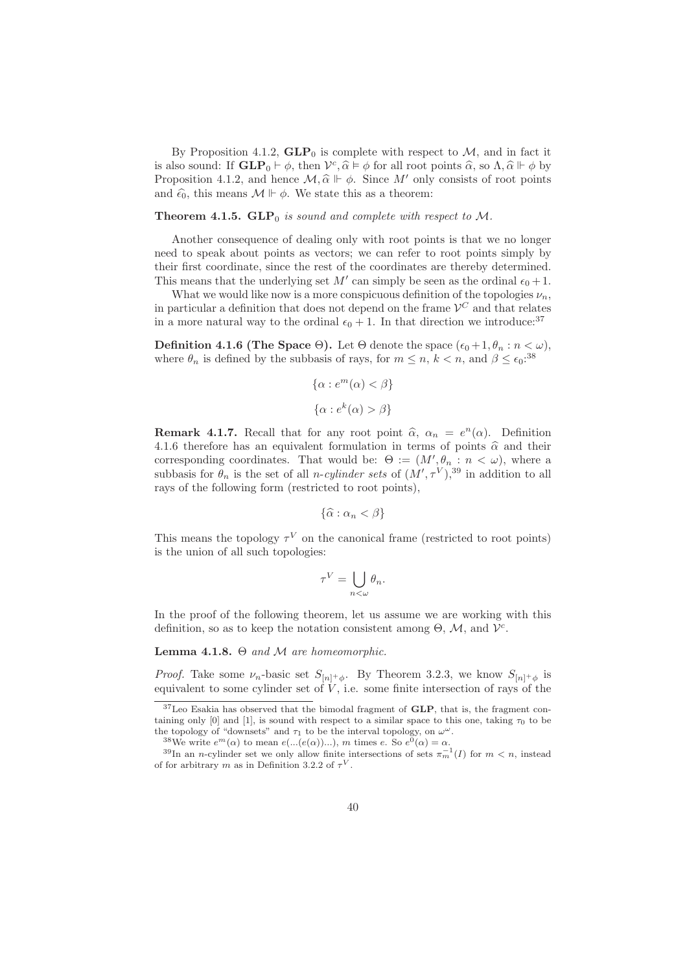By Proposition 4.1.2,  $GLP_0$  is complete with respect to M, and in fact it is also sound: If  $\mathbf{GLP}_0 \vdash \phi$ , then  $\mathcal{V}^c$ ,  $\hat{\alpha} \models \phi$  for all root points  $\hat{\alpha}$ , so  $\Lambda$ ,  $\hat{\alpha} \Vdash \phi$  by Proposition 4.1.2, and hence  $\mathcal{M}, \hat{\alpha} \Vdash \phi$ . Since M' only consists of root points and  $\hat{\epsilon}_0$ , this means  $\mathcal{M} \Vdash \phi$ . We state this as a theorem:

#### **Theorem 4.1.5. GLP** $<sub>0</sub>$  is sound and complete with respect to M.</sub>

Another consequence of dealing only with root points is that we no longer need to speak about points as vectors; we can refer to root points simply by their first coordinate, since the rest of the coordinates are thereby determined. This means that the underlying set  $M'$  can simply be seen as the ordinal  $\epsilon_0 + 1$ .

What we would like now is a more conspicuous definition of the topologies  $\nu_n$ , in particular a definition that does not depend on the frame  $\mathcal{V}^C$  and that relates in a more natural way to the ordinal  $\epsilon_0 + 1$ . In that direction we introduce:<sup>37</sup>

**Definition 4.1.6 (The Space Θ).** Let  $\Theta$  denote the space  $(\epsilon_0 + 1, \theta_n : n < \omega)$ , where  $\theta_n$  is defined by the subbasis of rays, for  $m \leq n$ ,  $k < n$ , and  $\beta \leq \epsilon_0$ <sup>38</sup>

$$
\{\alpha : e^m(\alpha) < \beta\}
$$
\n
$$
\{\alpha : e^k(\alpha) > \beta\}
$$

**Remark 4.1.7.** Recall that for any root point  $\hat{\alpha}$ ,  $\alpha_n = e^n(\alpha)$ . Definition 4.1.6 therefore has an equivalent formulation in terms of points  $\hat{\alpha}$  and their corresponding coordinates. That would be:  $\Theta := (M', \theta_n : n < \omega)$ , where a subbasis for  $\theta_n$  is the set of all *n-cylinder sets* of  $(M', \tau^V),$ <sup>39</sup> in addition to all rays of the following form (restricted to root points),

$$
\{\widehat{\alpha} : \alpha_n < \beta\}
$$

This means the topology  $\tau^V$  on the canonical frame (restricted to root points) is the union of all such topologies:

$$
\tau^V = \bigcup_{n < \omega} \theta_n.
$$

In the proof of the following theorem, let us assume we are working with this definition, so as to keep the notation consistent among  $\Theta$ ,  $\mathcal{M}$ , and  $\mathcal{V}^c$ .

Lemma 4.1.8.  $\Theta$  and M are homeomorphic.

*Proof.* Take some  $\nu_n$ -basic set  $S_{[n]+_\phi}$ . By Theorem 3.2.3, we know  $S_{[n]+_\phi}$  is equivalent to some cylinder set of  $V$ , i.e. some finite intersection of rays of the

<sup>&</sup>lt;sup>37</sup>Leo Esakia has observed that the bimodal fragment of GLP, that is, the fragment containing only [0] and [1], is sound with respect to a similar space to this one, taking  $\tau_0$  to be the topology of "downsets" and  $\tau_1$  to be the interval topology, on  $\omega^{\omega}$ .

<sup>&</sup>lt;sup>38</sup>We write  $e^m(\alpha)$  to mean  $e(...(e(\alpha))...)$ , m times e. So  $e^0(\alpha) = \alpha$ .

<sup>&</sup>lt;sup>39</sup>In an *n*-cylinder set we only allow finite intersections of sets  $\pi_m^{-1}(I)$  for  $m < n$ , instead of for arbitrary m as in Definition 3.2.2 of  $\tau^V$ .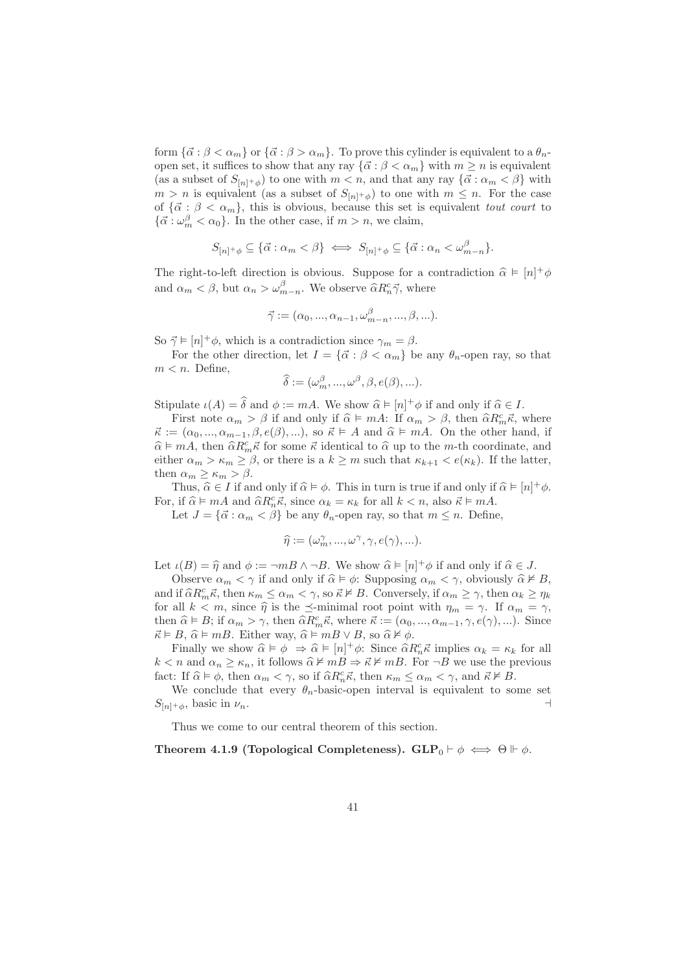form  $\{\vec{\alpha} : \beta < \alpha_m\}$  or  $\{\vec{\alpha} : \beta > \alpha_m\}$ . To prove this cylinder is equivalent to a  $\theta_n$ open set, it suffices to show that any ray  $\{\vec{\alpha} : \beta < \alpha_m\}$  with  $m \geq n$  is equivalent (as a subset of  $S_{[n] + \phi}$ ) to one with  $m < n$ , and that any ray  $\{\vec{\alpha} : \alpha_m < \beta\}$  with  $m > n$  is equivalent (as a subset of  $S_{[n] + \phi}$ ) to one with  $m \leq n$ . For the case of  ${\{\vec{\alpha}: \beta < \alpha_m\}}$ , this is obvious, because this set is equivalent *tout court* to  ${\{\vec{\alpha} : \omega_m^{\beta} < \alpha_0\}}$ . In the other case, if  $m > n$ , we claim,

$$
S_{[n]^{+}\phi} \subseteq {\vec{\alpha} : \alpha_m < \beta} \iff S_{[n]^{+}\phi} \subseteq {\vec{\alpha} : \alpha_n < \omega_{m-n}^{\beta}}.
$$

The right-to-left direction is obvious. Suppose for a contradiction  $\hat{\alpha} \models [n]^{+}\phi$ and  $\alpha_m < \beta$ , but  $\alpha_n > \omega_{m-n}^{\beta}$ . We observe  $\widehat{\alpha} R_n^c \vec{\gamma}$ , where

$$
\vec{\gamma} := (\alpha_0, ..., \alpha_{n-1}, \omega_{m-n}^{\beta}, ..., \beta, ...).
$$

So  $\vec{\gamma} \models [n]^+ \phi$ , which is a contradiction since  $\gamma_m = \beta$ .

For the other direction, let  $I = {\vec{\alpha} : \beta < \alpha_m}$  be any  $\theta_n$ -open ray, so that  $m < n$ . Define,

$$
\widehat{\delta} := (\omega_m^{\beta}, ..., \omega^{\beta}, \beta, e(\beta), ...).
$$

Stipulate  $\iota(A) = \widehat{\delta}$  and  $\phi := mA$ . We show  $\widehat{\alpha} \models [n]^+ \phi$  if and only if  $\widehat{\alpha} \in I$ .

First note  $\alpha_m > \beta$  if and only if  $\hat{\alpha} \models mA$ : If  $\alpha_m > \beta$ , then  $\hat{\alpha}R_m^c\hat{\kappa}$ , where  $\vec{\kappa} := (\alpha_0, ..., \alpha_{m-1}, \beta, e(\beta), \ldots),$  so  $\vec{\kappa} \models A$  and  $\hat{\alpha} \models mA$ . On the other hand, if  $\widehat{\alpha} \models mA$ , then  $\widehat{\alpha}R_{m}^c \vec{\kappa}$  for some  $\vec{\kappa}$  identical to  $\widehat{\alpha}$  up to the m-th coordinate, and either  $\alpha_m > \kappa_m \geq \beta$ , or there is a  $k \geq m$  such that  $\kappa_{k+1} < e(\kappa_k)$ . If the latter, then  $\alpha_m \geq \kappa_m > \beta$ .

Thus,  $\hat{\alpha} \in I$  if and only if  $\hat{\alpha} \models \phi$ . This in turn is true if and only if  $\hat{\alpha} \models [n]^+ \phi$ . For, if  $\hat{\alpha} \models mA$  and  $\hat{\alpha} R_n^c \vec{\kappa}$ , since  $\alpha_k = \kappa_k$  for all  $k < n$ , also  $\vec{\kappa} \models mA$ .

Let  $J = {\vec{\alpha} : \alpha_m < \beta}$  be any  $\theta_n$ -open ray, so that  $m \leq n$ . Define,

$$
\widehat{\eta} := (\omega_m^{\gamma}, ..., \omega^{\gamma}, \gamma, e(\gamma), ...).
$$

Let  $\iota(B) = \widehat{\eta}$  and  $\phi := \neg mB \wedge \neg B$ . We show  $\widehat{\alpha} \models [n]^+ \phi$  if and only if  $\widehat{\alpha} \in J$ .

Observe  $\alpha_m < \gamma$  if and only if  $\hat{\alpha} \models \phi$ : Supposing  $\alpha_m < \gamma$ , obviously  $\hat{\alpha} \not\models B$ , and if  $\widehat{\alpha}R_m^c\vec{\kappa}$ , then  $\kappa_m \leq \alpha_m < \gamma$ , so  $\vec{\kappa} \neq B$ . Conversely, if  $\alpha_m \geq \gamma$ , then  $\alpha_k \geq \eta_k$ for all  $k < m$ , since  $\hat{\eta}$  is the  $\preceq$ -minimal root point with  $\eta_m = \gamma$ . If  $\alpha_m = \gamma$ , then  $\hat{\alpha} \models B$ ; if  $\alpha_m > \gamma$ , then  $\hat{\alpha}R_m^c \vec{\kappa}$ , where  $\vec{\kappa} := (\alpha_0, ..., \alpha_{m-1}, \gamma, e(\gamma), ...)$ . Since  $\vec{\kappa} \models B, \hat{\alpha} \models mB$ . Either way,  $\hat{\alpha} \models mB \lor B$ , so  $\hat{\alpha} \not\models \phi$ .

Finally we show  $\hat{\alpha} \models \phi \Rightarrow \hat{\alpha} \models [n]^+ \phi$ : Since  $\hat{\alpha} R_n^c \vec{\kappa}$  implies  $\alpha_k = \kappa_k$  for all  $k < n$  and  $\alpha_n \ge \kappa_n$ , it follows  $\widehat{\alpha} \not\vDash mB \Rightarrow \vec{\kappa} \not\vDash mB$ . For  $\neg B$  we use the previous fact: If  $\widehat{\alpha} \models \phi$ , then  $\alpha_m < \gamma$ , so if  $\widehat{\alpha} R_n^c \vec{\kappa}$ , then  $\kappa_m \leq \alpha_m < \gamma$ , and  $\vec{\kappa} \not\in B$ .

We conclude that every  $\theta_n$ -basic-open interval is equivalent to some set  $S_{[n]+_{\phi}},$  basic in  $\nu_n$ .

Thus we come to our central theorem of this section.

Theorem 4.1.9 (Topological Completeness). GLP<sub>0</sub>  $\vdash \phi \iff \Theta \Vdash \phi$ .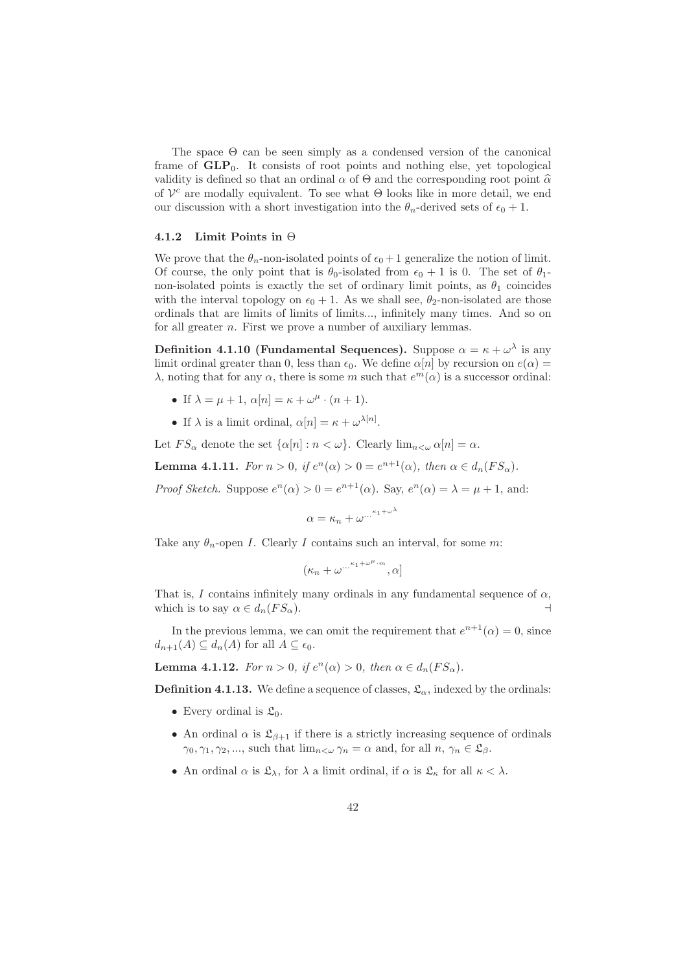The space Θ can be seen simply as a condensed version of the canonical frame of  $GLP_0$ . It consists of root points and nothing else, yet topological validity is defined so that an ordinal  $\alpha$  of  $\Theta$  and the corresponding root point  $\widehat{\alpha}$ of  $V^c$  are modally equivalent. To see what  $\Theta$  looks like in more detail, we end our discussion with a short investigation into the  $\theta_n$ -derived sets of  $\epsilon_0 + 1$ .

#### 4.1.2 Limit Points in Θ

We prove that the  $\theta_n$ -non-isolated points of  $\epsilon_0 + 1$  generalize the notion of limit. Of course, the only point that is  $\theta_0$ -isolated from  $\epsilon_0 + 1$  is 0. The set of  $\theta_1$ non-isolated points is exactly the set of ordinary limit points, as  $\theta_1$  coincides with the interval topology on  $\epsilon_0 + 1$ . As we shall see,  $\theta_2$ -non-isolated are those ordinals that are limits of limits of limits..., infinitely many times. And so on for all greater  $n$ . First we prove a number of auxiliary lemmas.

Definition 4.1.10 (Fundamental Sequences). Suppose  $\alpha = \kappa + \omega^{\lambda}$  is any limit ordinal greater than 0, less than  $\epsilon_0$ . We define  $\alpha[n]$  by recursion on  $e(\alpha)$  = λ, noting that for any  $\alpha$ , there is some m such that  $e^{m}(\alpha)$  is a successor ordinal:

- If  $\lambda = \mu + 1$ ,  $\alpha[n] = \kappa + \omega^{\mu} \cdot (n+1)$ .
- If  $\lambda$  is a limit ordinal,  $\alpha[n] = \kappa + \omega^{\lambda[n]}$ .

Let  $FS_\alpha$  denote the set  $\{\alpha[n]: n < \omega\}$ . Clearly  $\lim_{n<\omega} \alpha[n] = \alpha$ .

**Lemma 4.1.11.** For  $n > 0$ , if  $e^n(\alpha) > 0 = e^{n+1}(\alpha)$ , then  $\alpha \in d_n(FS_\alpha)$ .

*Proof Sketch.* Suppose  $e^{n}(\alpha) > 0 = e^{n+1}(\alpha)$ . Say,  $e^{n}(\alpha) = \lambda = \mu + 1$ , and:

$$
\alpha = \kappa_n + \omega^{\dots^{\kappa_1 + \omega^\lambda}}
$$

Take any  $\theta_n$ -open I. Clearly I contains such an interval, for some m:

$$
(\kappa_n+\omega^{\dots^{\kappa_1+\omega^\mu\cdot m}},\alpha]
$$

That is, I contains infinitely many ordinals in any fundamental sequence of  $\alpha$ , which is to say  $\alpha \in d_n(FS_\alpha)$ .

In the previous lemma, we can omit the requirement that  $e^{n+1}(\alpha) = 0$ , since  $d_{n+1}(A) \subseteq d_n(A)$  for all  $A \subseteq \epsilon_0$ .

**Lemma 4.1.12.** For  $n > 0$ , if  $e^n(\alpha) > 0$ , then  $\alpha \in d_n(FS_\alpha)$ .

**Definition 4.1.13.** We define a sequence of classes,  $\mathfrak{L}_{\alpha}$ , indexed by the ordinals:

- Every ordinal is  $\mathfrak{L}_0$ .
- An ordinal  $\alpha$  is  $\mathfrak{L}_{\beta+1}$  if there is a strictly increasing sequence of ordinals  $\gamma_0, \gamma_1, \gamma_2, \ldots$ , such that  $\lim_{n \leq \omega} \gamma_n = \alpha$  and, for all  $n, \gamma_n \in \mathfrak{L}_{\beta}$ .
- An ordinal  $\alpha$  is  $\mathfrak{L}_{\lambda}$ , for  $\lambda$  a limit ordinal, if  $\alpha$  is  $\mathfrak{L}_{\kappa}$  for all  $\kappa < \lambda$ .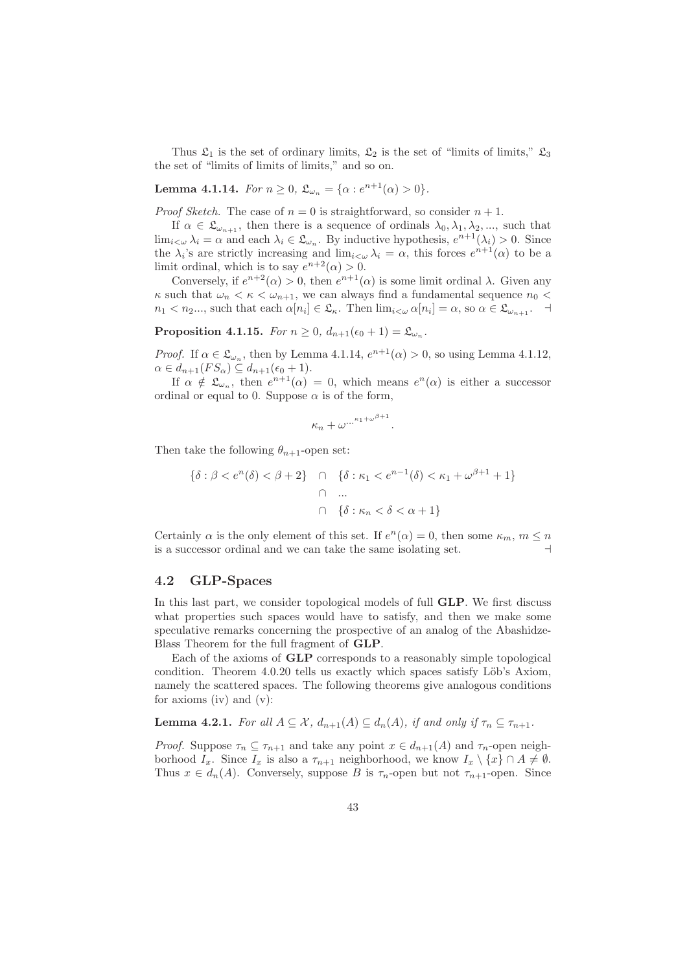Thus  $\mathfrak{L}_1$  is the set of ordinary limits,  $\mathfrak{L}_2$  is the set of "limits of limits,"  $\mathfrak{L}_3$ the set of "limits of limits of limits," and so on.

**Lemma 4.1.14.** For  $n \ge 0$ ,  $\mathfrak{L}_{\omega_n} = {\alpha : e^{n+1}(\alpha) > 0}.$ 

*Proof Sketch.* The case of  $n = 0$  is straightforward, so consider  $n + 1$ .

If  $\alpha \in \mathfrak{L}_{\omega_{n+1}}$ , then there is a sequence of ordinals  $\lambda_0, \lambda_1, \lambda_2, \dots$ , such that  $\lim_{i<\omega}\lambda_i=\alpha$  and each  $\lambda_i\in\mathfrak{L}_{\omega_n}$ . By inductive hypothesis,  $e^{n+1}(\lambda_i)>0$ . Since the  $\lambda_i$ 's are strictly increasing and  $\lim_{i \leq \omega} \lambda_i = \alpha$ , this forces  $e^{n+1}(\alpha)$  to be a limit ordinal, which is to say  $e^{n+2}(\alpha) > 0$ .

Conversely, if  $e^{n+2}(\alpha) > 0$ , then  $e^{n+1}(\alpha)$  is some limit ordinal  $\lambda$ . Given any  $\kappa$  such that  $\omega_n < \kappa < \omega_{n+1}$ , we can always find a fundamental sequence  $n_0$  $n_1 < n_2...$ , such that each  $\alpha[n_i] \in \mathfrak{L}_{\kappa}$ . Then  $\lim_{i < \omega} \alpha[n_i] = \alpha$ , so  $\alpha \in \mathfrak{L}_{\omega_{n+1}}$ .

Proposition 4.1.15. For  $n \geq 0$ ,  $d_{n+1}(\epsilon_0 + 1) = \mathfrak{L}_{\omega_n}$ .

*Proof.* If  $\alpha \in \mathfrak{L}_{\omega_n}$ , then by Lemma 4.1.14,  $e^{n+1}(\alpha) > 0$ , so using Lemma 4.1.12,  $\alpha \in d_{n+1}(FS_\alpha) \subseteq d_{n+1}(\epsilon_0+1).$ 

If  $\alpha \notin \mathfrak{L}_{\omega_n}$ , then  $e^{n+1}(\alpha) = 0$ , which means  $e^n(\alpha)$  is either a successor ordinal or equal to 0. Suppose  $\alpha$  is of the form,

$$
\kappa_n+\omega^{\dots^{\kappa_1+\omega^{\beta+1}}}
$$

.

Then take the following  $\theta_{n+1}$ -open set:

$$
\{\delta : \beta < e^n(\delta) < \beta + 2\} \quad \cap \quad \{\delta : \kappa_1 < e^{n-1}(\delta) < \kappa_1 + \omega^{\beta + 1} + 1\}
$$
\n
$$
\cap \quad \dots
$$
\n
$$
\cap \quad \{\delta : \kappa_n < \delta < \alpha + 1\}
$$

Certainly  $\alpha$  is the only element of this set. If  $e^n(\alpha) = 0$ , then some  $\kappa_m$ ,  $m \leq n$ is a successor ordinal and we can take the same isolating set.

## 4.2 GLP-Spaces

In this last part, we consider topological models of full GLP. We first discuss what properties such spaces would have to satisfy, and then we make some speculative remarks concerning the prospective of an analog of the Abashidze-Blass Theorem for the full fragment of GLP.

Each of the axioms of GLP corresponds to a reasonably simple topological condition. Theorem 4.0.20 tells us exactly which spaces satisfy Löb's Axiom, namely the scattered spaces. The following theorems give analogous conditions for axioms (iv) and (v):

**Lemma 4.2.1.** For all  $A \subseteq \mathcal{X}$ ,  $d_{n+1}(A) \subseteq d_n(A)$ , if and only if  $\tau_n \subseteq \tau_{n+1}$ .

*Proof.* Suppose  $\tau_n \subseteq \tau_{n+1}$  and take any point  $x \in d_{n+1}(A)$  and  $\tau_n$ -open neighborhood  $I_x$ . Since  $I_x$  is also a  $\tau_{n+1}$  neighborhood, we know  $I_x \setminus \{x\} \cap A \neq \emptyset$ . Thus  $x \in d_n(A)$ . Conversely, suppose B is  $\tau_n$ -open but not  $\tau_{n+1}$ -open. Since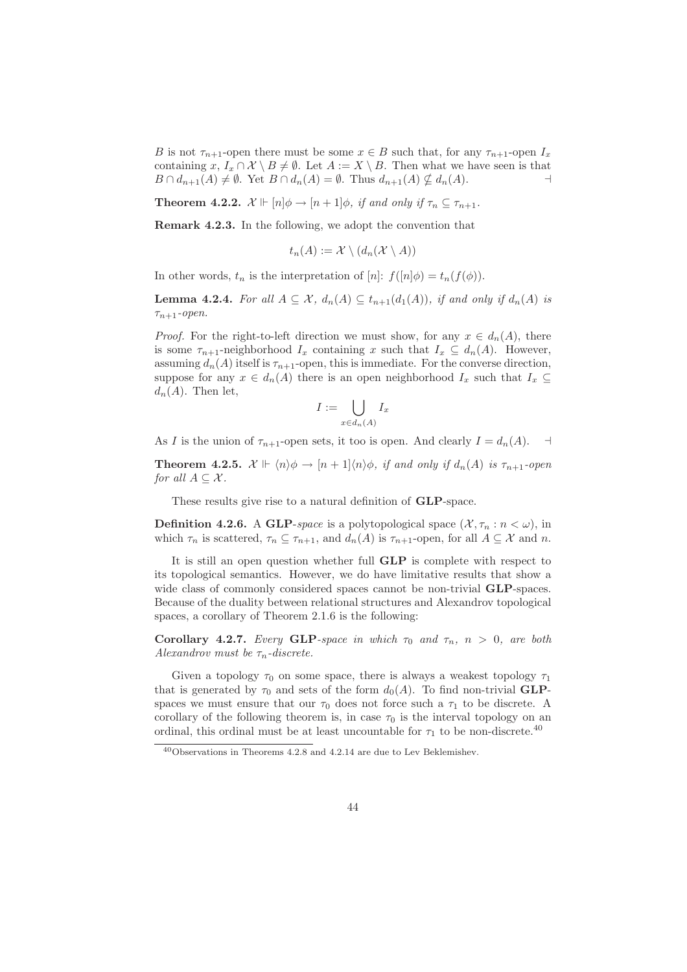B is not  $\tau_{n+1}$ -open there must be some  $x \in B$  such that, for any  $\tau_{n+1}$ -open  $I_x$ containing x,  $I_x \cap \mathcal{X} \setminus B \neq \emptyset$ . Let  $A := X \setminus B$ . Then what we have seen is that  $B \cap d_{n+1}(A) \neq \emptyset$ . Yet  $B \cap d_n(A) = \emptyset$ . Thus  $d_{n+1}(A) \nsubseteq d_n(A)$ .

**Theorem 4.2.2.**  $\mathcal{X} \Vdash [n] \phi \rightarrow [n+1] \phi$ , if and only if  $\tau_n \subseteq \tau_{n+1}$ .

Remark 4.2.3. In the following, we adopt the convention that

$$
t_n(A) := \mathcal{X} \setminus (d_n(\mathcal{X} \setminus A))
$$

In other words,  $t_n$  is the interpretation of  $[n]$ :  $f([n]\phi) = t_n(f(\phi)).$ 

**Lemma 4.2.4.** For all  $A \subseteq \mathcal{X}$ ,  $d_n(A) \subseteq t_{n+1}(d_1(A))$ , if and only if  $d_n(A)$  is  $\tau_{n+1}$ -open.

*Proof.* For the right-to-left direction we must show, for any  $x \in d_n(A)$ , there is some  $\tau_{n+1}$ -neighborhood  $I_x$  containing x such that  $I_x \subseteq d_n(A)$ . However, assuming  $d_n(A)$  itself is  $\tau_{n+1}$ -open, this is immediate. For the converse direction, suppose for any  $x \in d_n(A)$  there is an open neighborhood  $I_x$  such that  $I_x \subseteq$  $d_n(A)$ . Then let,

$$
I := \bigcup_{x \in d_n(A)} I_x
$$

As I is the union of  $\tau_{n+1}$ -open sets, it too is open. And clearly  $I = d_n(A)$ .

**Theorem 4.2.5.**  $\mathcal{X} \Vdash \langle n \rangle \phi \rightarrow [n+1] \langle n \rangle \phi$ , if and only if  $d_n(A)$  is  $\tau_{n+1}$ -open for all  $A \subseteq \mathcal{X}$ .

These results give rise to a natural definition of GLP-space.

**Definition 4.2.6.** A GLP-space is a polytopological space  $(\mathcal{X}, \tau_n : n < \omega)$ , in which  $\tau_n$  is scattered,  $\tau_n \subseteq \tau_{n+1}$ , and  $d_n(A)$  is  $\tau_{n+1}$ -open, for all  $A \subseteq \mathcal{X}$  and n.

It is still an open question whether full GLP is complete with respect to its topological semantics. However, we do have limitative results that show a wide class of commonly considered spaces cannot be non-trivial **GLP**-spaces. Because of the duality between relational structures and Alexandrov topological spaces, a corollary of Theorem 2.1.6 is the following:

Corollary 4.2.7. Every GLP-space in which  $\tau_0$  and  $\tau_n$ ,  $n > 0$ , are both Alexandrov must be  $\tau_n$ -discrete.

Given a topology  $\tau_0$  on some space, there is always a weakest topology  $\tau_1$ that is generated by  $\tau_0$  and sets of the form  $d_0(A)$ . To find non-trivial **GLP**spaces we must ensure that our  $\tau_0$  does not force such a  $\tau_1$  to be discrete. A corollary of the following theorem is, in case  $\tau_0$  is the interval topology on an ordinal, this ordinal must be at least uncountable for  $\tau_1$  to be non-discrete.<sup>40</sup>

<sup>40</sup>Observations in Theorems 4.2.8 and 4.2.14 are due to Lev Beklemishev.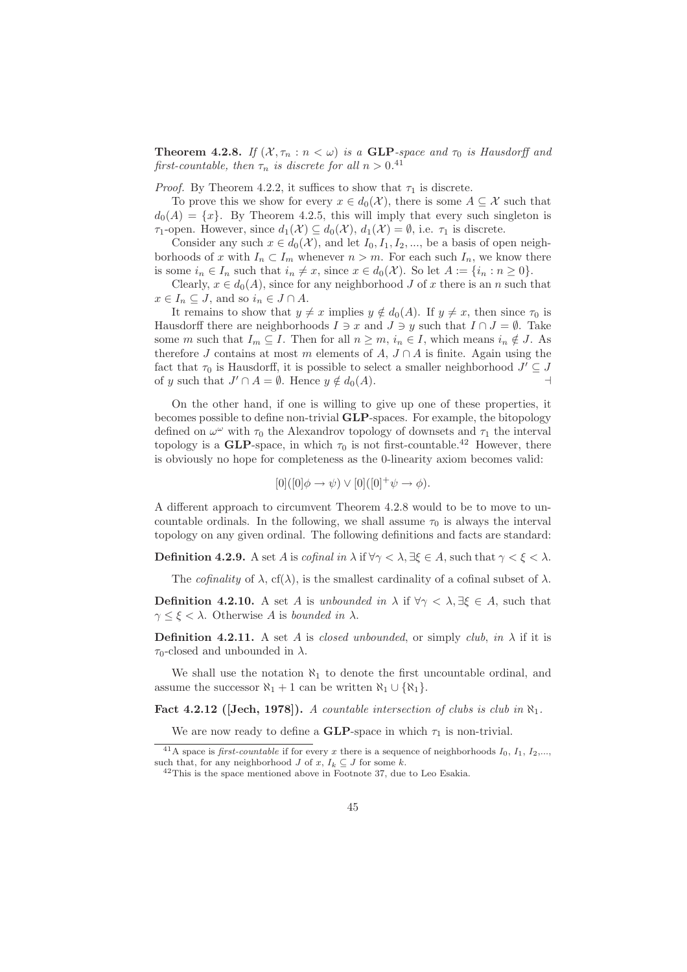**Theorem 4.2.8.** If  $(X, \tau_n : n < \omega)$  is a **GLP**-space and  $\tau_0$  is Hausdorff and first-countable, then  $\tau_n$  is discrete for all  $n > 0.41$ 

*Proof.* By Theorem 4.2.2, it suffices to show that  $\tau_1$  is discrete.

To prove this we show for every  $x \in d_0(\mathcal{X})$ , there is some  $A \subseteq \mathcal{X}$  such that  $d_0(A) = \{x\}$ . By Theorem 4.2.5, this will imply that every such singleton is  $\tau_1$ -open. However, since  $d_1(\mathcal{X}) \subseteq d_0(\mathcal{X}), d_1(\mathcal{X}) = \emptyset$ , i.e.  $\tau_1$  is discrete.

Consider any such  $x \in d_0(\mathcal{X})$ , and let  $I_0, I_1, I_2, \dots$ , be a basis of open neighborhoods of x with  $I_n \subset I_m$  whenever  $n > m$ . For each such  $I_n$ , we know there is some  $i_n \in I_n$  such that  $i_n \neq x$ , since  $x \in d_0(\mathcal{X})$ . So let  $A := \{i_n : n \geq 0\}$ .

Clearly,  $x \in d_0(A)$ , since for any neighborhood J of x there is an n such that  $x \in I_n \subseteq J$ , and so  $i_n \in J \cap A$ .

It remains to show that  $y \neq x$  implies  $y \notin d_0(A)$ . If  $y \neq x$ , then since  $\tau_0$  is Hausdorff there are neighborhoods  $I \ni x$  and  $J \ni y$  such that  $I \cap J = \emptyset$ . Take some m such that  $I_m \subseteq I$ . Then for all  $n \geq m$ ,  $i_n \in I$ , which means  $i_n \notin J$ . As therefore J contains at most m elements of  $A, J \cap A$  is finite. Again using the fact that  $\tau_0$  is Hausdorff, it is possible to select a smaller neighborhood  $J' \subseteq J$ of y such that  $J' \cap A = \emptyset$ . Hence  $y \notin d_0(A)$ .

On the other hand, if one is willing to give up one of these properties, it becomes possible to define non-trivial GLP-spaces. For example, the bitopology defined on  $\omega^{\omega}$  with  $\tau_0$  the Alexandrov topology of downsets and  $\tau_1$  the interval topology is a GLP-space, in which  $\tau_0$  is not first-countable.<sup>42</sup> However, there is obviously no hope for completeness as the 0-linearity axiom becomes valid:

$$
[0]([0]\phi \to \psi) \vee [0]([0]^+\psi \to \phi).
$$

A different approach to circumvent Theorem 4.2.8 would to be to move to uncountable ordinals. In the following, we shall assume  $\tau_0$  is always the interval topology on any given ordinal. The following definitions and facts are standard:

**Definition 4.2.9.** A set A is cofinal in  $\lambda$  if  $\forall \gamma < \lambda$ ,  $\exists \xi \in A$ , such that  $\gamma < \xi < \lambda$ .

The *cofinality* of  $\lambda$ , cf( $\lambda$ ), is the smallest cardinality of a cofinal subset of  $\lambda$ .

**Definition 4.2.10.** A set A is unbounded in  $\lambda$  if  $\forall \gamma < \lambda, \exists \xi \in A$ , such that  $\gamma \leq \xi < \lambda$ . Otherwise A is bounded in  $\lambda$ .

**Definition 4.2.11.** A set A is closed unbounded, or simply club, in  $\lambda$  if it is  $\tau_0$ -closed and unbounded in  $\lambda$ .

We shall use the notation  $\aleph_1$  to denote the first uncountable ordinal, and assume the successor  $\aleph_1 + 1$  can be written  $\aleph_1 \cup {\aleph_1}$ .

Fact 4.2.12 ([Jech, 1978]). A countable intersection of clubs is club in  $\aleph_1$ .

We are now ready to define a **GLP**-space in which  $\tau_1$  is non-trivial.

<sup>&</sup>lt;sup>41</sup>A space is *first-countable* if for every x there is a sequence of neighborhoods  $I_0$ ,  $I_1$ ,  $I_2$ ,..., such that, for any neighborhood  $J$  of  $x, I_k \subseteq J$  for some  $k$ .

 $42$ This is the space mentioned above in Footnote 37, due to Leo Esakia.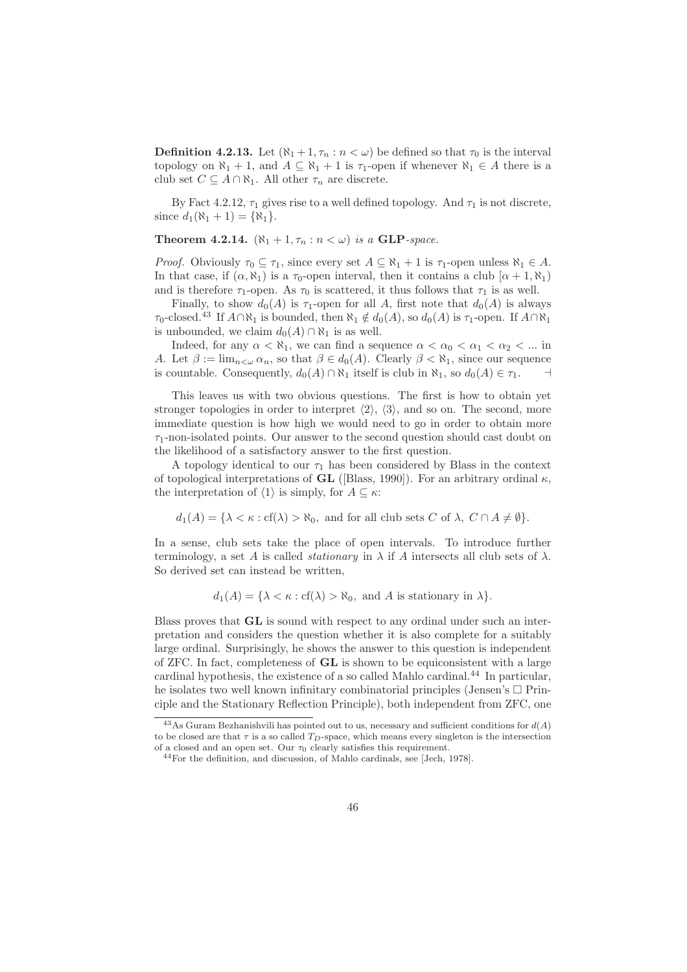**Definition 4.2.13.** Let  $(\aleph_1 + 1, \tau_n : n < \omega)$  be defined so that  $\tau_0$  is the interval topology on  $\aleph_1 + 1$ , and  $A \subseteq \aleph_1 + 1$  is  $\tau_1$ -open if whenever  $\aleph_1 \in A$  there is a club set  $C \subseteq A \cap \aleph_1$ . All other  $\tau_n$  are discrete.

By Fact 4.2.12,  $\tau_1$  gives rise to a well defined topology. And  $\tau_1$  is not discrete, since  $d_1(\aleph_1 + 1) = {\aleph_1}.$ 

**Theorem 4.2.14.**  $(\aleph_1 + 1, \tau_n : n < \omega)$  is a **GLP**-space.

*Proof.* Obviously  $\tau_0 \subseteq \tau_1$ , since every set  $A \subseteq \aleph_1 + 1$  is  $\tau_1$ -open unless  $\aleph_1 \in A$ . In that case, if  $(\alpha, \aleph_1)$  is a  $\tau_0$ -open interval, then it contains a club  $[\alpha + 1, \aleph_1]$ and is therefore  $\tau_1$ -open. As  $\tau_0$  is scattered, it thus follows that  $\tau_1$  is as well.

Finally, to show  $d_0(A)$  is  $\tau_1$ -open for all A, first note that  $d_0(A)$  is always  $\tau_0$ -closed.<sup>43</sup> If  $A \cap \aleph_1$  is bounded, then  $\aleph_1 \notin d_0(A)$ , so  $d_0(A)$  is  $\tau_1$ -open. If  $A \cap \aleph_1$ is unbounded, we claim  $d_0(A) \cap \aleph_1$  is as well.

Indeed, for any  $\alpha < \aleph_1$ , we can find a sequence  $\alpha < \alpha_0 < \alpha_1 < \alpha_2 < ...$  in A. Let  $\beta := \lim_{n \leq \omega} \alpha_n$ , so that  $\beta \in d_0(A)$ . Clearly  $\beta < \aleph_1$ , since our sequence is countable. Consequently,  $d_0(A) \cap \aleph_1$  itself is club in  $\aleph_1$ , so  $d_0(A) \in \tau_1$ .  $\dashv$ 

This leaves us with two obvious questions. The first is how to obtain yet stronger topologies in order to interpret  $\langle 2 \rangle$ ,  $\langle 3 \rangle$ , and so on. The second, more immediate question is how high we would need to go in order to obtain more  $\tau_1$ -non-isolated points. Our answer to the second question should cast doubt on the likelihood of a satisfactory answer to the first question.

A topology identical to our  $\tau_1$  has been considered by Blass in the context of topological interpretations of GL ([Blass, 1990]). For an arbitrary ordinal  $\kappa$ , the interpretation of  $\langle 1 \rangle$  is simply, for  $A \subseteq \kappa$ :

 $d_1(A) = {\lambda \lt \kappa : cf(\lambda) > \aleph_0, \text{ and for all club sets } C \text{ of } \lambda, C \cap A \neq \emptyset}.$ 

In a sense, club sets take the place of open intervals. To introduce further terminology, a set A is called *stationary* in  $\lambda$  if A intersects all club sets of  $\lambda$ . So derived set can instead be written,

 $d_1(A) = {\lambda < \kappa : cf(\lambda) > \aleph_0, \text{ and } A \text{ is stationary in } \lambda}.$ 

Blass proves that GL is sound with respect to any ordinal under such an interpretation and considers the question whether it is also complete for a suitably large ordinal. Surprisingly, he shows the answer to this question is independent of ZFC. In fact, completeness of GL is shown to be equiconsistent with a large cardinal hypothesis, the existence of a so called Mahlo cardinal.<sup>44</sup> In particular. he isolates two well known infinitary combinatorial principles (Jensen's  $\Box$  Principle and the Stationary Reflection Principle), both independent from ZFC, one

 $^{43}$ As Guram Bezhanishvili has pointed out to us, necessary and sufficient conditions for  $d(A)$ to be closed are that  $\tau$  is a so called  $T_D$ -space, which means every singleton is the intersection of a closed and an open set. Our  $\tau_0$  clearly satisfies this requirement.

<sup>44</sup>For the definition, and discussion, of Mahlo cardinals, see [Jech, 1978].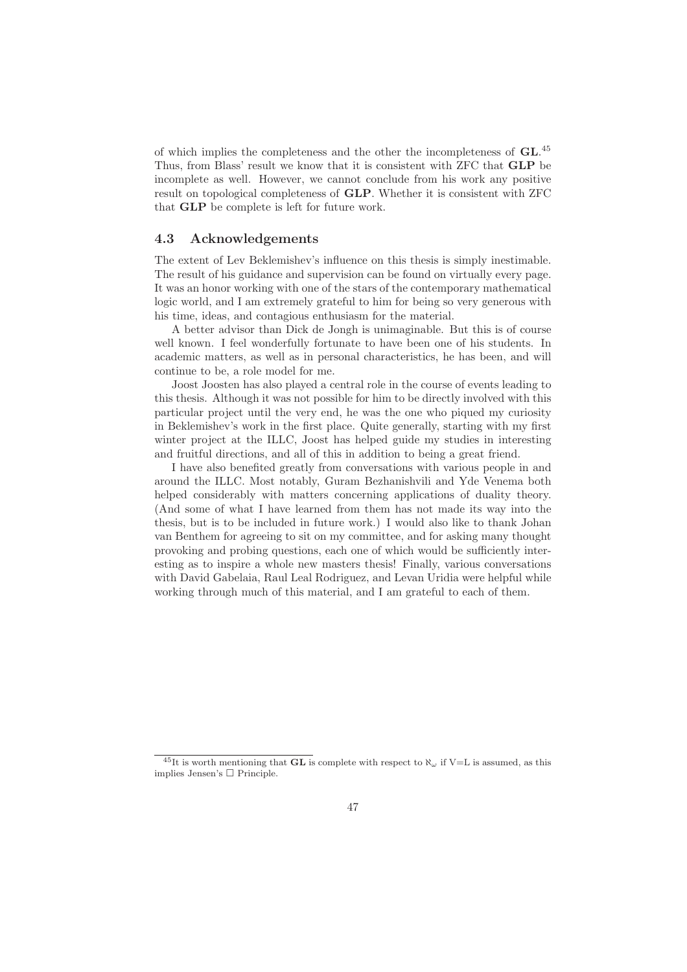of which implies the completeness and the other the incompleteness of GL. 45 Thus, from Blass' result we know that it is consistent with ZFC that GLP be incomplete as well. However, we cannot conclude from his work any positive result on topological completeness of GLP. Whether it is consistent with ZFC that GLP be complete is left for future work.

## 4.3 Acknowledgements

The extent of Lev Beklemishev's influence on this thesis is simply inestimable. The result of his guidance and supervision can be found on virtually every page. It was an honor working with one of the stars of the contemporary mathematical logic world, and I am extremely grateful to him for being so very generous with his time, ideas, and contagious enthusiasm for the material.

A better advisor than Dick de Jongh is unimaginable. But this is of course well known. I feel wonderfully fortunate to have been one of his students. In academic matters, as well as in personal characteristics, he has been, and will continue to be, a role model for me.

Joost Joosten has also played a central role in the course of events leading to this thesis. Although it was not possible for him to be directly involved with this particular project until the very end, he was the one who piqued my curiosity in Beklemishev's work in the first place. Quite generally, starting with my first winter project at the ILLC, Joost has helped guide my studies in interesting and fruitful directions, and all of this in addition to being a great friend.

I have also benefited greatly from conversations with various people in and around the ILLC. Most notably, Guram Bezhanishvili and Yde Venema both helped considerably with matters concerning applications of duality theory. (And some of what I have learned from them has not made its way into the thesis, but is to be included in future work.) I would also like to thank Johan van Benthem for agreeing to sit on my committee, and for asking many thought provoking and probing questions, each one of which would be sufficiently interesting as to inspire a whole new masters thesis! Finally, various conversations with David Gabelaia, Raul Leal Rodriguez, and Levan Uridia were helpful while working through much of this material, and I am grateful to each of them.

<sup>&</sup>lt;sup>45</sup>It is worth mentioning that **GL** is complete with respect to  $\aleph_{\omega}$  if V=L is assumed, as this implies Jensen's  $\square$  Principle.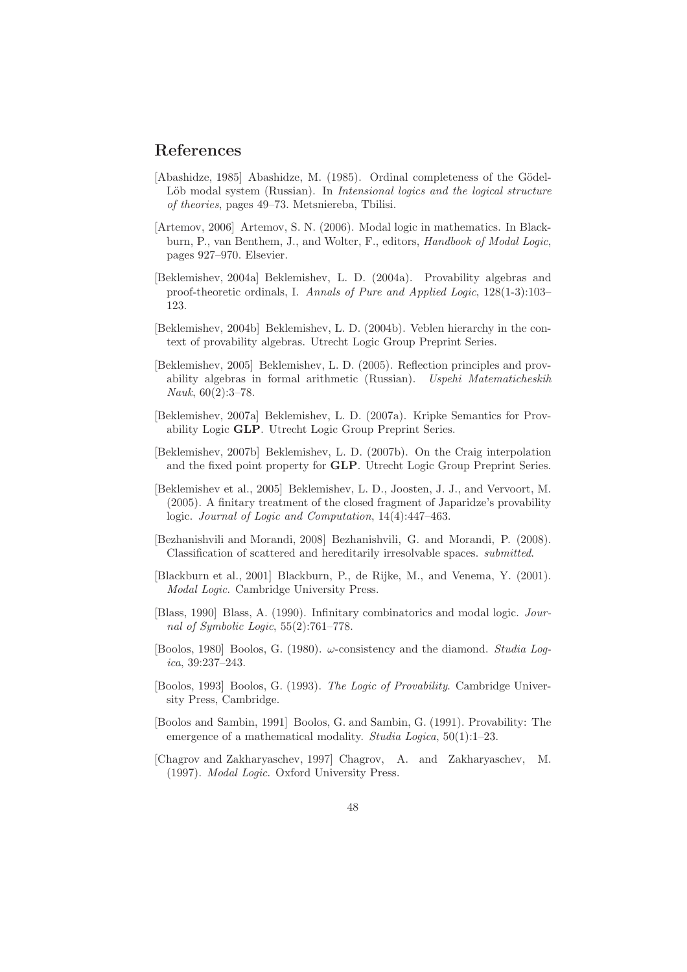# References

- $[Abashi, 1985]$  Abashidze, M.  $(1985)$ . Ordinal completeness of the Gödel-Löb modal system (Russian). In *Intensional logics and the logical structure* of theories, pages 49–73. Metsniereba, Tbilisi.
- [Artemov, 2006] Artemov, S. N. (2006). Modal logic in mathematics. In Blackburn, P., van Benthem, J., and Wolter, F., editors, Handbook of Modal Logic, pages 927–970. Elsevier.
- [Beklemishev, 2004a] Beklemishev, L. D. (2004a). Provability algebras and proof-theoretic ordinals, I. Annals of Pure and Applied Logic, 128(1-3):103– 123.
- [Beklemishev, 2004b] Beklemishev, L. D. (2004b). Veblen hierarchy in the context of provability algebras. Utrecht Logic Group Preprint Series.
- [Beklemishev, 2005] Beklemishev, L. D. (2005). Reflection principles and provability algebras in formal arithmetic (Russian). Uspehi Matematicheskih Nauk, 60(2):3–78.
- [Beklemishev, 2007a] Beklemishev, L. D. (2007a). Kripke Semantics for Provability Logic GLP. Utrecht Logic Group Preprint Series.
- [Beklemishev, 2007b] Beklemishev, L. D. (2007b). On the Craig interpolation and the fixed point property for GLP. Utrecht Logic Group Preprint Series.
- [Beklemishev et al., 2005] Beklemishev, L. D., Joosten, J. J., and Vervoort, M. (2005). A finitary treatment of the closed fragment of Japaridze's provability logic. Journal of Logic and Computation, 14(4):447–463.
- [Bezhanishvili and Morandi, 2008] Bezhanishvili, G. and Morandi, P. (2008). Classification of scattered and hereditarily irresolvable spaces. submitted.
- [Blackburn et al., 2001] Blackburn, P., de Rijke, M., and Venema, Y. (2001). Modal Logic. Cambridge University Press.
- [Blass, 1990] Blass, A. (1990). Infinitary combinatorics and modal logic. Journal of Symbolic Logic, 55(2):761–778.
- [Boolos, 1980] Boolos, G. (1980).  $\omega$ -consistency and the diamond. Studia Logica, 39:237–243.
- [Boolos, 1993] Boolos, G. (1993). The Logic of Provability. Cambridge University Press, Cambridge.
- [Boolos and Sambin, 1991] Boolos, G. and Sambin, G. (1991). Provability: The emergence of a mathematical modality. *Studia Logica*, 50(1):1-23.
- [Chagrov and Zakharyaschev, 1997] Chagrov, A. and Zakharyaschev, M. (1997). Modal Logic. Oxford University Press.